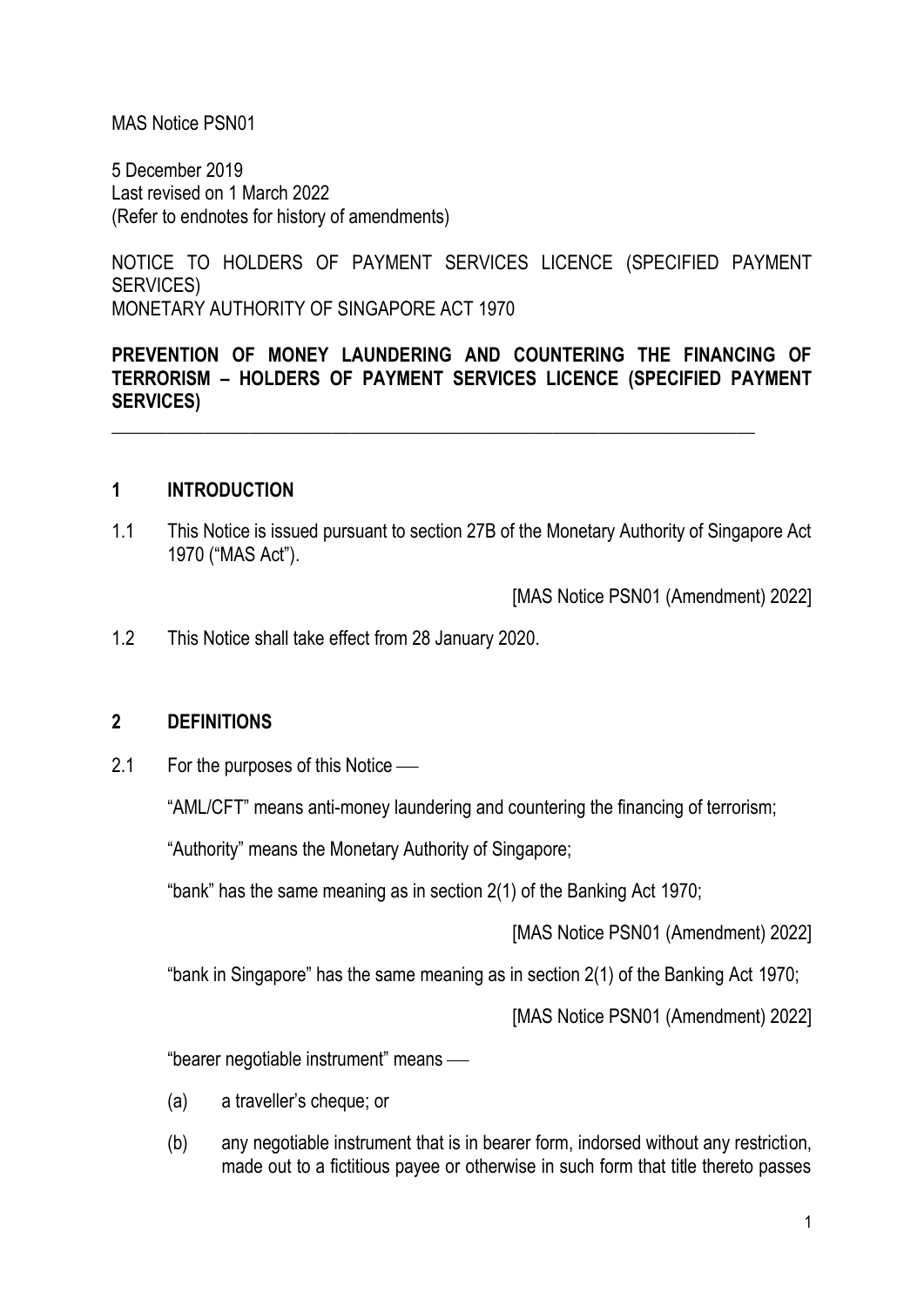#### MAS Notice PSN01

5 December 2019 Last revised on 1 March 2022 (Refer to endnotes for history of amendments)

NOTICE TO HOLDERS OF PAYMENT SERVICES LICENCE (SPECIFIED PAYMENT SERVICES) MONETARY AUTHORITY OF SINGAPORE ACT 1970

### **PREVENTION OF MONEY LAUNDERING AND COUNTERING THE FINANCING OF TERRORISM – HOLDERS OF PAYMENT SERVICES LICENCE (SPECIFIED PAYMENT SERVICES)**

\_\_\_\_\_\_\_\_\_\_\_\_\_\_\_\_\_\_\_\_\_\_\_\_\_\_\_\_\_\_\_\_\_\_\_\_\_\_\_\_\_\_\_\_\_\_\_\_\_\_\_\_\_\_\_\_\_\_\_\_\_\_\_\_\_\_\_\_\_\_

#### **1 INTRODUCTION**

1.1 This Notice is issued pursuant to section 27B of the Monetary Authority of Singapore Act 1970 ("MAS Act").

[MAS Notice PSN01 (Amendment) 2022]

1.2 This Notice shall take effect from 28 January 2020.

#### **2 DEFINITIONS**

2.1 For the purposes of this Notice  $\frac{1}{1}$ 

"AML/CFT" means anti-money laundering and countering the financing of terrorism;

"Authority" means the Monetary Authority of Singapore;

"bank" has the same meaning as in section 2(1) of the Banking Act 1970;

[MAS Notice PSN01 (Amendment) 2022]

"bank in Singapore" has the same meaning as in section 2(1) of the Banking Act 1970;

[MAS Notice PSN01 (Amendment) 2022]

"bearer negotiable instrument" means —

- (a) a traveller's cheque; or
- (b) any negotiable instrument that is in bearer form, indorsed without any restriction, made out to a fictitious payee or otherwise in such form that title thereto passes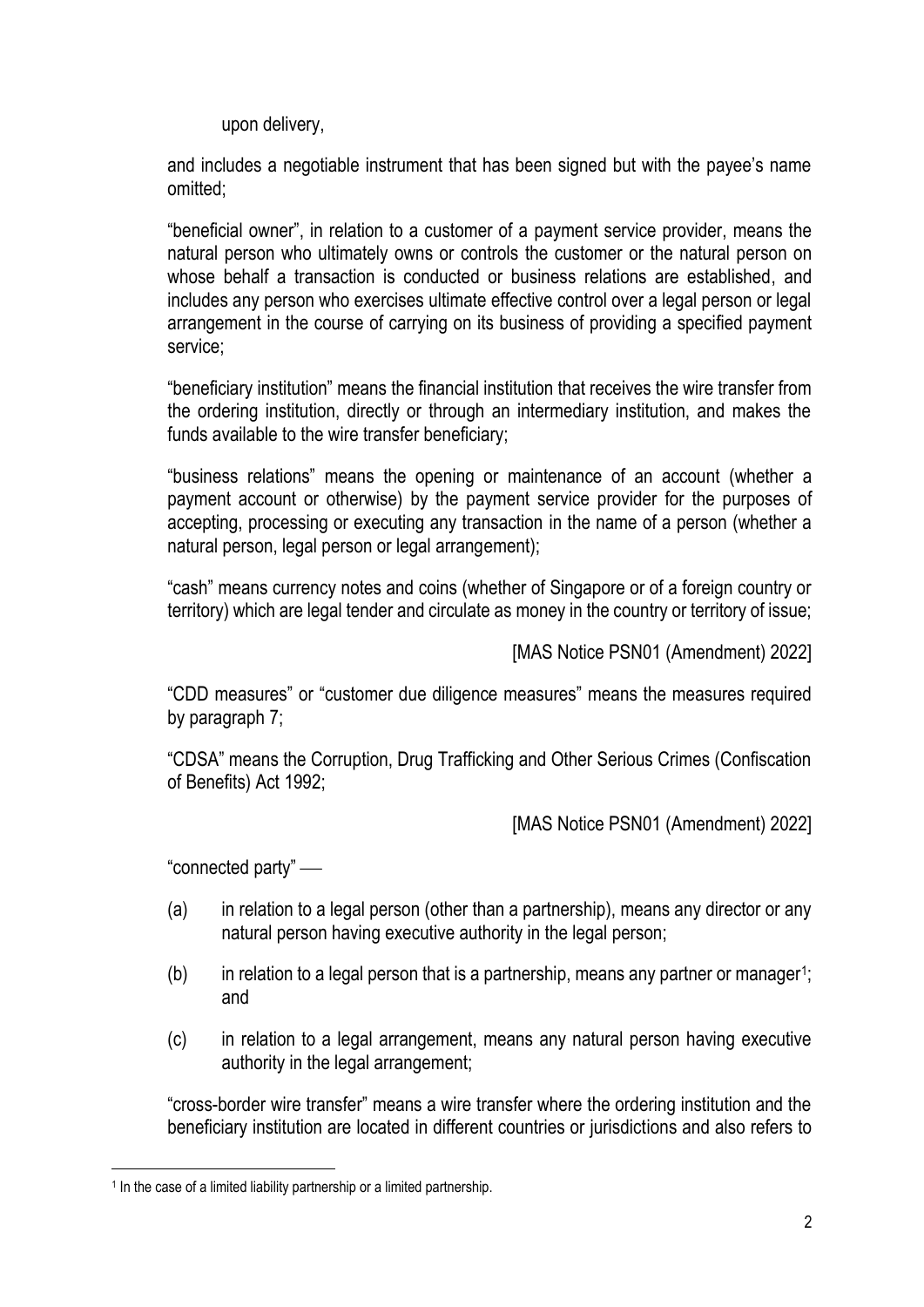upon delivery,

and includes a negotiable instrument that has been signed but with the payee's name omitted;

"beneficial owner", in relation to a customer of a payment service provider, means the natural person who ultimately owns or controls the customer or the natural person on whose behalf a transaction is conducted or business relations are established, and includes any person who exercises ultimate effective control over a legal person or legal arrangement in the course of carrying on its business of providing a specified payment service;

"beneficiary institution" means the financial institution that receives the wire transfer from the ordering institution, directly or through an intermediary institution, and makes the funds available to the wire transfer beneficiary;

"business relations" means the opening or maintenance of an account (whether a payment account or otherwise) by the payment service provider for the purposes of accepting, processing or executing any transaction in the name of a person (whether a natural person, legal person or legal arrangement);

"cash" means currency notes and coins (whether of Singapore or of a foreign country or territory) which are legal tender and circulate as money in the country or territory of issue;

[MAS Notice PSN01 (Amendment) 2022]

"CDD measures" or "customer due diligence measures" means the measures required by paragraph 7;

"CDSA" means the Corruption, Drug Trafficking and Other Serious Crimes (Confiscation of Benefits) Act 1992;

[MAS Notice PSN01 (Amendment) 2022]

"connected party" —

- (a) in relation to a legal person (other than a partnership), means any director or any natural person having executive authority in the legal person;
- $(b)$  in relation to a legal person that is a partnership, means any partner or manager<sup>1</sup>; and
- (c) in relation to a legal arrangement, means any natural person having executive authority in the legal arrangement;

"cross-border wire transfer" means a wire transfer where the ordering institution and the beneficiary institution are located in different countries or jurisdictions and also refers to

<sup>&</sup>lt;sup>1</sup> In the case of a limited liability partnership or a limited partnership.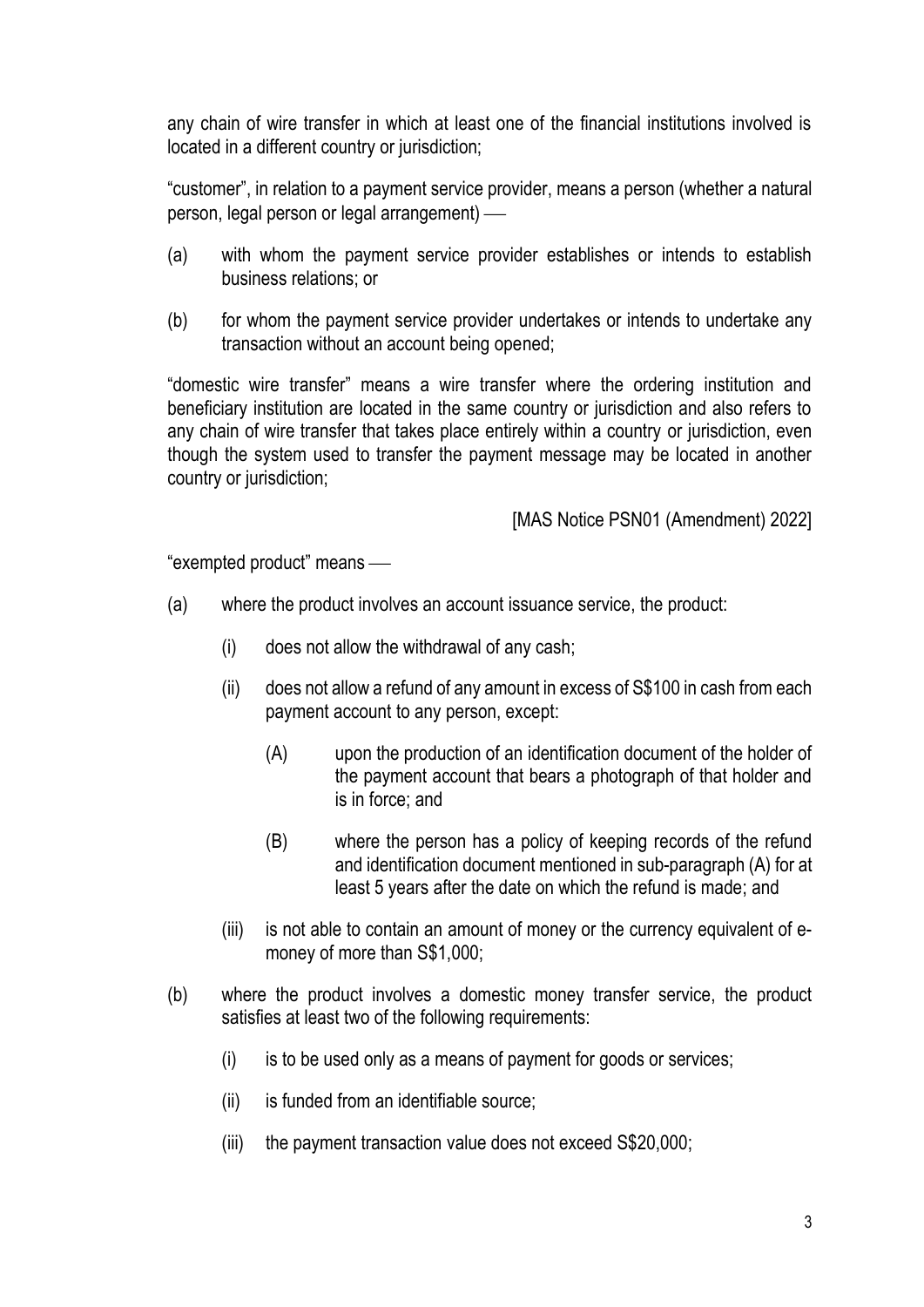any chain of wire transfer in which at least one of the financial institutions involved is located in a different country or jurisdiction;

"customer", in relation to a payment service provider, means a person (whether a natural person, legal person or legal arrangement) —

- (a) with whom the payment service provider establishes or intends to establish business relations; or
- (b) for whom the payment service provider undertakes or intends to undertake any transaction without an account being opened;

"domestic wire transfer" means a wire transfer where the ordering institution and beneficiary institution are located in the same country or jurisdiction and also refers to any chain of wire transfer that takes place entirely within a country or jurisdiction, even though the system used to transfer the payment message may be located in another country or jurisdiction;

[MAS Notice PSN01 (Amendment) 2022]

"exempted product" means -

- (a) where the product involves an account issuance service, the product:
	- (i) does not allow the withdrawal of any cash;
	- (ii) does not allow a refund of any amount in excess of S\$100 in cash from each payment account to any person, except:
		- (A) upon the production of an identification document of the holder of the payment account that bears a photograph of that holder and is in force; and
		- (B) where the person has a policy of keeping records of the refund and identification document mentioned in sub-paragraph (A) for at least 5 years after the date on which the refund is made; and
	- (iii) is not able to contain an amount of money or the currency equivalent of emoney of more than S\$1,000;
- (b) where the product involves a domestic money transfer service, the product satisfies at least two of the following requirements:
	- $(i)$  is to be used only as a means of payment for goods or services;
	- (ii) is funded from an identifiable source;
	- (iii) the payment transaction value does not exceed S\$20,000;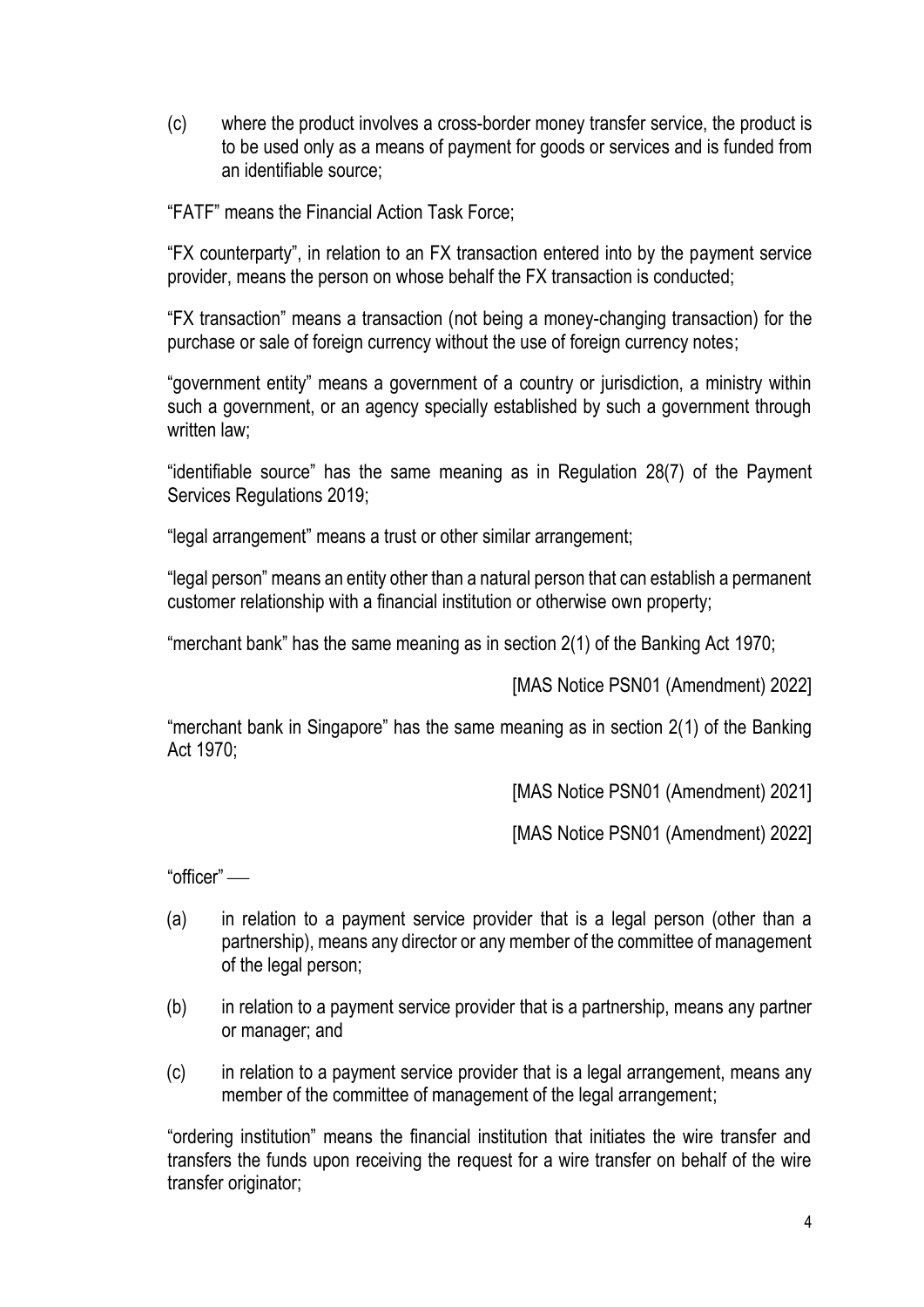(c) where the product involves a cross-border money transfer service, the product is to be used only as a means of payment for goods or services and is funded from an identifiable source;

"FATF" means the Financial Action Task Force;

"FX counterparty", in relation to an FX transaction entered into by the payment service provider, means the person on whose behalf the FX transaction is conducted;

"FX transaction" means a transaction (not being a money-changing transaction) for the purchase or sale of foreign currency without the use of foreign currency notes;

"government entity" means a government of a country or jurisdiction, a ministry within such a government, or an agency specially established by such a government through written law:

"identifiable source" has the same meaning as in Regulation 28(7) of the Payment Services Regulations 2019;

"legal arrangement" means a trust or other similar arrangement;

"legal person" means an entity other than a natural person that can establish a permanent customer relationship with a financial institution or otherwise own property;

"merchant bank" has the same meaning as in section 2(1) of the Banking Act 1970;

[MAS Notice PSN01 (Amendment) 2022]

"merchant bank in Singapore" has the same meaning as in section 2(1) of the Banking Act 1970;

[MAS Notice PSN01 (Amendment) 2021]

[MAS Notice PSN01 (Amendment) 2022]

"officer" —

- (a) in relation to a payment service provider that is a legal person (other than a partnership), means any director or any member of the committee of management of the legal person;
- (b) in relation to a payment service provider that is a partnership, means any partner or manager; and
- (c) in relation to a payment service provider that is a legal arrangement, means any member of the committee of management of the legal arrangement;

"ordering institution" means the financial institution that initiates the wire transfer and transfers the funds upon receiving the request for a wire transfer on behalf of the wire transfer originator;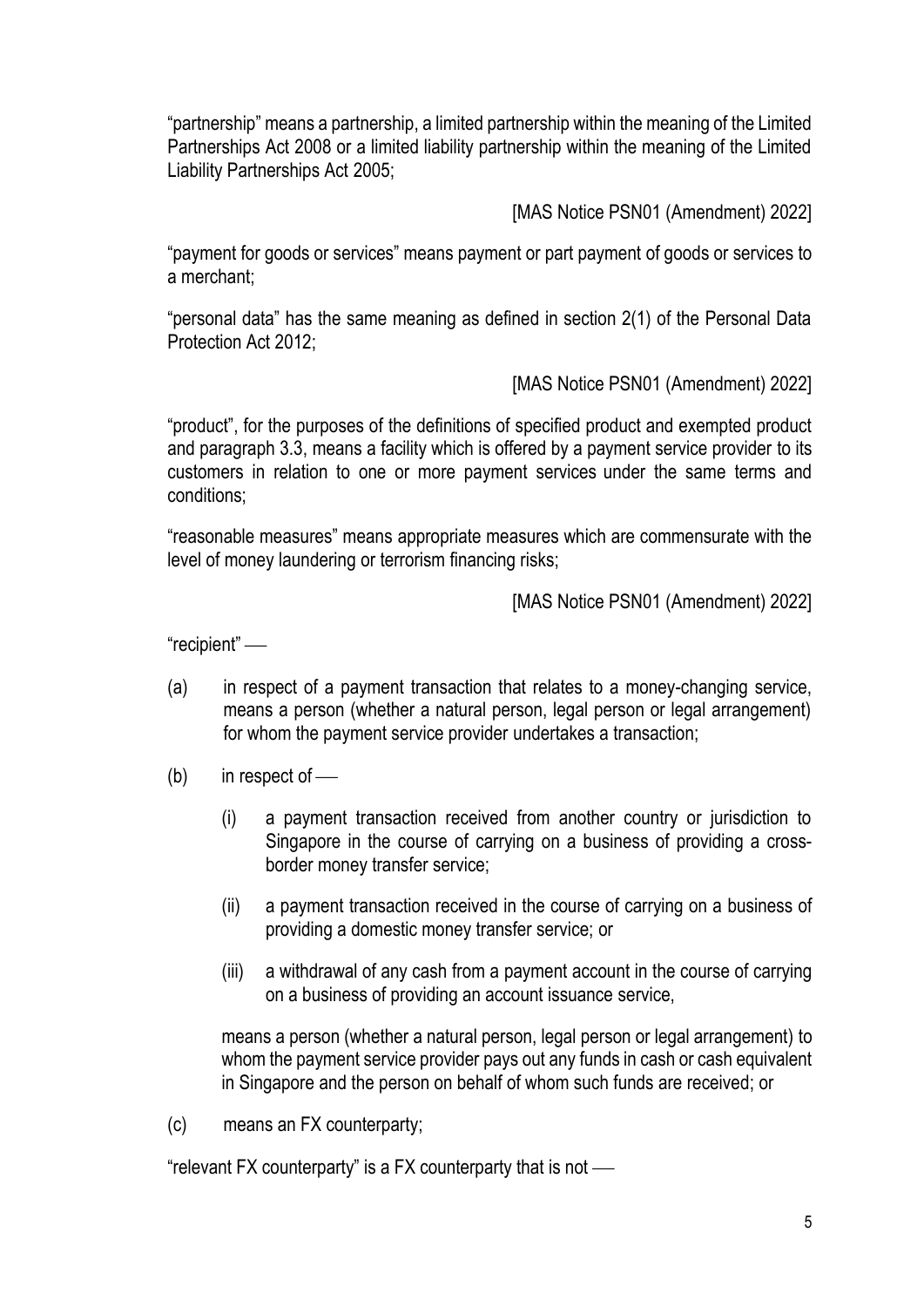"partnership" means a partnership, a limited partnership within the meaning of the Limited Partnerships Act 2008 or a limited liability partnership within the meaning of the Limited Liability Partnerships Act 2005;

[MAS Notice PSN01 (Amendment) 2022]

"payment for goods or services" means payment or part payment of goods or services to a merchant;

"personal data" has the same meaning as defined in section 2(1) of the Personal Data Protection Act 2012;

[MAS Notice PSN01 (Amendment) 2022]

"product", for the purposes of the definitions of specified product and exempted product and paragraph 3.3, means a facility which is offered by a payment service provider to its customers in relation to one or more payment services under the same terms and conditions;

"reasonable measures" means appropriate measures which are commensurate with the level of money laundering or terrorism financing risks;

[MAS Notice PSN01 (Amendment) 2022]

"recipient" —

- (a) in respect of a payment transaction that relates to a money-changing service, means a person (whether a natural person, legal person or legal arrangement) for whom the payment service provider undertakes a transaction;
- $(b)$  in respect of
	- (i) a payment transaction received from another country or jurisdiction to Singapore in the course of carrying on a business of providing a crossborder money transfer service;
	- (ii) a payment transaction received in the course of carrying on a business of providing a domestic money transfer service; or
	- (iii) a withdrawal of any cash from a payment account in the course of carrying on a business of providing an account issuance service,

means a person (whether a natural person, legal person or legal arrangement) to whom the payment service provider pays out any funds in cash or cash equivalent in Singapore and the person on behalf of whom such funds are received; or

(c) means an FX counterparty;

"relevant FX counterparty" is a FX counterparty that is not  $-$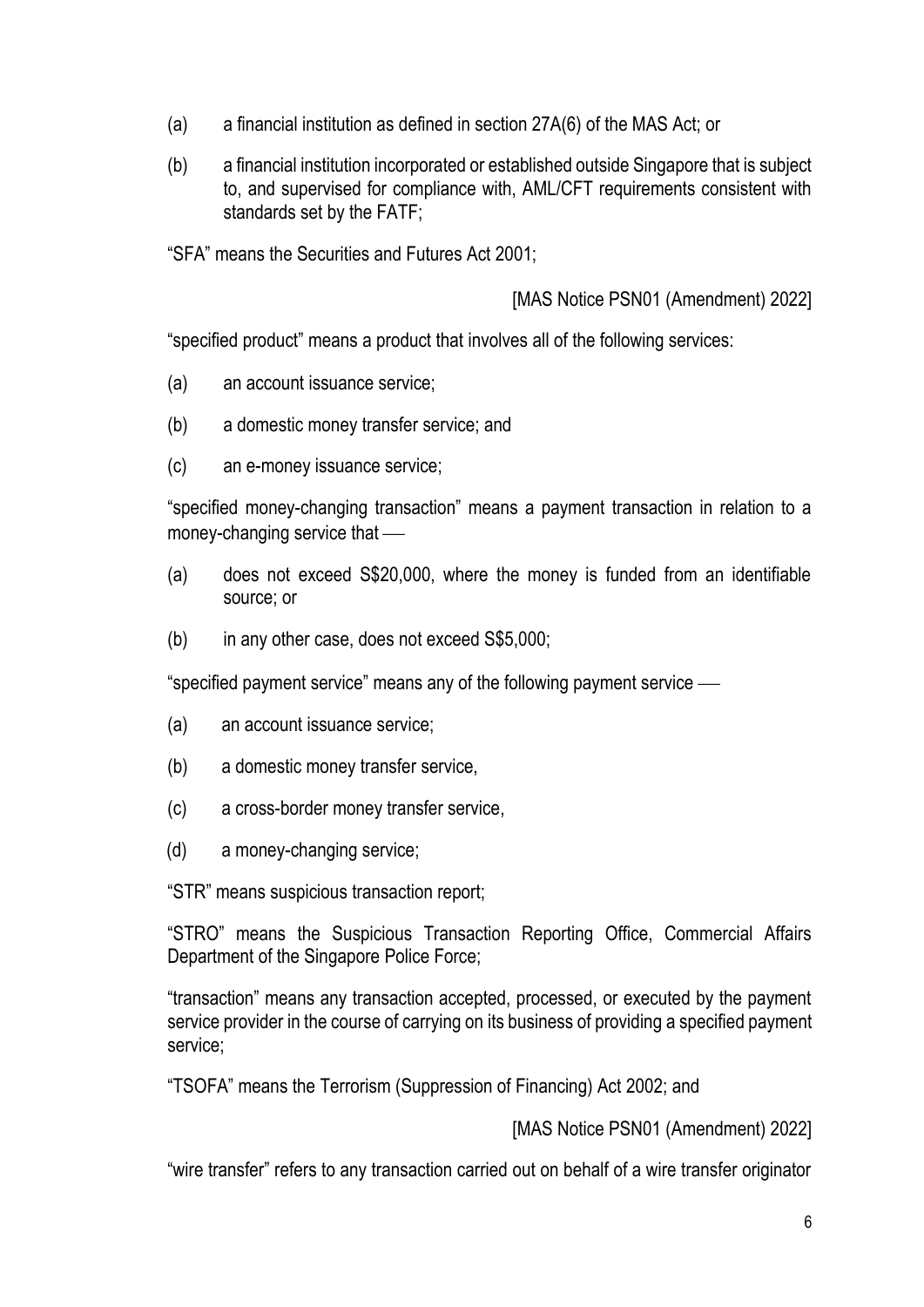- (a) a financial institution as defined in section 27A(6) of the MAS Act; or
- (b) a financial institution incorporated or established outside Singapore that is subject to, and supervised for compliance with, AML/CFT requirements consistent with standards set by the FATF;

"SFA" means the Securities and Futures Act 2001;

[MAS Notice PSN01 (Amendment) 2022]

"specified product" means a product that involves all of the following services:

- (a) an account issuance service;
- (b) a domestic money transfer service; and
- (c) an e-money issuance service;

"specified money-changing transaction" means a payment transaction in relation to a money-changing service that  $\equiv$ 

- (a) does not exceed S\$20,000, where the money is funded from an identifiable source; or
- (b) in any other case, does not exceed S\$5,000;

"specified payment service" means any of the following payment service  $-\!\!-\!\!$ 

- (a) an account issuance service;
- (b) a domestic money transfer service,
- (c) a cross-border money transfer service,
- (d) a money-changing service;

"STR" means suspicious transaction report;

"STRO" means the Suspicious Transaction Reporting Office, Commercial Affairs Department of the Singapore Police Force;

"transaction" means any transaction accepted, processed, or executed by the payment service provider in the course of carrying on its business of providing a specified payment service;

"TSOFA" means the Terrorism (Suppression of Financing) Act 2002; and

[MAS Notice PSN01 (Amendment) 2022]

"wire transfer" refers to any transaction carried out on behalf of a wire transfer originator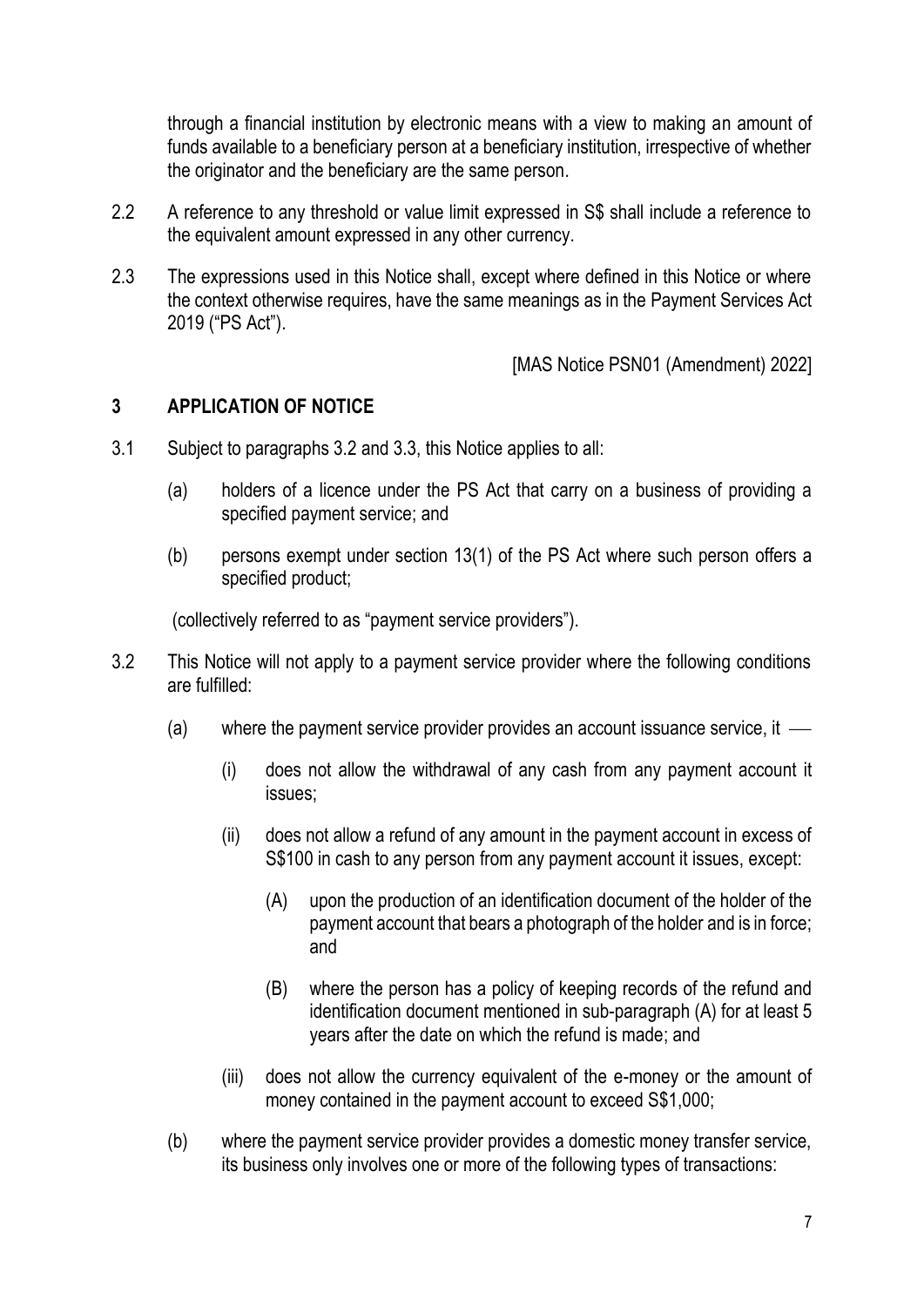through a financial institution by electronic means with a view to making an amount of funds available to a beneficiary person at a beneficiary institution, irrespective of whether the originator and the beneficiary are the same person.

- 2.2 A reference to any threshold or value limit expressed in S\$ shall include a reference to the equivalent amount expressed in any other currency.
- 2.3 The expressions used in this Notice shall, except where defined in this Notice or where the context otherwise requires, have the same meanings as in the Payment Services Act 2019 ("PS Act").

[MAS Notice PSN01 (Amendment) 2022]

#### **3 APPLICATION OF NOTICE**

- 3.1 Subject to paragraphs 3.2 and 3.3, this Notice applies to all:
	- (a) holders of a licence under the PS Act that carry on a business of providing a specified payment service; and
	- (b) persons exempt under section 13(1) of the PS Act where such person offers a specified product;

(collectively referred to as "payment service providers").

- 3.2 This Notice will not apply to a payment service provider where the following conditions are fulfilled:
	- (a) where the payment service provider provides an account issuance service, it  $\overline{\phantom{a}}$ 
		- (i) does not allow the withdrawal of any cash from any payment account it issues;
		- (ii) does not allow a refund of any amount in the payment account in excess of S\$100 in cash to any person from any payment account it issues, except:
			- (A) upon the production of an identification document of the holder of the payment account that bears a photograph of the holder and is in force; and
			- (B) where the person has a policy of keeping records of the refund and identification document mentioned in sub-paragraph (A) for at least 5 years after the date on which the refund is made; and
		- (iii) does not allow the currency equivalent of the e-money or the amount of money contained in the payment account to exceed S\$1,000;
	- (b) where the payment service provider provides a domestic money transfer service, its business only involves one or more of the following types of transactions: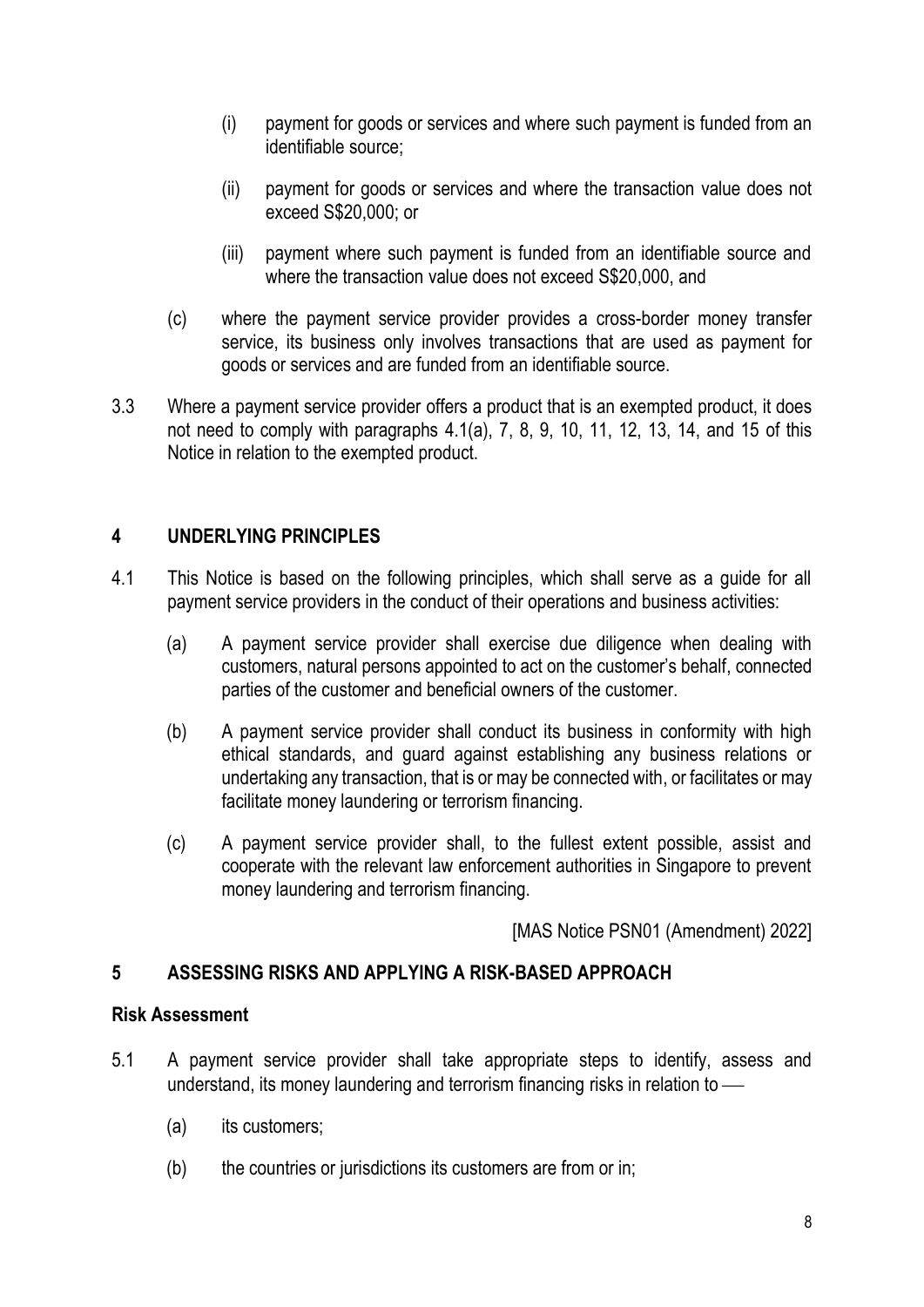- (i) payment for goods or services and where such payment is funded from an identifiable source;
- (ii) payment for goods or services and where the transaction value does not exceed S\$20,000; or
- (iii) payment where such payment is funded from an identifiable source and where the transaction value does not exceed S\$20,000, and
- (c) where the payment service provider provides a cross-border money transfer service, its business only involves transactions that are used as payment for goods or services and are funded from an identifiable source.
- 3.3 Where a payment service provider offers a product that is an exempted product, it does not need to comply with paragraphs 4.1(a), 7, 8, 9, 10, 11, 12, 13, 14, and 15 of this Notice in relation to the exempted product.

# **4 UNDERLYING PRINCIPLES**

- 4.1 This Notice is based on the following principles, which shall serve as a guide for all payment service providers in the conduct of their operations and business activities:
	- (a) A payment service provider shall exercise due diligence when dealing with customers, natural persons appointed to act on the customer's behalf, connected parties of the customer and beneficial owners of the customer.
	- (b) A payment service provider shall conduct its business in conformity with high ethical standards, and guard against establishing any business relations or undertaking any transaction, that is or may be connected with, or facilitates or may facilitate money laundering or terrorism financing.
	- (c) A payment service provider shall, to the fullest extent possible, assist and cooperate with the relevant law enforcement authorities in Singapore to prevent money laundering and terrorism financing.

[MAS Notice PSN01 (Amendment) 2022]

# **5 ASSESSING RISKS AND APPLYING A RISK-BASED APPROACH**

### **Risk Assessment**

- 5.1 A payment service provider shall take appropriate steps to identify, assess and understand, its money laundering and terrorism financing risks in relation to  $-$ 
	- (a) its customers;
	- (b) the countries or jurisdictions its customers are from or in;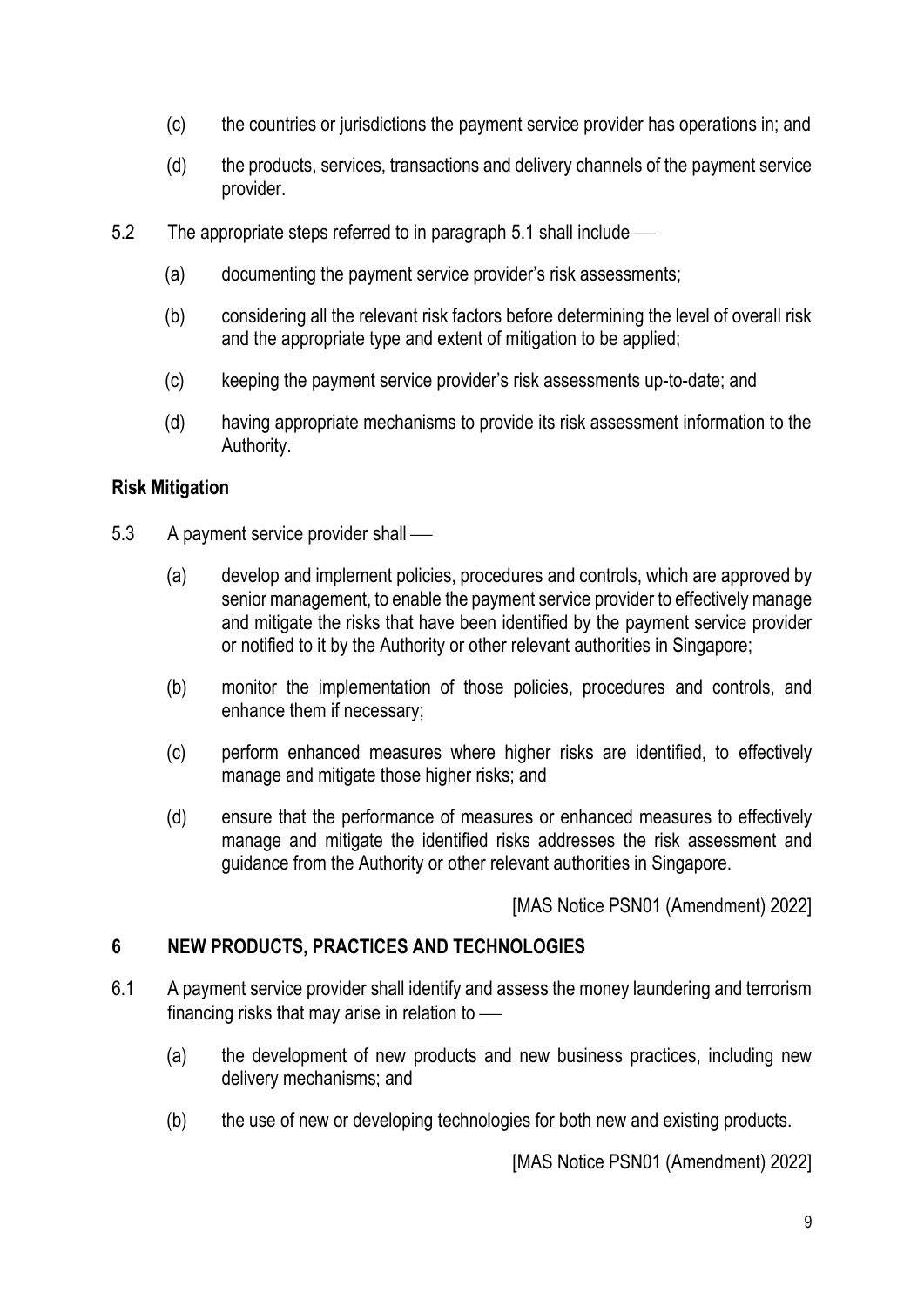- (c) the countries or jurisdictions the payment service provider has operations in; and
- (d) the products, services, transactions and delivery channels of the payment service provider.
- 5.2 The appropriate steps referred to in paragraph 5.1 shall include
	- (a) documenting the payment service provider's risk assessments;
	- (b) considering all the relevant risk factors before determining the level of overall risk and the appropriate type and extent of mitigation to be applied;
	- (c) keeping the payment service provider's risk assessments up-to-date; and
	- (d) having appropriate mechanisms to provide its risk assessment information to the Authority.

# **Risk Mitigation**

- 5.3 A payment service provider shall
	- (a) develop and implement policies, procedures and controls, which are approved by senior management, to enable the payment service provider to effectively manage and mitigate the risks that have been identified by the payment service provider or notified to it by the Authority or other relevant authorities in Singapore;
	- (b) monitor the implementation of those policies, procedures and controls, and enhance them if necessary;
	- (c) perform enhanced measures where higher risks are identified, to effectively manage and mitigate those higher risks; and
	- (d) ensure that the performance of measures or enhanced measures to effectively manage and mitigate the identified risks addresses the risk assessment and guidance from the Authority or other relevant authorities in Singapore.

[MAS Notice PSN01 (Amendment) 2022]

# **6 NEW PRODUCTS, PRACTICES AND TECHNOLOGIES**

- 6.1 A payment service provider shall identify and assess the money laundering and terrorism financing risks that may arise in relation to  $-$ 
	- (a) the development of new products and new business practices, including new delivery mechanisms; and
	- (b) the use of new or developing technologies for both new and existing products.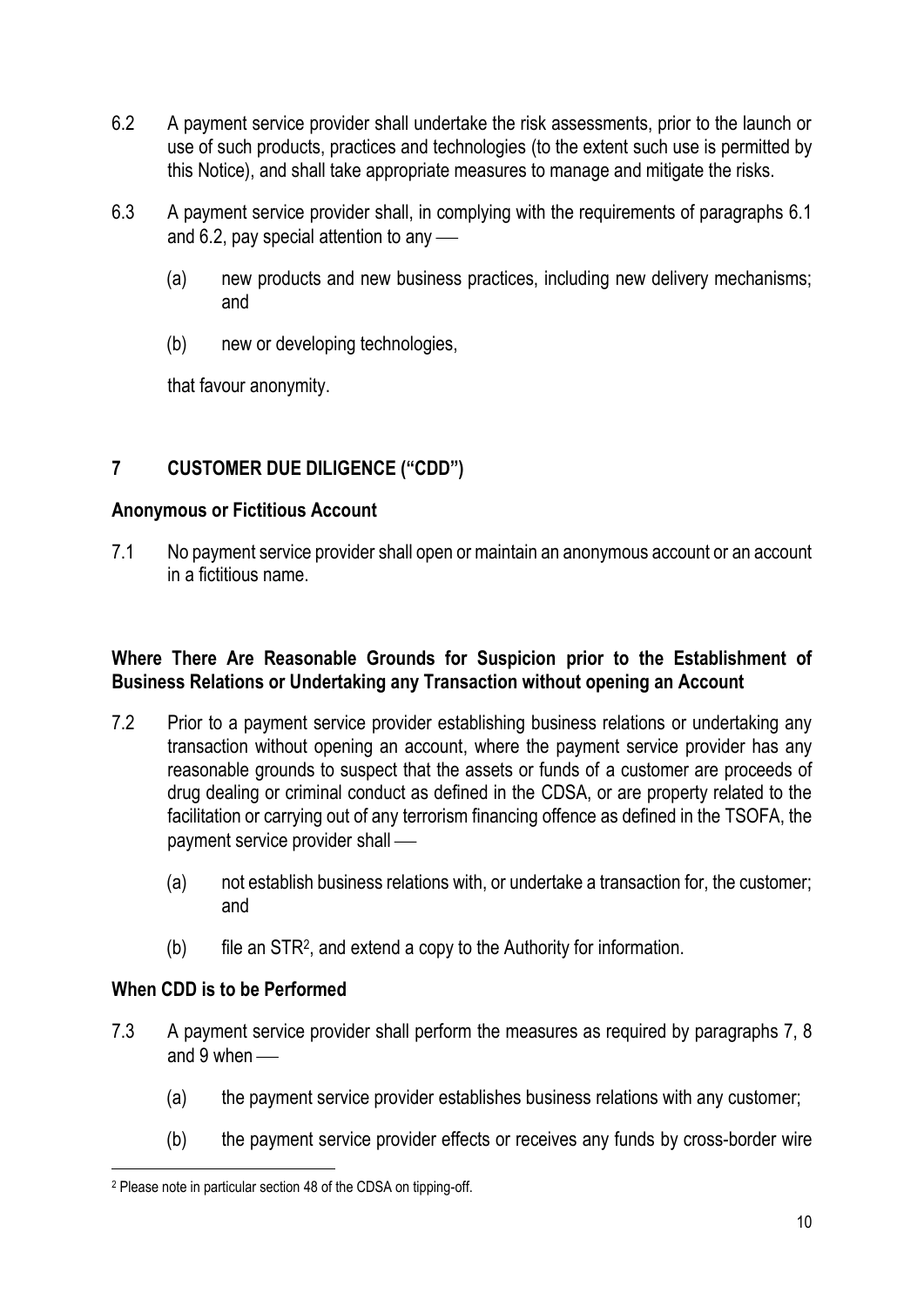- 6.2 A payment service provider shall undertake the risk assessments, prior to the launch or use of such products, practices and technologies (to the extent such use is permitted by this Notice), and shall take appropriate measures to manage and mitigate the risks.
- 6.3 A payment service provider shall, in complying with the requirements of paragraphs 6.1 and 6.2, pay special attention to any  $\sim$ 
	- (a) new products and new business practices, including new delivery mechanisms; and
	- (b) new or developing technologies,

that favour anonymity.

# **7 CUSTOMER DUE DILIGENCE ("CDD")**

### **Anonymous or Fictitious Account**

7.1 No payment service provider shall open or maintain an anonymous account or an account in a fictitious name.

### **Where There Are Reasonable Grounds for Suspicion prior to the Establishment of Business Relations or Undertaking any Transaction without opening an Account**

- 7.2 Prior to a payment service provider establishing business relations or undertaking any transaction without opening an account, where the payment service provider has any reasonable grounds to suspect that the assets or funds of a customer are proceeds of drug dealing or criminal conduct as defined in the CDSA, or are property related to the facilitation or carrying out of any terrorism financing offence as defined in the TSOFA, the payment service provider shall —
	- (a) not establish business relations with, or undertake a transaction for, the customer; and
	- (b) file an STR<sup>2</sup> , and extend a copy to the Authority for information.

# **When CDD is to be Performed**

- 7.3 A payment service provider shall perform the measures as required by paragraphs 7, 8 and  $9$  when  $-$ 
	- (a) the payment service provider establishes business relations with any customer;
	- (b) the payment service provider effects or receives any funds by cross-border wire

<sup>2</sup> Please note in particular section 48 of the CDSA on tipping-off.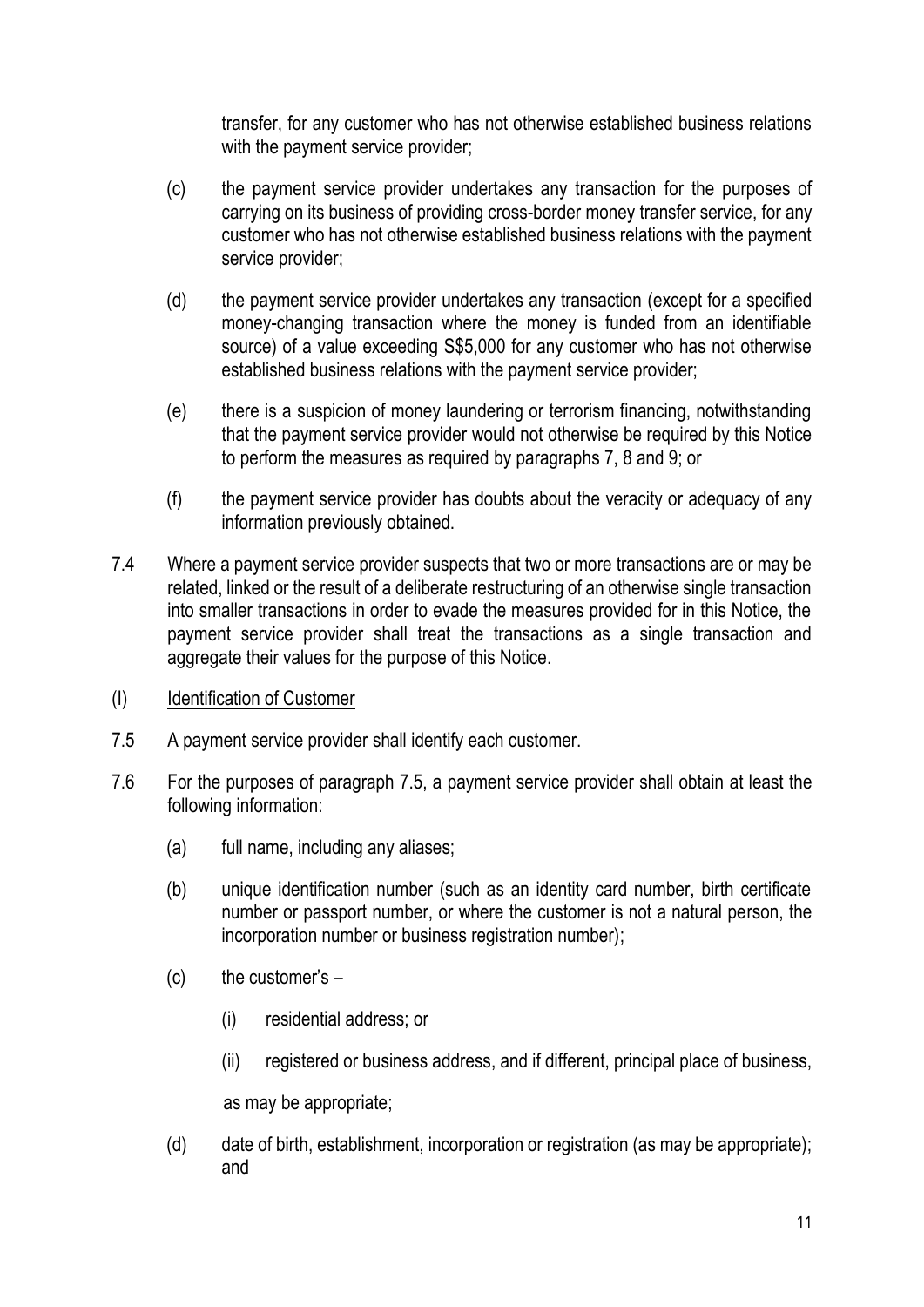transfer, for any customer who has not otherwise established business relations with the payment service provider;

- (c) the payment service provider undertakes any transaction for the purposes of carrying on its business of providing cross-border money transfer service, for any customer who has not otherwise established business relations with the payment service provider;
- (d) the payment service provider undertakes any transaction (except for a specified money-changing transaction where the money is funded from an identifiable source) of a value exceeding S\$5,000 for any customer who has not otherwise established business relations with the payment service provider;
- (e) there is a suspicion of money laundering or terrorism financing, notwithstanding that the payment service provider would not otherwise be required by this Notice to perform the measures as required by paragraphs 7, 8 and 9; or
- (f) the payment service provider has doubts about the veracity or adequacy of any information previously obtained.
- 7.4 Where a payment service provider suspects that two or more transactions are or may be related, linked or the result of a deliberate restructuring of an otherwise single transaction into smaller transactions in order to evade the measures provided for in this Notice, the payment service provider shall treat the transactions as a single transaction and aggregate their values for the purpose of this Notice.
- (I) Identification of Customer
- 7.5 A payment service provider shall identify each customer.
- 7.6 For the purposes of paragraph 7.5, a payment service provider shall obtain at least the following information:
	- (a) full name, including any aliases;
	- (b) unique identification number (such as an identity card number, birth certificate number or passport number, or where the customer is not a natural person, the incorporation number or business registration number);
	- $(c)$  the customer's  $-$ 
		- (i) residential address; or
		- (ii) registered or business address, and if different, principal place of business,

as may be appropriate;

(d) date of birth, establishment, incorporation or registration (as may be appropriate); and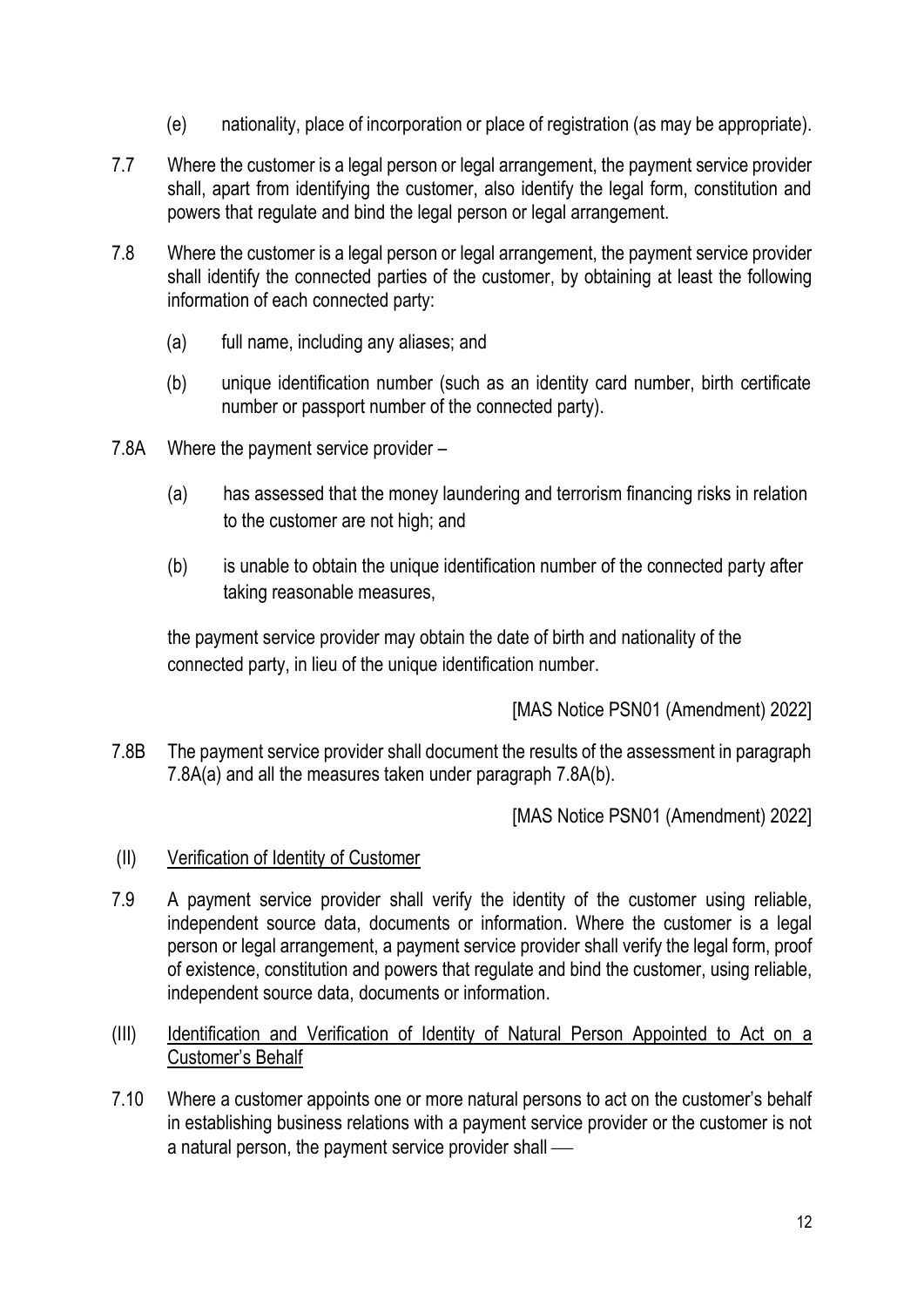- (e) nationality, place of incorporation or place of registration (as may be appropriate).
- 7.7 Where the customer is a legal person or legal arrangement, the payment service provider shall, apart from identifying the customer, also identify the legal form, constitution and powers that regulate and bind the legal person or legal arrangement.
- 7.8 Where the customer is a legal person or legal arrangement, the payment service provider shall identify the connected parties of the customer, by obtaining at least the following information of each connected party:
	- (a) full name, including any aliases; and
	- (b) unique identification number (such as an identity card number, birth certificate number or passport number of the connected party).
- 7.8A Where the payment service provider
	- (a) has assessed that the money laundering and terrorism financing risks in relation to the customer are not high; and
	- (b) is unable to obtain the unique identification number of the connected party after taking reasonable measures,

the payment service provider may obtain the date of birth and nationality of the connected party, in lieu of the unique identification number.

[MAS Notice PSN01 (Amendment) 2022]

7.8B The payment service provider shall document the results of the assessment in paragraph 7.8A(a) and all the measures taken under paragraph 7.8A(b).

- (II) Verification of Identity of Customer
- 7.9 A payment service provider shall verify the identity of the customer using reliable, independent source data, documents or information. Where the customer is a legal person or legal arrangement, a payment service provider shall verify the legal form, proof of existence, constitution and powers that regulate and bind the customer, using reliable, independent source data, documents or information.
- (III) Identification and Verification of Identity of Natural Person Appointed to Act on a Customer's Behalf
- 7.10 Where a customer appoints one or more natural persons to act on the customer's behalf in establishing business relations with a payment service provider or the customer is not a natural person, the payment service provider shall  $-$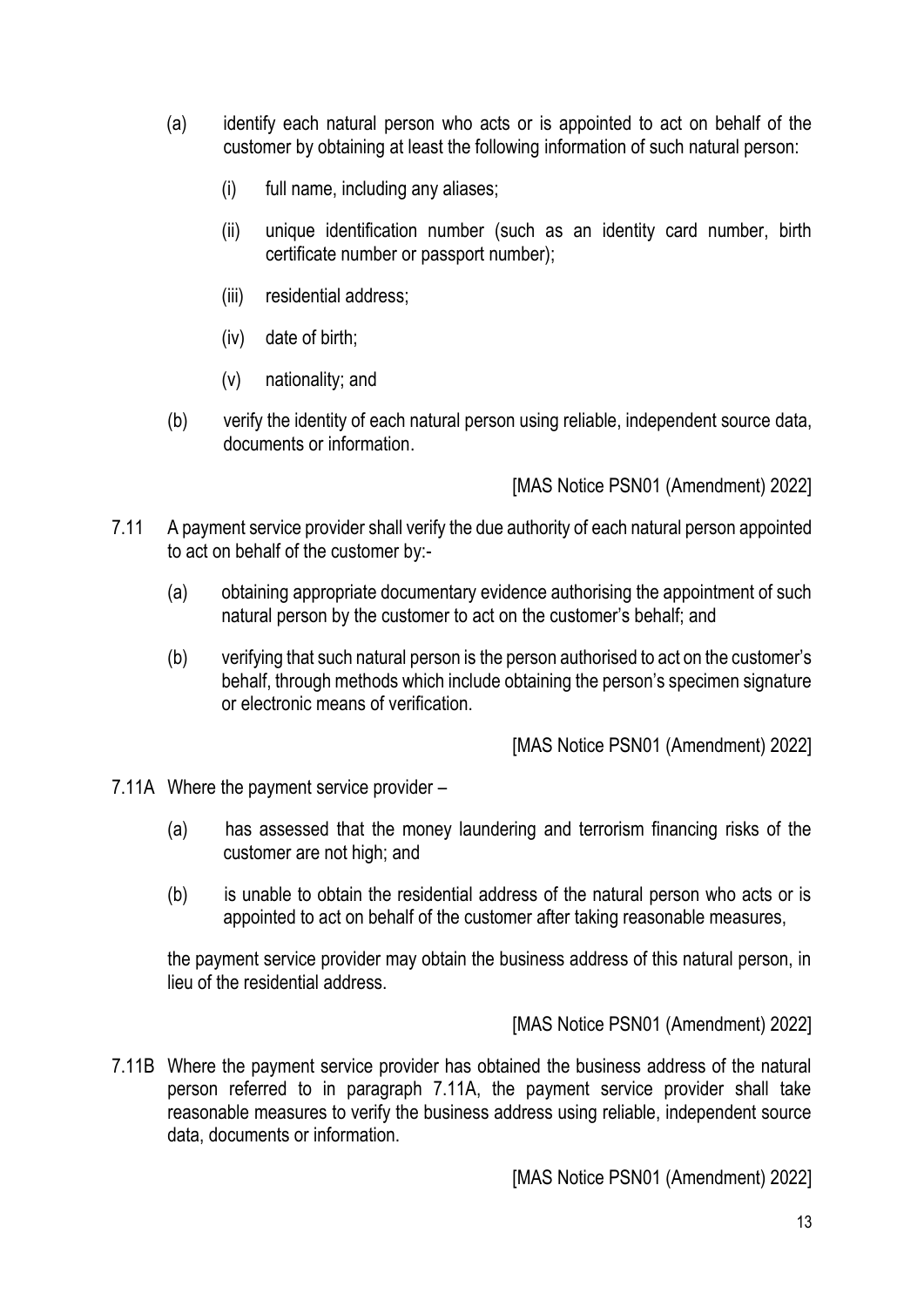- (a) identify each natural person who acts or is appointed to act on behalf of the customer by obtaining at least the following information of such natural person:
	- (i) full name, including any aliases;
	- (ii) unique identification number (such as an identity card number, birth certificate number or passport number);
	- (iii) residential address;
	- (iv) date of birth;
	- (v) nationality; and
- (b) verify the identity of each natural person using reliable, independent source data, documents or information.

[MAS Notice PSN01 (Amendment) 2022]

- 7.11 A payment service provider shall verify the due authority of each natural person appointed to act on behalf of the customer by:-
	- (a) obtaining appropriate documentary evidence authorising the appointment of such natural person by the customer to act on the customer's behalf; and
	- (b) verifying that such natural person is the person authorised to act on the customer's behalf, through methods which include obtaining the person's specimen signature or electronic means of verification.

[MAS Notice PSN01 (Amendment) 2022]

- 7.11A Where the payment service provider
	- (a) has assessed that the money laundering and terrorism financing risks of the customer are not high; and
	- (b) is unable to obtain the residential address of the natural person who acts or is appointed to act on behalf of the customer after taking reasonable measures,

the payment service provider may obtain the business address of this natural person, in lieu of the residential address.

[MAS Notice PSN01 (Amendment) 2022]

7.11B Where the payment service provider has obtained the business address of the natural person referred to in paragraph 7.11A, the payment service provider shall take reasonable measures to verify the business address using reliable, independent source data, documents or information.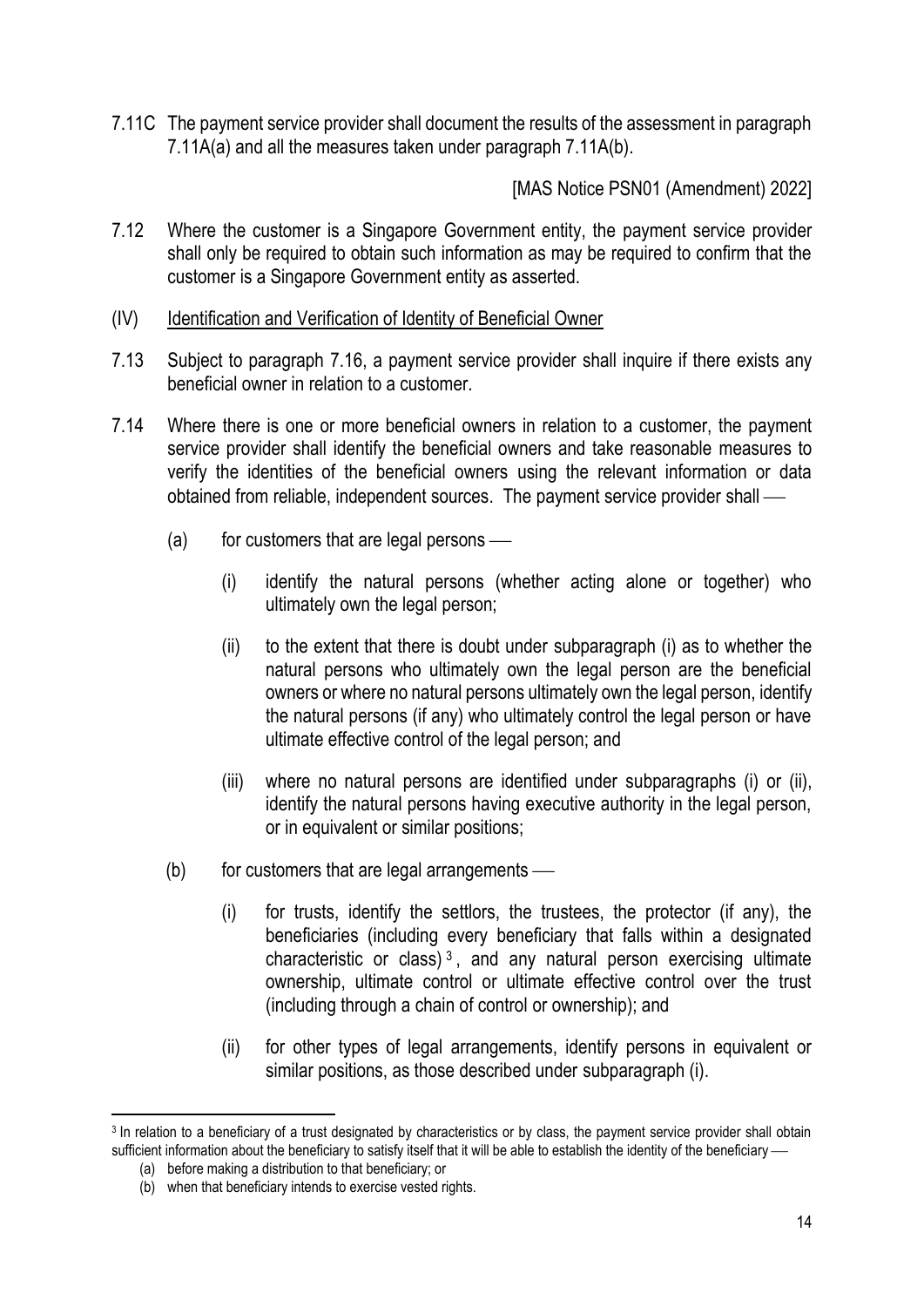7.11C The payment service provider shall document the results of the assessment in paragraph 7.11A(a) and all the measures taken under paragraph 7.11A(b).

- 7.12 Where the customer is a Singapore Government entity, the payment service provider shall only be required to obtain such information as may be required to confirm that the customer is a Singapore Government entity as asserted.
- (IV) Identification and Verification of Identity of Beneficial Owner
- 7.13 Subject to paragraph 7.16, a payment service provider shall inquire if there exists any beneficial owner in relation to a customer.
- 7.14 Where there is one or more beneficial owners in relation to a customer, the payment service provider shall identify the beneficial owners and take reasonable measures to verify the identities of the beneficial owners using the relevant information or data obtained from reliable, independent sources. The payment service provider shall —
	- $(a)$  for customers that are legal persons
		- (i) identify the natural persons (whether acting alone or together) who ultimately own the legal person;
		- (ii) to the extent that there is doubt under subparagraph (i) as to whether the natural persons who ultimately own the legal person are the beneficial owners or where no natural persons ultimately own the legal person, identify the natural persons (if any) who ultimately control the legal person or have ultimate effective control of the legal person; and
		- (iii) where no natural persons are identified under subparagraphs (i) or (ii), identify the natural persons having executive authority in the legal person, or in equivalent or similar positions;
	- $(b)$  for customers that are legal arrangements  $\frac{a}{b}$ 
		- (i) for trusts, identify the settlors, the trustees, the protector (if any), the beneficiaries (including every beneficiary that falls within a designated characteristic or class)<sup>3</sup>, and any natural person exercising ultimate ownership, ultimate control or ultimate effective control over the trust (including through a chain of control or ownership); and
		- (ii) for other types of legal arrangements, identify persons in equivalent or similar positions, as those described under subparagraph (i).

<sup>3</sup> In relation to a beneficiary of a trust designated by characteristics or by class, the payment service provider shall obtain sufficient information about the beneficiary to satisfy itself that it will be able to establish the identity of the beneficiary —

<sup>(</sup>a) before making a distribution to that beneficiary; or

<sup>(</sup>b) when that beneficiary intends to exercise vested rights.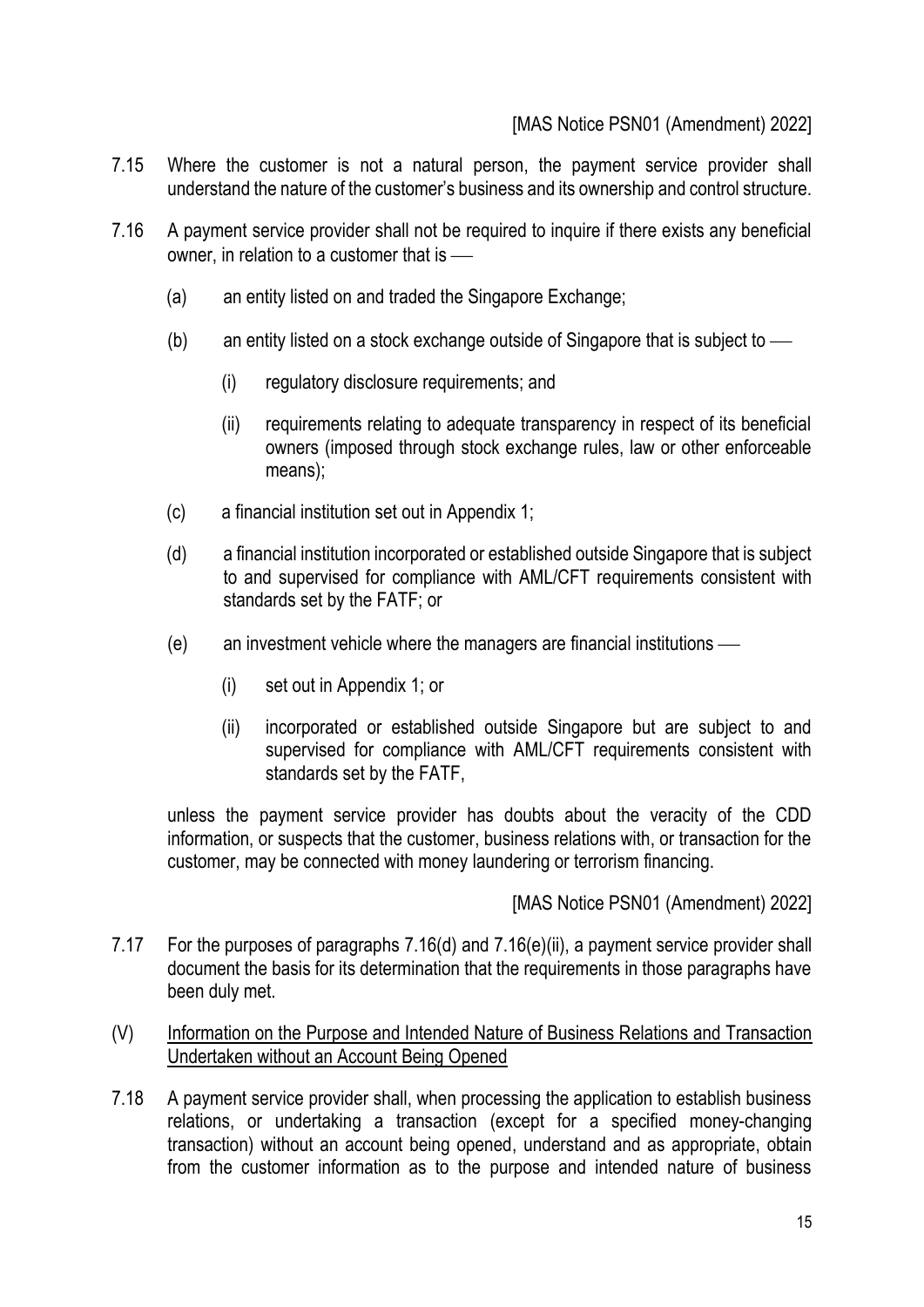# [MAS Notice PSN01 (Amendment) 2022]

- 7.15 Where the customer is not a natural person, the payment service provider shall understand the nature of the customer's business and its ownership and control structure.
- 7.16 A payment service provider shall not be required to inquire if there exists any beneficial owner, in relation to a customer that is  $-\!\!-\!\!$ 
	- (a) an entity listed on and traded the Singapore Exchange;
	- (b) an entity listed on a stock exchange outside of Singapore that is subject to  $\frac{1}{10}$ 
		- (i) regulatory disclosure requirements; and
		- (ii) requirements relating to adequate transparency in respect of its beneficial owners (imposed through stock exchange rules, law or other enforceable means);
	- (c) a financial institution set out in Appendix 1;
	- (d) a financial institution incorporated or established outside Singapore that is subject to and supervised for compliance with AML/CFT requirements consistent with standards set by the FATF; or
	- $(e)$  an investment vehicle where the managers are financial institutions  $-$ 
		- (i) set out in Appendix 1; or
		- (ii) incorporated or established outside Singapore but are subject to and supervised for compliance with AML/CFT requirements consistent with standards set by the FATF,

unless the payment service provider has doubts about the veracity of the CDD information, or suspects that the customer, business relations with, or transaction for the customer, may be connected with money laundering or terrorism financing.

- 7.17 For the purposes of paragraphs 7.16(d) and 7.16(e)(ii), a payment service provider shall document the basis for its determination that the requirements in those paragraphs have been duly met.
- (V) Information on the Purpose and Intended Nature of Business Relations and Transaction Undertaken without an Account Being Opened
- 7.18 A payment service provider shall, when processing the application to establish business relations, or undertaking a transaction (except for a specified money-changing transaction) without an account being opened, understand and as appropriate, obtain from the customer information as to the purpose and intended nature of business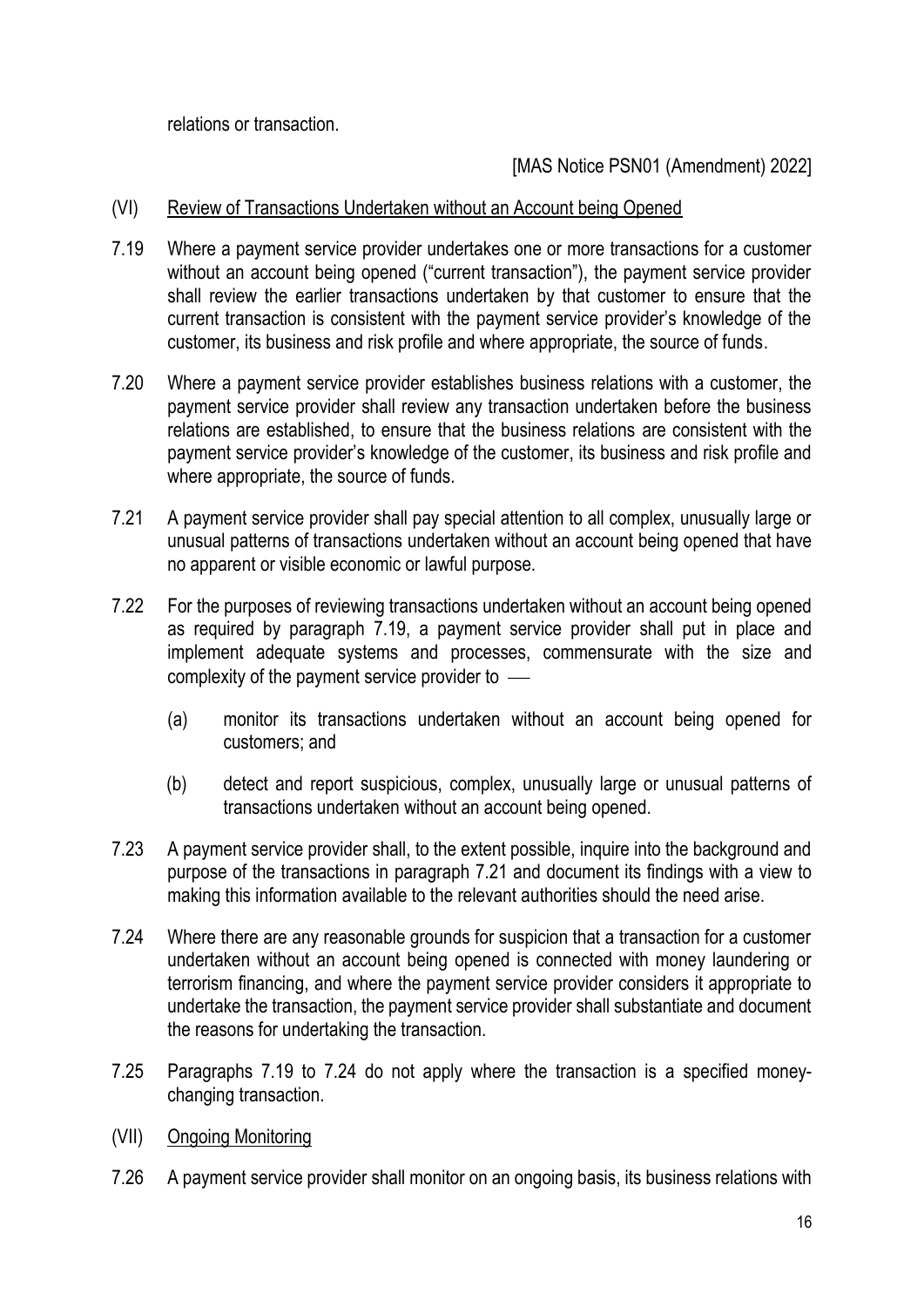relations or transaction.

[MAS Notice PSN01 (Amendment) 2022]

### (VI) Review of Transactions Undertaken without an Account being Opened

- 7.19 Where a payment service provider undertakes one or more transactions for a customer without an account being opened ("current transaction"), the payment service provider shall review the earlier transactions undertaken by that customer to ensure that the current transaction is consistent with the payment service provider's knowledge of the customer, its business and risk profile and where appropriate, the source of funds.
- 7.20 Where a payment service provider establishes business relations with a customer, the payment service provider shall review any transaction undertaken before the business relations are established, to ensure that the business relations are consistent with the payment service provider's knowledge of the customer, its business and risk profile and where appropriate, the source of funds.
- 7.21 A payment service provider shall pay special attention to all complex, unusually large or unusual patterns of transactions undertaken without an account being opened that have no apparent or visible economic or lawful purpose.
- 7.22 For the purposes of reviewing transactions undertaken without an account being opened as required by paragraph 7.19, a payment service provider shall put in place and implement adequate systems and processes, commensurate with the size and complexity of the payment service provider to  $\overline{\phantom{a}}$ 
	- (a) monitor its transactions undertaken without an account being opened for customers; and
	- (b) detect and report suspicious, complex, unusually large or unusual patterns of transactions undertaken without an account being opened.
- 7.23 A payment service provider shall, to the extent possible, inquire into the background and purpose of the transactions in paragraph 7.21 and document its findings with a view to making this information available to the relevant authorities should the need arise.
- 7.24 Where there are any reasonable grounds for suspicion that a transaction for a customer undertaken without an account being opened is connected with money laundering or terrorism financing, and where the payment service provider considers it appropriate to undertake the transaction, the payment service provider shall substantiate and document the reasons for undertaking the transaction.
- 7.25 Paragraphs 7.19 to 7.24 do not apply where the transaction is a specified moneychanging transaction.
- (VII) Ongoing Monitoring
- 7.26 A payment service provider shall monitor on an ongoing basis, its business relations with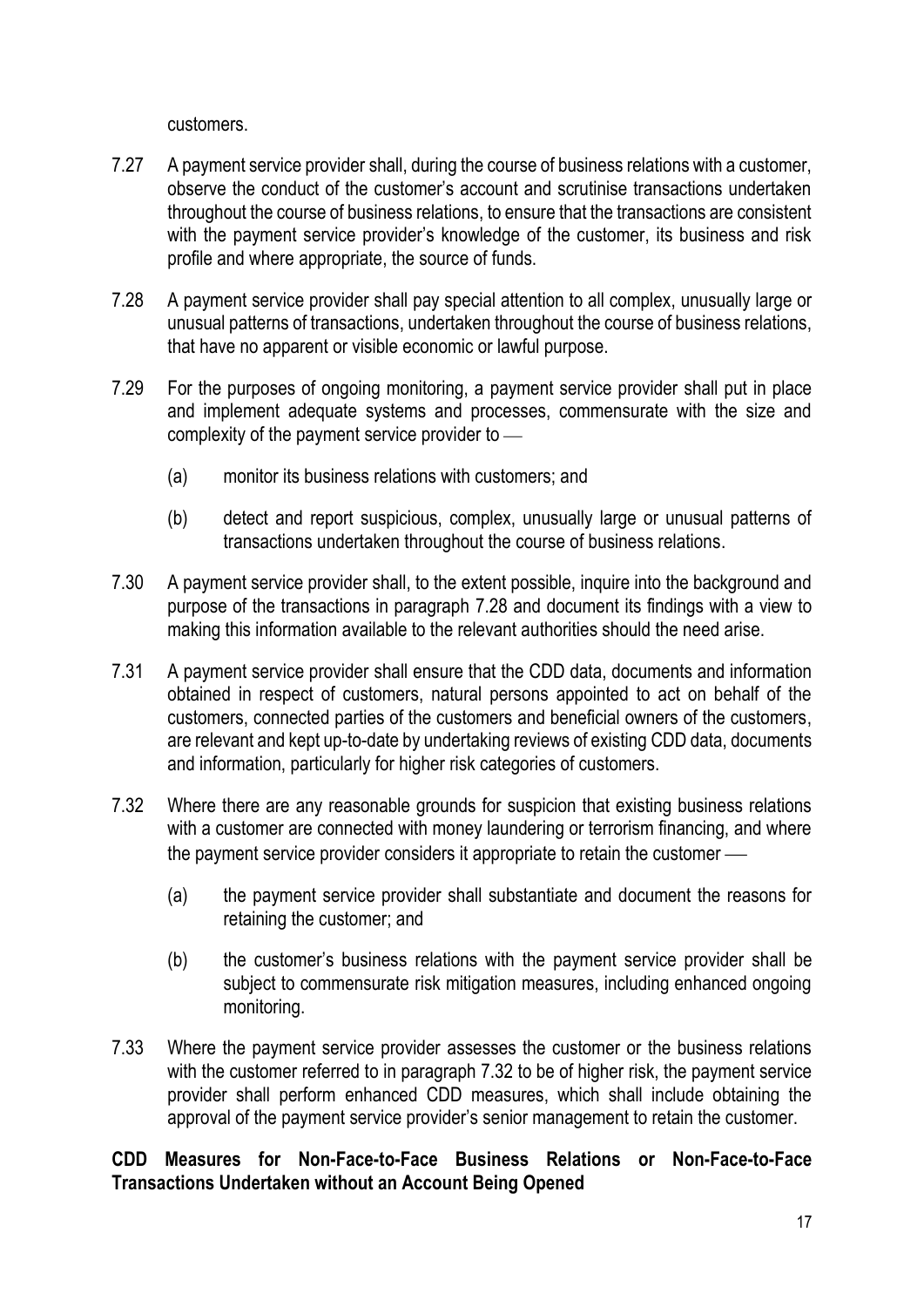customers.

- 7.27 A payment service provider shall, during the course of business relations with a customer, observe the conduct of the customer's account and scrutinise transactions undertaken throughout the course of business relations, to ensure that the transactions are consistent with the payment service provider's knowledge of the customer, its business and risk profile and where appropriate, the source of funds.
- 7.28 A payment service provider shall pay special attention to all complex, unusually large or unusual patterns of transactions, undertaken throughout the course of business relations, that have no apparent or visible economic or lawful purpose.
- 7.29 For the purposes of ongoing monitoring, a payment service provider shall put in place and implement adequate systems and processes, commensurate with the size and complexity of the payment service provider to  $-$ 
	- (a) monitor its business relations with customers; and
	- (b) detect and report suspicious, complex, unusually large or unusual patterns of transactions undertaken throughout the course of business relations.
- 7.30 A payment service provider shall, to the extent possible, inquire into the background and purpose of the transactions in paragraph 7.28 and document its findings with a view to making this information available to the relevant authorities should the need arise.
- 7.31 A payment service provider shall ensure that the CDD data, documents and information obtained in respect of customers, natural persons appointed to act on behalf of the customers, connected parties of the customers and beneficial owners of the customers, are relevant and kept up-to-date by undertaking reviews of existing CDD data, documents and information, particularly for higher risk categories of customers.
- 7.32 Where there are any reasonable grounds for suspicion that existing business relations with a customer are connected with money laundering or terrorism financing, and where the payment service provider considers it appropriate to retain the customer —
	- (a) the payment service provider shall substantiate and document the reasons for retaining the customer; and
	- (b) the customer's business relations with the payment service provider shall be subject to commensurate risk mitigation measures, including enhanced ongoing monitoring.
- 7.33 Where the payment service provider assesses the customer or the business relations with the customer referred to in paragraph 7.32 to be of higher risk, the payment service provider shall perform enhanced CDD measures, which shall include obtaining the approval of the payment service provider's senior management to retain the customer.

### **CDD Measures for Non-Face-to-Face Business Relations or Non-Face-to-Face Transactions Undertaken without an Account Being Opened**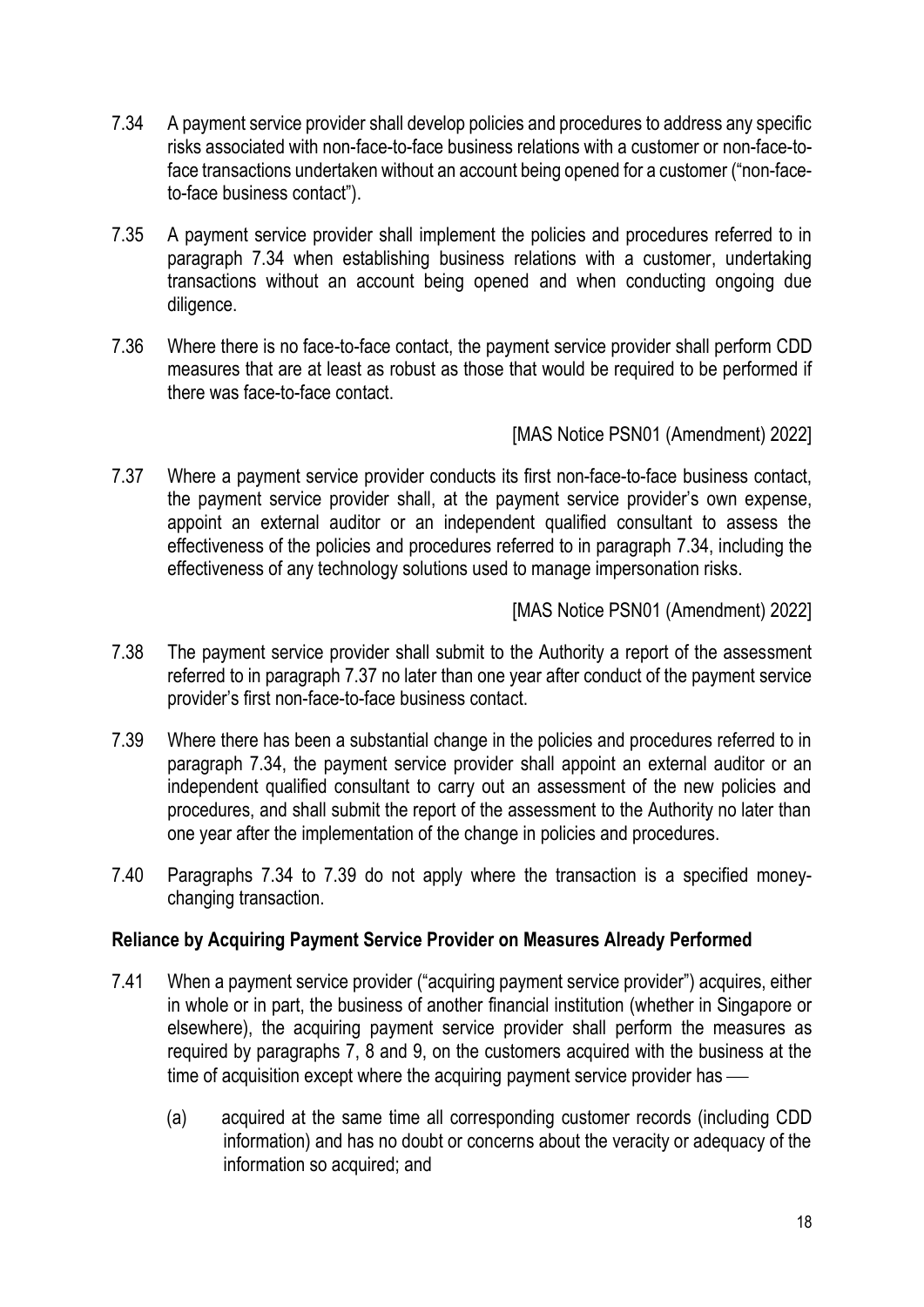- 7.34 A payment service provider shall develop policies and procedures to address any specific risks associated with non-face-to-face business relations with a customer or non-face-toface transactions undertaken without an account being opened for a customer ("non-faceto-face business contact").
- 7.35 A payment service provider shall implement the policies and procedures referred to in paragraph 7.34 when establishing business relations with a customer, undertaking transactions without an account being opened and when conducting ongoing due diligence.
- 7.36 Where there is no face-to-face contact, the payment service provider shall perform CDD measures that are at least as robust as those that would be required to be performed if there was face-to-face contact.

[MAS Notice PSN01 (Amendment) 2022]

7.37 Where a payment service provider conducts its first non-face-to-face business contact, the payment service provider shall, at the payment service provider's own expense, appoint an external auditor or an independent qualified consultant to assess the effectiveness of the policies and procedures referred to in paragraph 7.34, including the effectiveness of any technology solutions used to manage impersonation risks.

[MAS Notice PSN01 (Amendment) 2022]

- 7.38 The payment service provider shall submit to the Authority a report of the assessment referred to in paragraph 7.37 no later than one year after conduct of the payment service provider's first non-face-to-face business contact.
- 7.39 Where there has been a substantial change in the policies and procedures referred to in paragraph 7.34, the payment service provider shall appoint an external auditor or an independent qualified consultant to carry out an assessment of the new policies and procedures, and shall submit the report of the assessment to the Authority no later than one year after the implementation of the change in policies and procedures.
- 7.40 Paragraphs 7.34 to 7.39 do not apply where the transaction is a specified moneychanging transaction.

# **Reliance by Acquiring Payment Service Provider on Measures Already Performed**

- 7.41 When a payment service provider ("acquiring payment service provider") acquires, either in whole or in part, the business of another financial institution (whether in Singapore or elsewhere), the acquiring payment service provider shall perform the measures as required by paragraphs 7, 8 and 9, on the customers acquired with the business at the time of acquisition except where the acquiring payment service provider has —
	- (a) acquired at the same time all corresponding customer records (including CDD information) and has no doubt or concerns about the veracity or adequacy of the information so acquired; and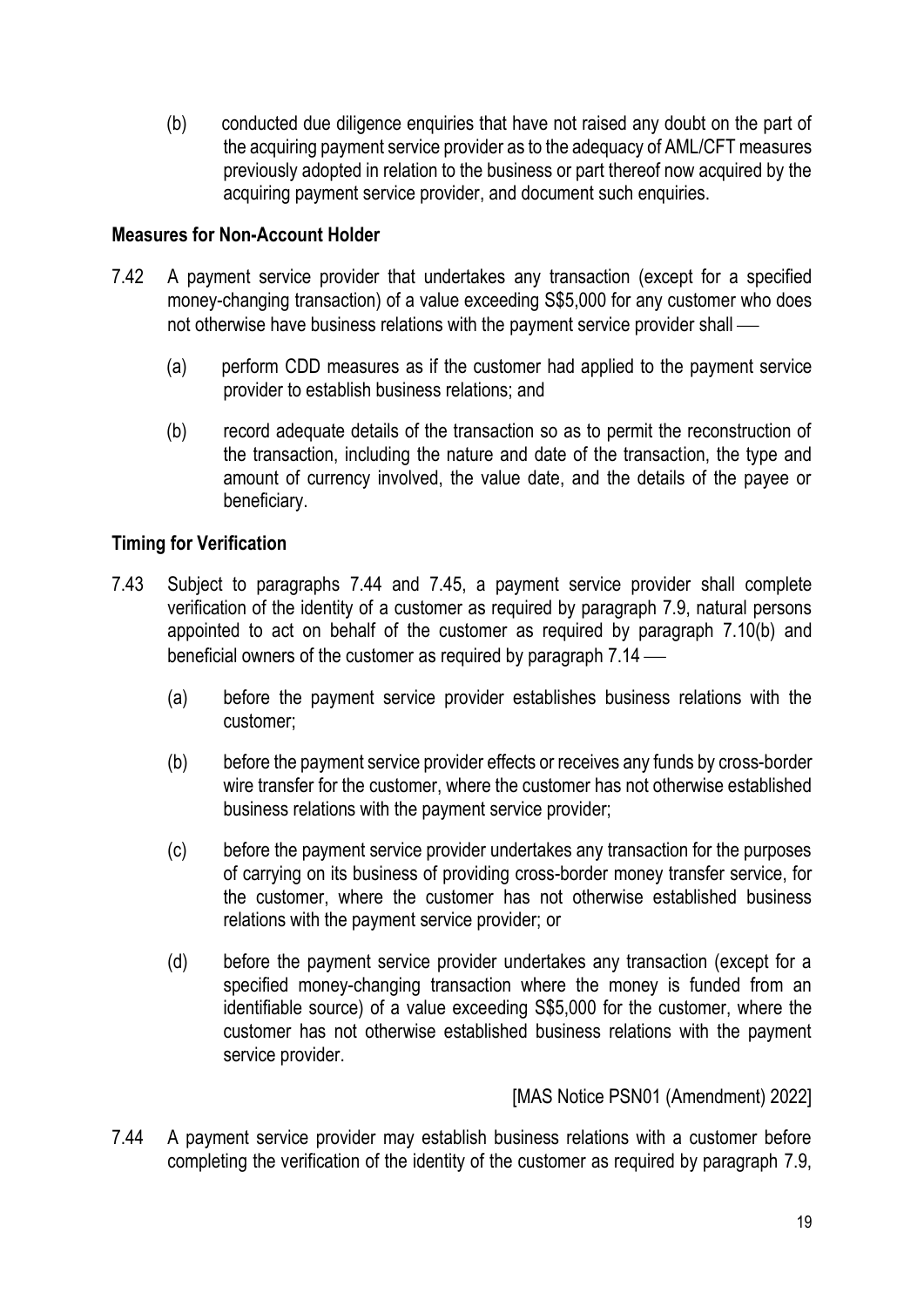(b) conducted due diligence enquiries that have not raised any doubt on the part of the acquiring payment service provider as to the adequacy of AML/CFT measures previously adopted in relation to the business or part thereof now acquired by the acquiring payment service provider, and document such enquiries.

### **Measures for Non-Account Holder**

- 7.42 A payment service provider that undertakes any transaction (except for a specified money-changing transaction) of a value exceeding S\$5,000 for any customer who does not otherwise have business relations with the payment service provider shall —
	- (a) perform CDD measures as if the customer had applied to the payment service provider to establish business relations; and
	- (b) record adequate details of the transaction so as to permit the reconstruction of the transaction, including the nature and date of the transaction, the type and amount of currency involved, the value date, and the details of the payee or beneficiary.

# **Timing for Verification**

- 7.43 Subject to paragraphs 7.44 and 7.45, a payment service provider shall complete verification of the identity of a customer as required by paragraph 7.9, natural persons appointed to act on behalf of the customer as required by paragraph 7.10(b) and beneficial owners of the customer as required by paragraph  $7.14$  —
	- (a) before the payment service provider establishes business relations with the customer;
	- (b) before the payment service provider effects or receives any funds by cross-border wire transfer for the customer, where the customer has not otherwise established business relations with the payment service provider;
	- (c) before the payment service provider undertakes any transaction for the purposes of carrying on its business of providing cross-border money transfer service, for the customer, where the customer has not otherwise established business relations with the payment service provider; or
	- (d) before the payment service provider undertakes any transaction (except for a specified money-changing transaction where the money is funded from an identifiable source) of a value exceeding S\$5,000 for the customer, where the customer has not otherwise established business relations with the payment service provider.

[MAS Notice PSN01 (Amendment) 2022]

7.44 A payment service provider may establish business relations with a customer before completing the verification of the identity of the customer as required by paragraph 7.9,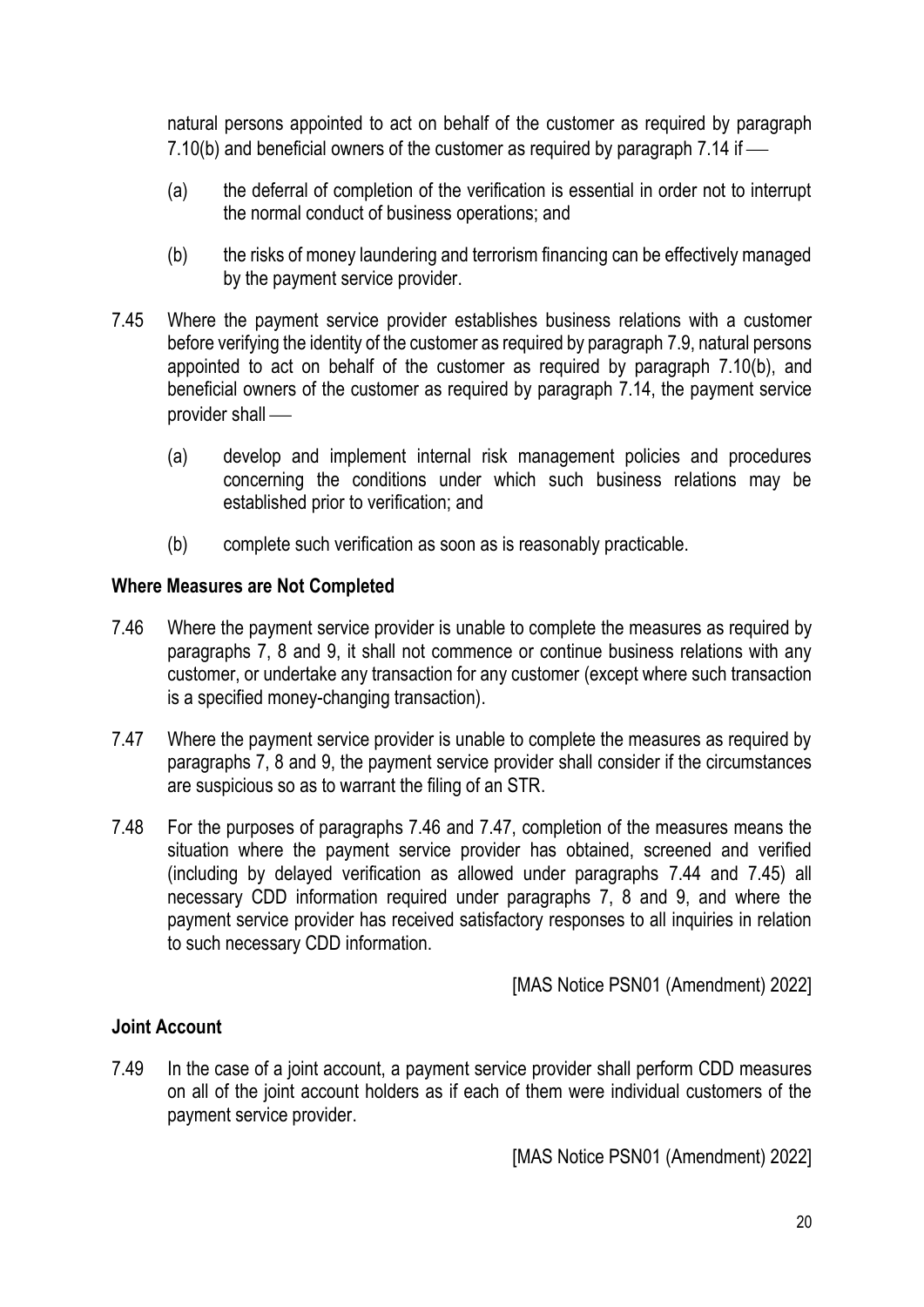natural persons appointed to act on behalf of the customer as required by paragraph 7.10(b) and beneficial owners of the customer as required by paragraph  $7.14$  if  $-$ 

- (a) the deferral of completion of the verification is essential in order not to interrupt the normal conduct of business operations; and
- (b) the risks of money laundering and terrorism financing can be effectively managed by the payment service provider.
- 7.45 Where the payment service provider establishes business relations with a customer before verifying the identity of the customer as required by paragraph 7.9, natural persons appointed to act on behalf of the customer as required by paragraph 7.10(b), and beneficial owners of the customer as required by paragraph 7.14, the payment service provider shall —
	- (a) develop and implement internal risk management policies and procedures concerning the conditions under which such business relations may be established prior to verification; and
	- (b) complete such verification as soon as is reasonably practicable.

#### **Where Measures are Not Completed**

- 7.46 Where the payment service provider is unable to complete the measures as required by paragraphs 7, 8 and 9, it shall not commence or continue business relations with any customer, or undertake any transaction for any customer (except where such transaction is a specified money-changing transaction).
- 7.47 Where the payment service provider is unable to complete the measures as required by paragraphs 7, 8 and 9, the payment service provider shall consider if the circumstances are suspicious so as to warrant the filing of an STR.
- 7.48 For the purposes of paragraphs 7.46 and 7.47, completion of the measures means the situation where the payment service provider has obtained, screened and verified (including by delayed verification as allowed under paragraphs 7.44 and 7.45) all necessary CDD information required under paragraphs 7, 8 and 9, and where the payment service provider has received satisfactory responses to all inquiries in relation to such necessary CDD information.

[MAS Notice PSN01 (Amendment) 2022]

#### **Joint Account**

7.49 In the case of a joint account, a payment service provider shall perform CDD measures on all of the joint account holders as if each of them were individual customers of the payment service provider.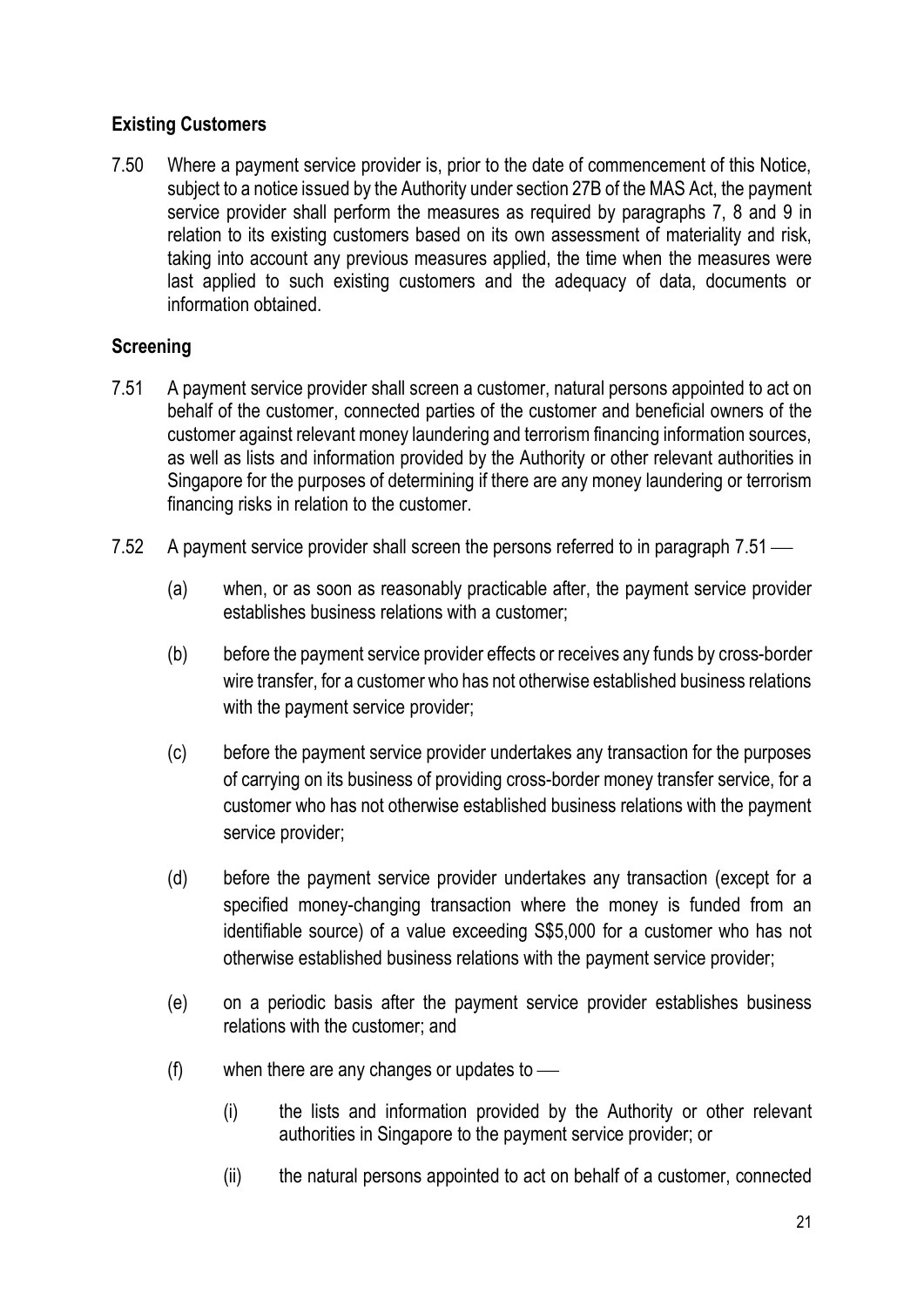# **Existing Customers**

7.50 Where a payment service provider is, prior to the date of commencement of this Notice, subject to a notice issued by the Authority under section 27B of the MAS Act, the payment service provider shall perform the measures as required by paragraphs 7, 8 and 9 in relation to its existing customers based on its own assessment of materiality and risk, taking into account any previous measures applied, the time when the measures were last applied to such existing customers and the adequacy of data, documents or information obtained.

# **Screening**

- 7.51 A payment service provider shall screen a customer, natural persons appointed to act on behalf of the customer, connected parties of the customer and beneficial owners of the customer against relevant money laundering and terrorism financing information sources, as well as lists and information provided by the Authority or other relevant authorities in Singapore for the purposes of determining if there are any money laundering or terrorism financing risks in relation to the customer.
- 7.52 A payment service provider shall screen the persons referred to in paragraph 7.51
	- (a) when, or as soon as reasonably practicable after, the payment service provider establishes business relations with a customer;
	- (b) before the payment service provider effects or receives any funds by cross-border wire transfer, for a customer who has not otherwise established business relations with the payment service provider;
	- (c) before the payment service provider undertakes any transaction for the purposes of carrying on its business of providing cross-border money transfer service, for a customer who has not otherwise established business relations with the payment service provider;
	- (d) before the payment service provider undertakes any transaction (except for a specified money-changing transaction where the money is funded from an identifiable source) of a value exceeding S\$5,000 for a customer who has not otherwise established business relations with the payment service provider;
	- (e) on a periodic basis after the payment service provider establishes business relations with the customer; and
	- $(f)$  when there are any changes or updates to  $\frac{f}{f}$ 
		- (i) the lists and information provided by the Authority or other relevant authorities in Singapore to the payment service provider; or
		- (ii) the natural persons appointed to act on behalf of a customer, connected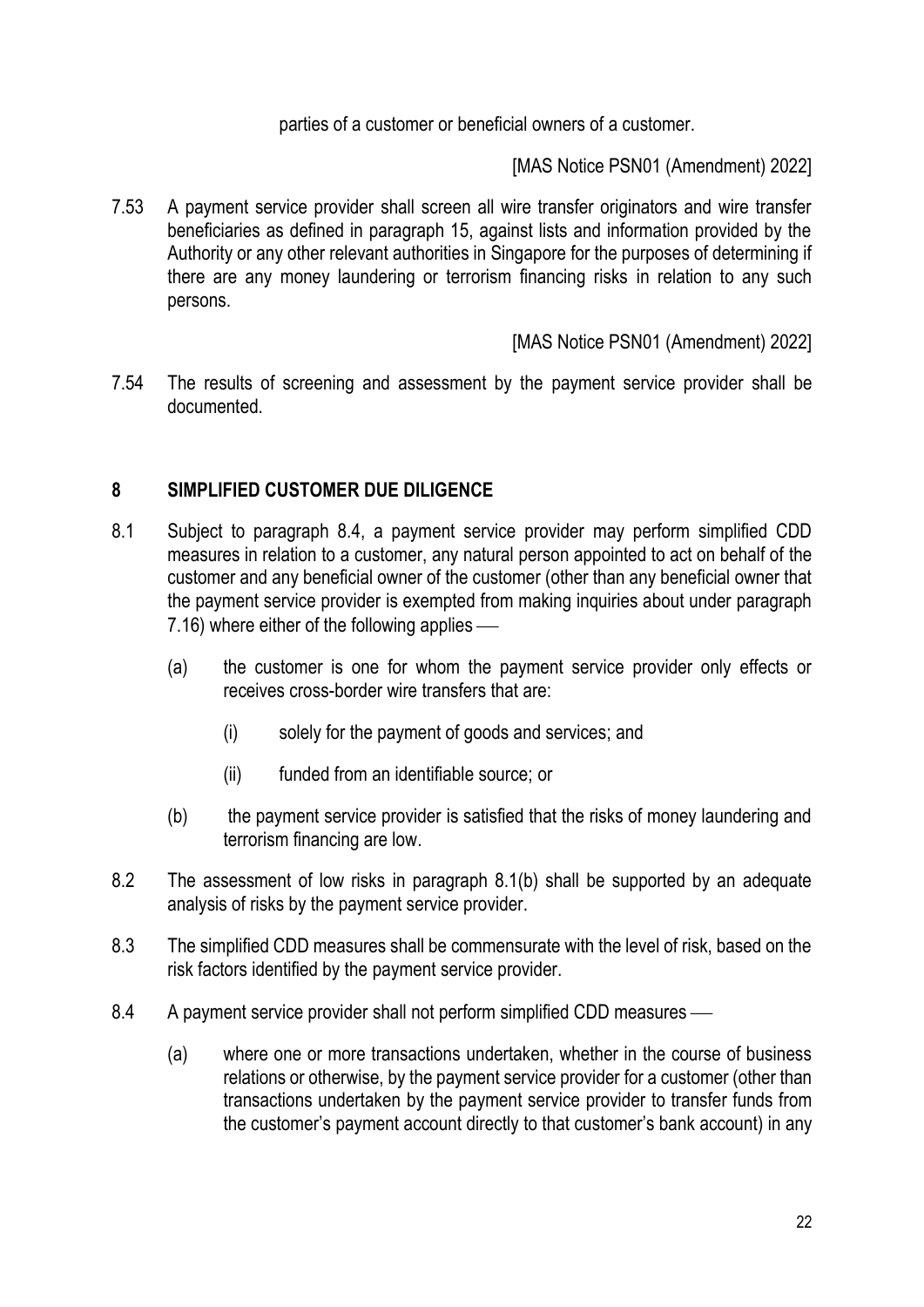parties of a customer or beneficial owners of a customer.

[MAS Notice PSN01 (Amendment) 2022]

7.53 A payment service provider shall screen all wire transfer originators and wire transfer beneficiaries as defined in paragraph 15, against lists and information provided by the Authority or any other relevant authorities in Singapore for the purposes of determining if there are any money laundering or terrorism financing risks in relation to any such persons.

### [MAS Notice PSN01 (Amendment) 2022]

7.54 The results of screening and assessment by the payment service provider shall be documented.

# **8 SIMPLIFIED CUSTOMER DUE DILIGENCE**

- 8.1 Subject to paragraph 8.4, a payment service provider may perform simplified CDD measures in relation to a customer, any natural person appointed to act on behalf of the customer and any beneficial owner of the customer (other than any beneficial owner that the payment service provider is exempted from making inquiries about under paragraph  $7.16$ ) where either of the following applies  $-$ 
	- (a) the customer is one for whom the payment service provider only effects or receives cross-border wire transfers that are:
		- (i) solely for the payment of goods and services; and
		- (ii) funded from an identifiable source; or
	- (b) the payment service provider is satisfied that the risks of money laundering and terrorism financing are low.
- 8.2 The assessment of low risks in paragraph 8.1(b) shall be supported by an adequate analysis of risks by the payment service provider.
- 8.3 The simplified CDD measures shall be commensurate with the level of risk, based on the risk factors identified by the payment service provider.
- 8.4 A payment service provider shall not perform simplified CDD measures
	- (a) where one or more transactions undertaken, whether in the course of business relations or otherwise, by the payment service provider for a customer (other than transactions undertaken by the payment service provider to transfer funds from the customer's payment account directly to that customer's bank account) in any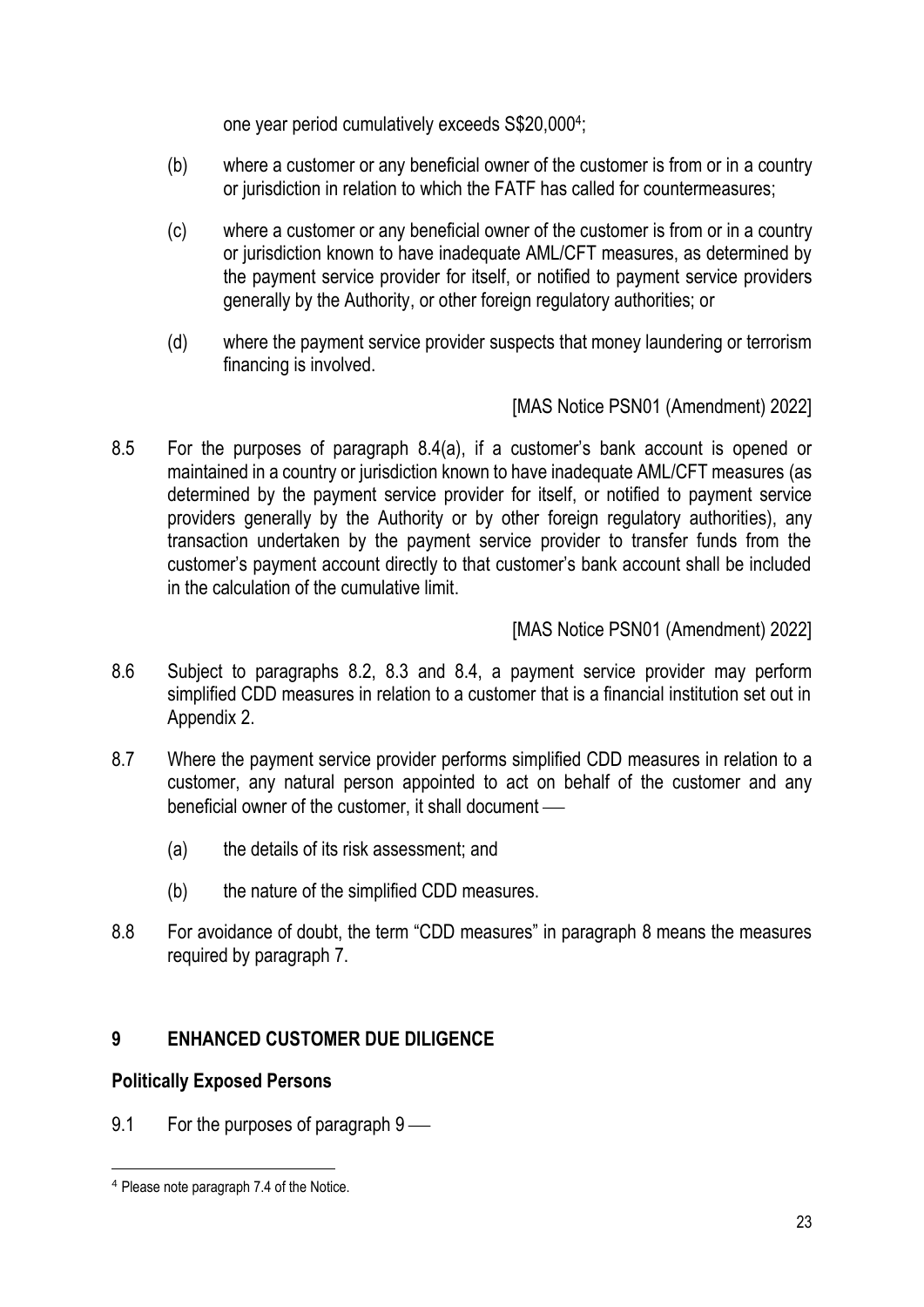one year period cumulatively exceeds S\$20,000<sup>4</sup> ;

- (b) where a customer or any beneficial owner of the customer is from or in a country or jurisdiction in relation to which the FATF has called for countermeasures;
- (c) where a customer or any beneficial owner of the customer is from or in a country or jurisdiction known to have inadequate AML/CFT measures, as determined by the payment service provider for itself, or notified to payment service providers generally by the Authority, or other foreign regulatory authorities; or
- (d) where the payment service provider suspects that money laundering or terrorism financing is involved.

[MAS Notice PSN01 (Amendment) 2022]

8.5 For the purposes of paragraph 8.4(a), if a customer's bank account is opened or maintained in a country or jurisdiction known to have inadequate AML/CFT measures (as determined by the payment service provider for itself, or notified to payment service providers generally by the Authority or by other foreign regulatory authorities), any transaction undertaken by the payment service provider to transfer funds from the customer's payment account directly to that customer's bank account shall be included in the calculation of the cumulative limit.

[MAS Notice PSN01 (Amendment) 2022]

- 8.6 Subject to paragraphs 8.2, 8.3 and 8.4, a payment service provider may perform simplified CDD measures in relation to a customer that is a financial institution set out in Appendix 2.
- 8.7 Where the payment service provider performs simplified CDD measures in relation to a customer, any natural person appointed to act on behalf of the customer and any beneficial owner of the customer, it shall document —
	- (a) the details of its risk assessment; and
	- (b) the nature of the simplified CDD measures.
- 8.8 For avoidance of doubt, the term "CDD measures" in paragraph 8 means the measures required by paragraph 7.

# **9 ENHANCED CUSTOMER DUE DILIGENCE**

# **Politically Exposed Persons**

9.1 For the purposes of paragraph  $9$  —

<sup>4</sup> Please note paragraph 7.4 of the Notice.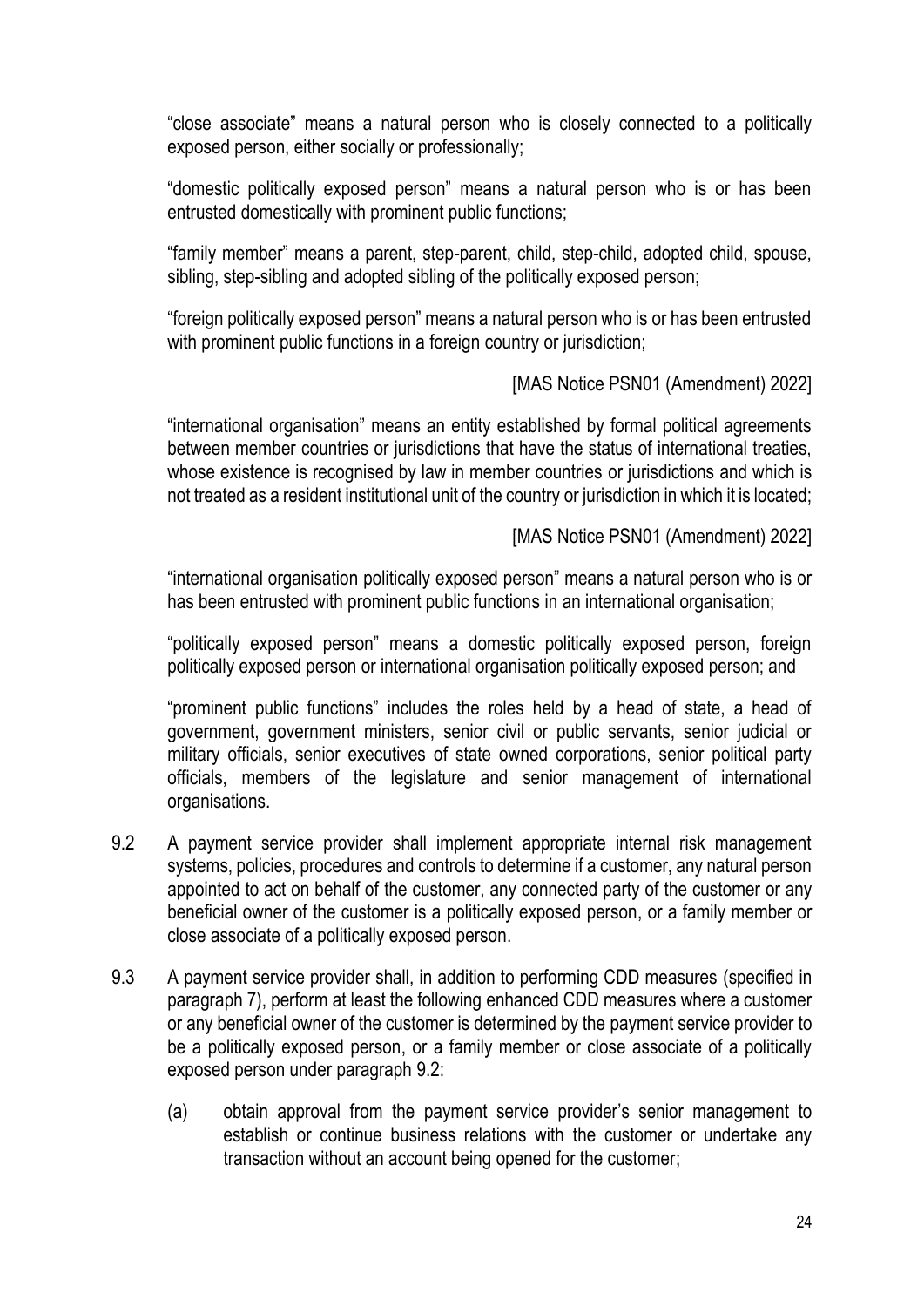"close associate" means a natural person who is closely connected to a politically exposed person, either socially or professionally;

"domestic politically exposed person" means a natural person who is or has been entrusted domestically with prominent public functions;

"family member" means a parent, step-parent, child, step-child, adopted child, spouse, sibling, step-sibling and adopted sibling of the politically exposed person;

"foreign politically exposed person" means a natural person who is or has been entrusted with prominent public functions in a foreign country or jurisdiction;

### [MAS Notice PSN01 (Amendment) 2022]

"international organisation" means an entity established by formal political agreements between member countries or jurisdictions that have the status of international treaties, whose existence is recognised by law in member countries or jurisdictions and which is not treated as a resident institutional unit of the country or jurisdiction in which it is located;

[MAS Notice PSN01 (Amendment) 2022]

"international organisation politically exposed person" means a natural person who is or has been entrusted with prominent public functions in an international organisation;

"politically exposed person" means a domestic politically exposed person, foreign politically exposed person or international organisation politically exposed person; and

"prominent public functions" includes the roles held by a head of state, a head of government, government ministers, senior civil or public servants, senior judicial or military officials, senior executives of state owned corporations, senior political party officials, members of the legislature and senior management of international organisations.

- 9.2 A payment service provider shall implement appropriate internal risk management systems, policies, procedures and controls to determine if a customer, any natural person appointed to act on behalf of the customer, any connected party of the customer or any beneficial owner of the customer is a politically exposed person, or a family member or close associate of a politically exposed person.
- 9.3 A payment service provider shall, in addition to performing CDD measures (specified in paragraph 7), perform at least the following enhanced CDD measures where a customer or any beneficial owner of the customer is determined by the payment service provider to be a politically exposed person, or a family member or close associate of a politically exposed person under paragraph 9.2:
	- (a) obtain approval from the payment service provider's senior management to establish or continue business relations with the customer or undertake any transaction without an account being opened for the customer;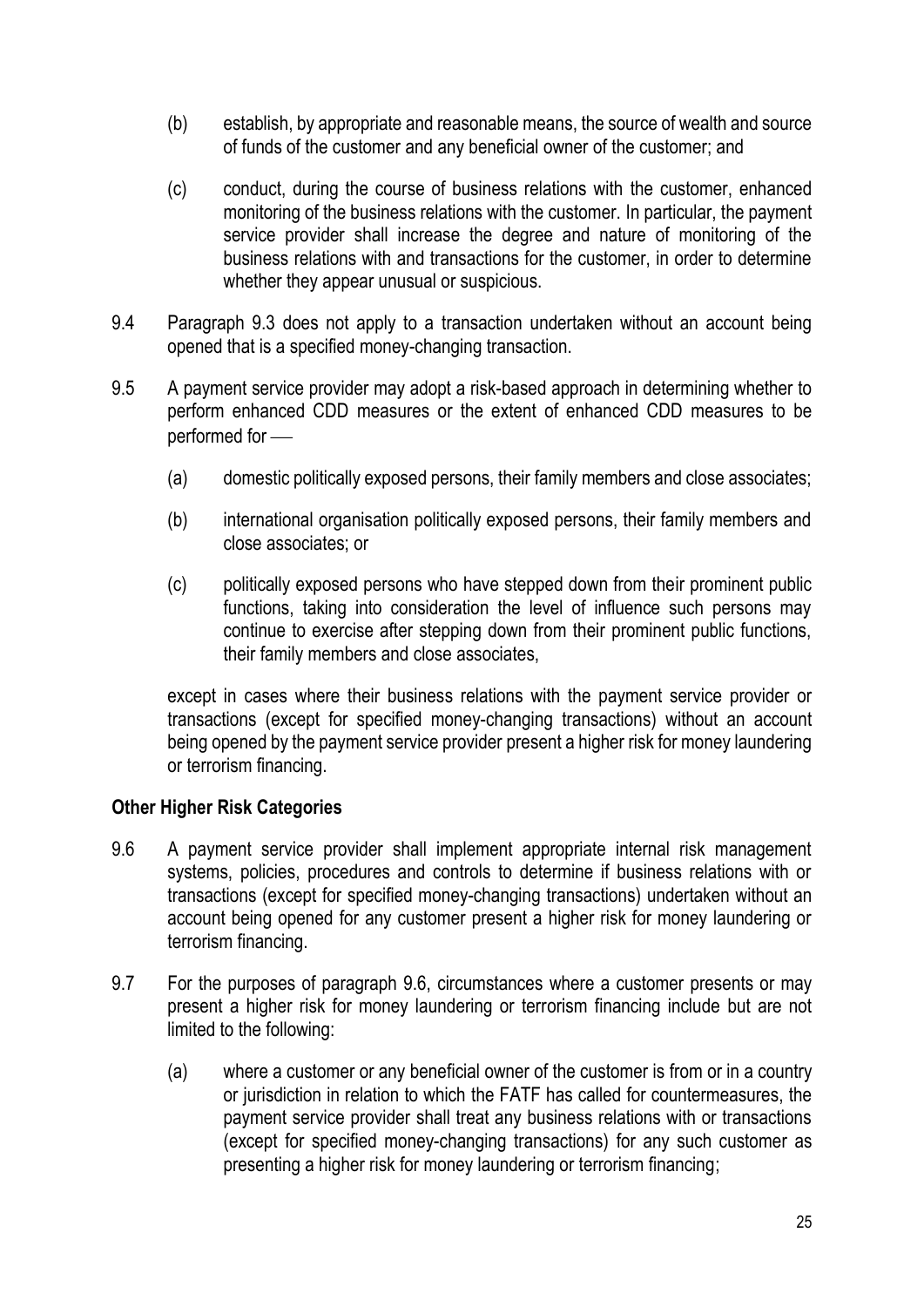- (b) establish, by appropriate and reasonable means, the source of wealth and source of funds of the customer and any beneficial owner of the customer; and
- (c) conduct, during the course of business relations with the customer, enhanced monitoring of the business relations with the customer. In particular, the payment service provider shall increase the degree and nature of monitoring of the business relations with and transactions for the customer, in order to determine whether they appear unusual or suspicious.
- 9.4 Paragraph 9.3 does not apply to a transaction undertaken without an account being opened that is a specified money-changing transaction.
- 9.5 A payment service provider may adopt a risk-based approach in determining whether to perform enhanced CDD measures or the extent of enhanced CDD measures to be performed for  $-$ 
	- (a) domestic politically exposed persons, their family members and close associates;
	- (b) international organisation politically exposed persons, their family members and close associates; or
	- (c) politically exposed persons who have stepped down from their prominent public functions, taking into consideration the level of influence such persons may continue to exercise after stepping down from their prominent public functions, their family members and close associates,

except in cases where their business relations with the payment service provider or transactions (except for specified money-changing transactions) without an account being opened by the payment service provider present a higher risk for money laundering or terrorism financing.

#### **Other Higher Risk Categories**

- 9.6 A payment service provider shall implement appropriate internal risk management systems, policies, procedures and controls to determine if business relations with or transactions (except for specified money-changing transactions) undertaken without an account being opened for any customer present a higher risk for money laundering or terrorism financing.
- 9.7 For the purposes of paragraph 9.6, circumstances where a customer presents or may present a higher risk for money laundering or terrorism financing include but are not limited to the following:
	- (a) where a customer or any beneficial owner of the customer is from or in a country or jurisdiction in relation to which the FATF has called for countermeasures, the payment service provider shall treat any business relations with or transactions (except for specified money-changing transactions) for any such customer as presenting a higher risk for money laundering or terrorism financing;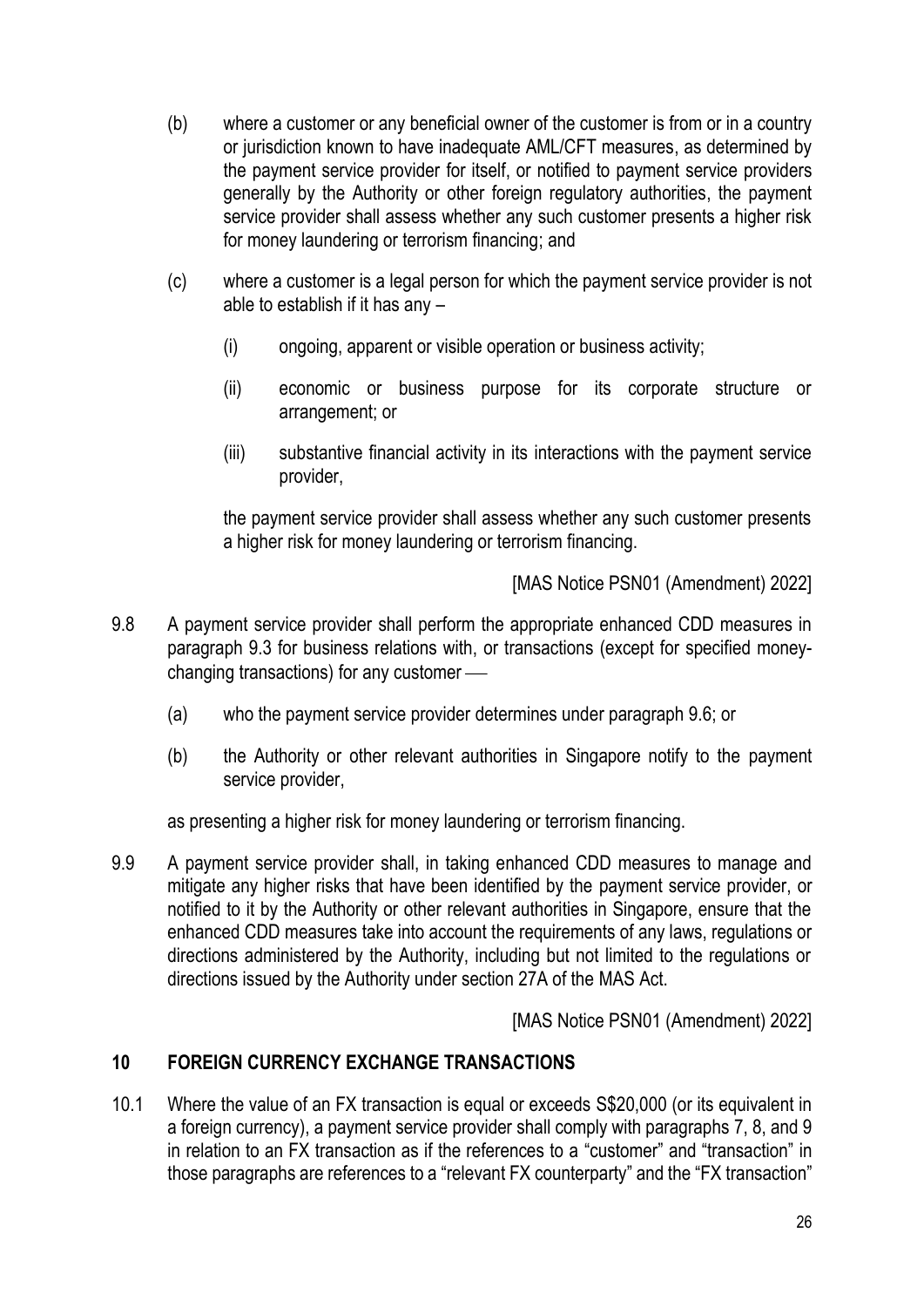- (b) where a customer or any beneficial owner of the customer is from or in a country or jurisdiction known to have inadequate AML/CFT measures, as determined by the payment service provider for itself, or notified to payment service providers generally by the Authority or other foreign regulatory authorities, the payment service provider shall assess whether any such customer presents a higher risk for money laundering or terrorism financing; and
- (c) where a customer is a legal person for which the payment service provider is not able to establish if it has any –
	- (i) ongoing, apparent or visible operation or business activity;
	- (ii) economic or business purpose for its corporate structure or arrangement; or
	- (iii) substantive financial activity in its interactions with the payment service provider,

the payment service provider shall assess whether any such customer presents a higher risk for money laundering or terrorism financing.

[MAS Notice PSN01 (Amendment) 2022]

- 9.8 A payment service provider shall perform the appropriate enhanced CDD measures in paragraph 9.3 for business relations with, or transactions (except for specified moneychanging transactions) for any customer  $\equiv$ 
	- (a) who the payment service provider determines under paragraph 9.6; or
	- (b) the Authority or other relevant authorities in Singapore notify to the payment service provider,

as presenting a higher risk for money laundering or terrorism financing.

9.9 A payment service provider shall, in taking enhanced CDD measures to manage and mitigate any higher risks that have been identified by the payment service provider, or notified to it by the Authority or other relevant authorities in Singapore, ensure that the enhanced CDD measures take into account the requirements of any laws, regulations or directions administered by the Authority, including but not limited to the regulations or directions issued by the Authority under section 27A of the MAS Act.

[MAS Notice PSN01 (Amendment) 2022]

# **10 FOREIGN CURRENCY EXCHANGE TRANSACTIONS**

10.1 Where the value of an FX transaction is equal or exceeds S\$20,000 (or its equivalent in a foreign currency), a payment service provider shall comply with paragraphs 7, 8, and 9 in relation to an FX transaction as if the references to a "customer" and "transaction" in those paragraphs are references to a "relevant FX counterparty" and the "FX transaction"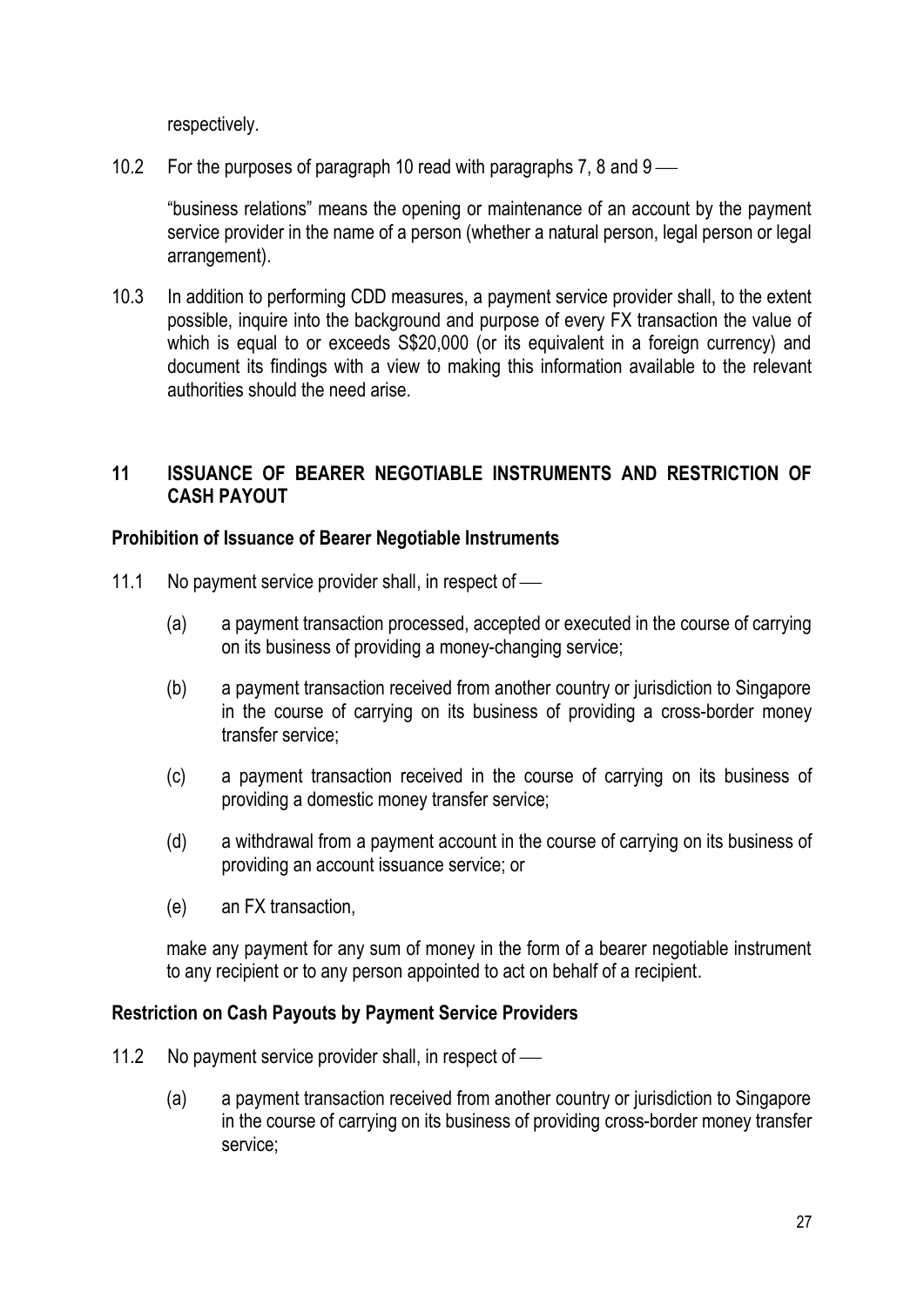respectively.

10.2 For the purposes of paragraph 10 read with paragraphs 7, 8 and  $9 - \alpha$ 

"business relations" means the opening or maintenance of an account by the payment service provider in the name of a person (whether a natural person, legal person or legal arrangement).

10.3 In addition to performing CDD measures, a payment service provider shall, to the extent possible, inquire into the background and purpose of every FX transaction the value of which is equal to or exceeds  $$20,000$  (or its equivalent in a foreign currency) and document its findings with a view to making this information available to the relevant authorities should the need arise.

# **11 ISSUANCE OF BEARER NEGOTIABLE INSTRUMENTS AND RESTRICTION OF CASH PAYOUT**

#### **Prohibition of Issuance of Bearer Negotiable Instruments**

- 11.1 No payment service provider shall, in respect of  $\equiv$ 
	- (a) a payment transaction processed, accepted or executed in the course of carrying on its business of providing a money-changing service;
	- (b) a payment transaction received from another country or jurisdiction to Singapore in the course of carrying on its business of providing a cross-border money transfer service;
	- (c) a payment transaction received in the course of carrying on its business of providing a domestic money transfer service;
	- (d) a withdrawal from a payment account in the course of carrying on its business of providing an account issuance service; or
	- (e) an FX transaction,

make any payment for any sum of money in the form of a bearer negotiable instrument to any recipient or to any person appointed to act on behalf of a recipient.

#### **Restriction on Cash Payouts by Payment Service Providers**

- 11.2 No payment service provider shall, in respect of  $\equiv$ 
	- (a) a payment transaction received from another country or jurisdiction to Singapore in the course of carrying on its business of providing cross-border money transfer service;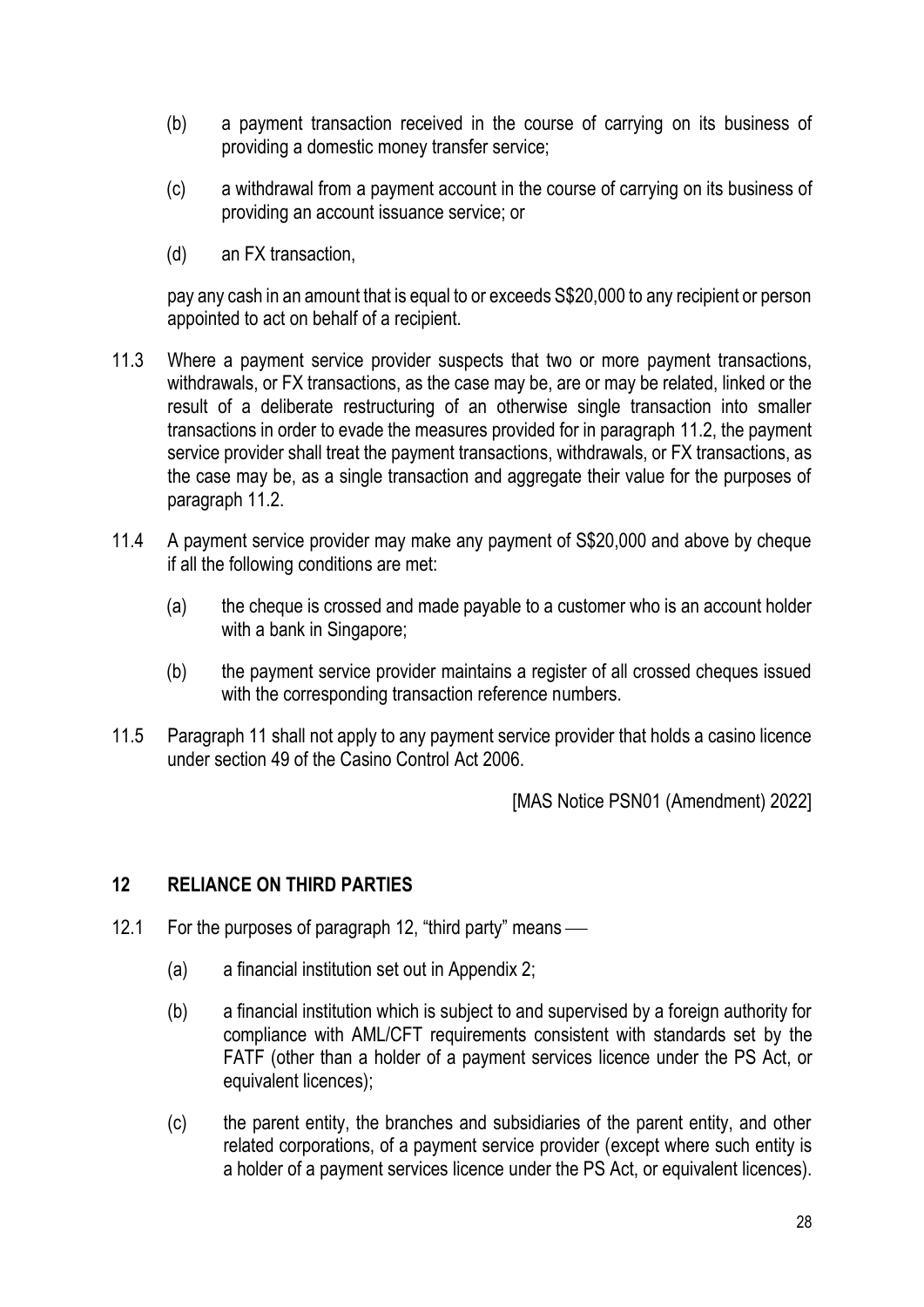- (b) a payment transaction received in the course of carrying on its business of providing a domestic money transfer service;
- (c) a withdrawal from a payment account in the course of carrying on its business of providing an account issuance service; or
- (d) an FX transaction,

pay any cash in an amount that is equal to or exceeds S\$20,000 to any recipient or person appointed to act on behalf of a recipient.

- 11.3 Where a payment service provider suspects that two or more payment transactions, withdrawals, or FX transactions, as the case may be, are or may be related, linked or the result of a deliberate restructuring of an otherwise single transaction into smaller transactions in order to evade the measures provided for in paragraph 11.2, the payment service provider shall treat the payment transactions, withdrawals, or FX transactions, as the case may be, as a single transaction and aggregate their value for the purposes of paragraph 11.2.
- 11.4 A payment service provider may make any payment of S\$20,000 and above by cheque if all the following conditions are met:
	- (a) the cheque is crossed and made payable to a customer who is an account holder with a bank in Singapore;
	- (b) the payment service provider maintains a register of all crossed cheques issued with the corresponding transaction reference numbers.
- 11.5 Paragraph 11 shall not apply to any payment service provider that holds a casino licence under section 49 of the Casino Control Act 2006.

[MAS Notice PSN01 (Amendment) 2022]

# **12 RELIANCE ON THIRD PARTIES**

- 12.1 For the purposes of paragraph 12, "third party" means  $\frac{1}{\sqrt{2}}$ 
	- (a) a financial institution set out in Appendix 2;
	- (b) a financial institution which is subject to and supervised by a foreign authority for compliance with AML/CFT requirements consistent with standards set by the FATF (other than a holder of a payment services licence under the PS Act, or equivalent licences);
	- (c) the parent entity, the branches and subsidiaries of the parent entity, and other related corporations, of a payment service provider (except where such entity is a holder of a payment services licence under the PS Act, or equivalent licences).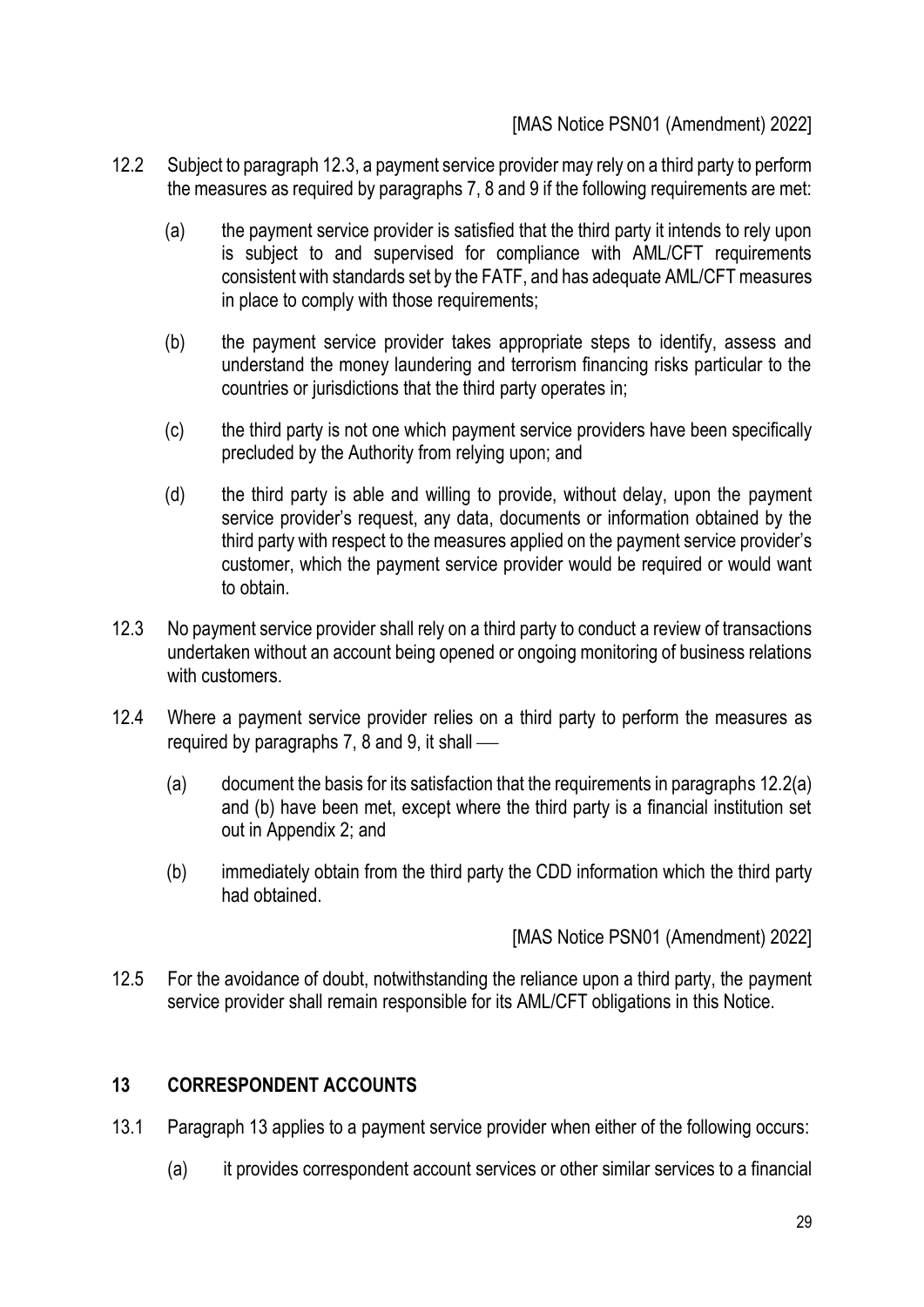### [MAS Notice PSN01 (Amendment) 2022]

- 12.2 Subject to paragraph 12.3, a payment service provider may rely on a third party to perform the measures as required by paragraphs 7, 8 and 9 if the following requirements are met:
	- (a) the payment service provider is satisfied that the third party it intends to rely upon is subject to and supervised for compliance with AML/CFT requirements consistent with standards set by the FATF, and has adequate AML/CFT measures in place to comply with those requirements;
	- (b) the payment service provider takes appropriate steps to identify, assess and understand the money laundering and terrorism financing risks particular to the countries or jurisdictions that the third party operates in;
	- (c) the third party is not one which payment service providers have been specifically precluded by the Authority from relying upon; and
	- (d) the third party is able and willing to provide, without delay, upon the payment service provider's request, any data, documents or information obtained by the third party with respect to the measures applied on the payment service provider's customer, which the payment service provider would be required or would want to obtain.
- 12.3 No payment service provider shall rely on a third party to conduct a review of transactions undertaken without an account being opened or ongoing monitoring of business relations with customers.
- 12.4 Where a payment service provider relies on a third party to perform the measures as required by paragraphs  $7, 8$  and  $9$ , it shall  $-$ 
	- (a) document the basis for its satisfaction that the requirements in paragraphs 12.2(a) and (b) have been met, except where the third party is a financial institution set out in Appendix 2; and
	- (b) immediately obtain from the third party the CDD information which the third party had obtained.

[MAS Notice PSN01 (Amendment) 2022]

12.5 For the avoidance of doubt, notwithstanding the reliance upon a third party, the payment service provider shall remain responsible for its AML/CFT obligations in this Notice.

# **13 CORRESPONDENT ACCOUNTS**

- 13.1 Paragraph 13 applies to a payment service provider when either of the following occurs:
	- (a) it provides correspondent account services or other similar services to a financial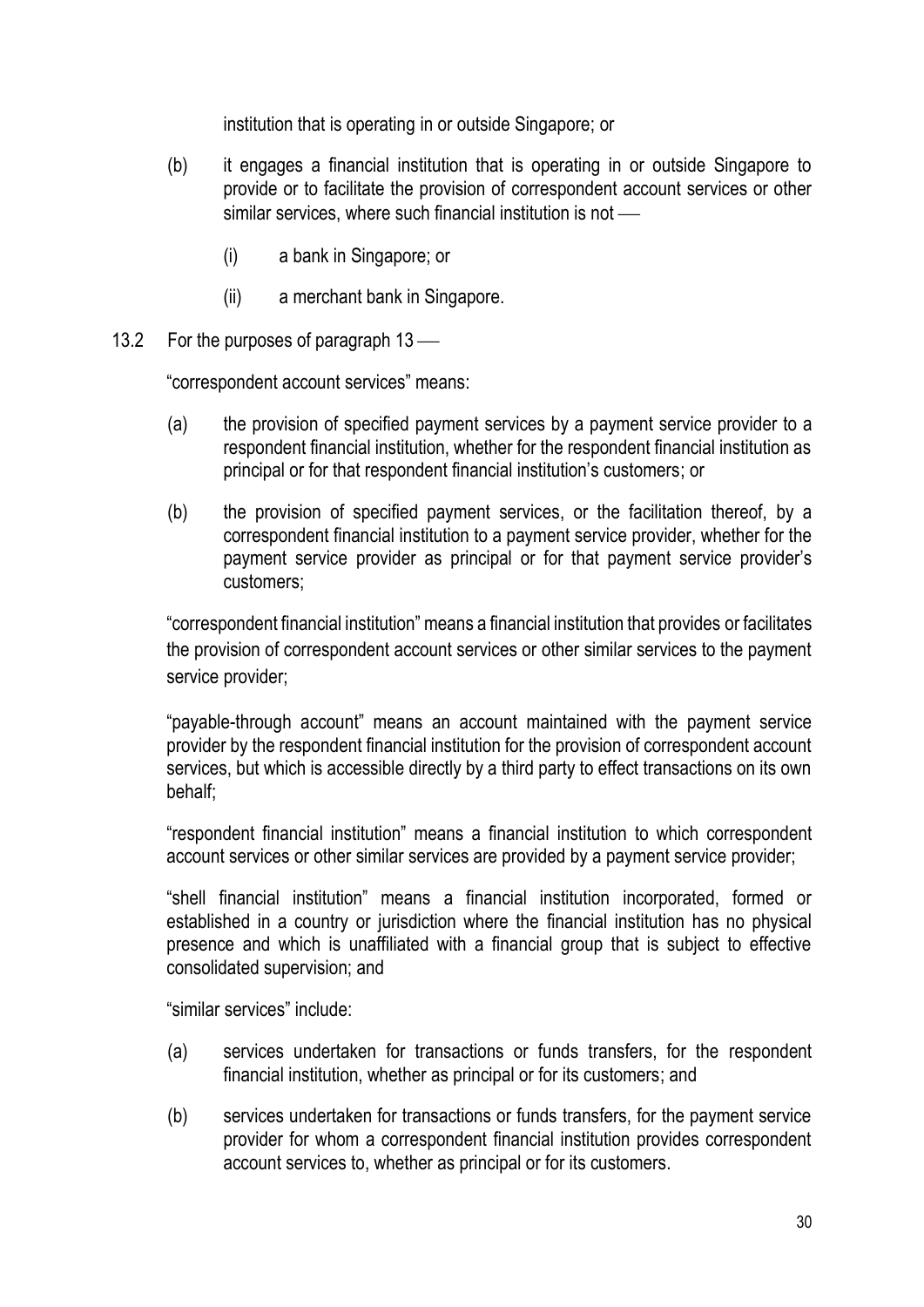institution that is operating in or outside Singapore; or

- (b) it engages a financial institution that is operating in or outside Singapore to provide or to facilitate the provision of correspondent account services or other similar services, where such financial institution is not  $\equiv$ 
	- (i) a bank in Singapore; or
	- (ii) a merchant bank in Singapore.
- 13.2 For the purposes of paragraph  $13$  —

"correspondent account services" means:

- (a) the provision of specified payment services by a payment service provider to a respondent financial institution, whether for the respondent financial institution as principal or for that respondent financial institution's customers; or
- (b) the provision of specified payment services, or the facilitation thereof, by a correspondent financial institution to a payment service provider, whether for the payment service provider as principal or for that payment service provider's customers;

"correspondent financial institution" means a financial institution that provides or facilitates the provision of correspondent account services or other similar services to the payment service provider:

"payable-through account" means an account maintained with the payment service provider by the respondent financial institution for the provision of correspondent account services, but which is accessible directly by a third party to effect transactions on its own behalf;

"respondent financial institution" means a financial institution to which correspondent account services or other similar services are provided by a payment service provider;

"shell financial institution" means a financial institution incorporated, formed or established in a country or jurisdiction where the financial institution has no physical presence and which is unaffiliated with a financial group that is subject to effective consolidated supervision; and

"similar services" include:

- (a) services undertaken for transactions or funds transfers, for the respondent financial institution, whether as principal or for its customers; and
- (b) services undertaken for transactions or funds transfers, for the payment service provider for whom a correspondent financial institution provides correspondent account services to, whether as principal or for its customers.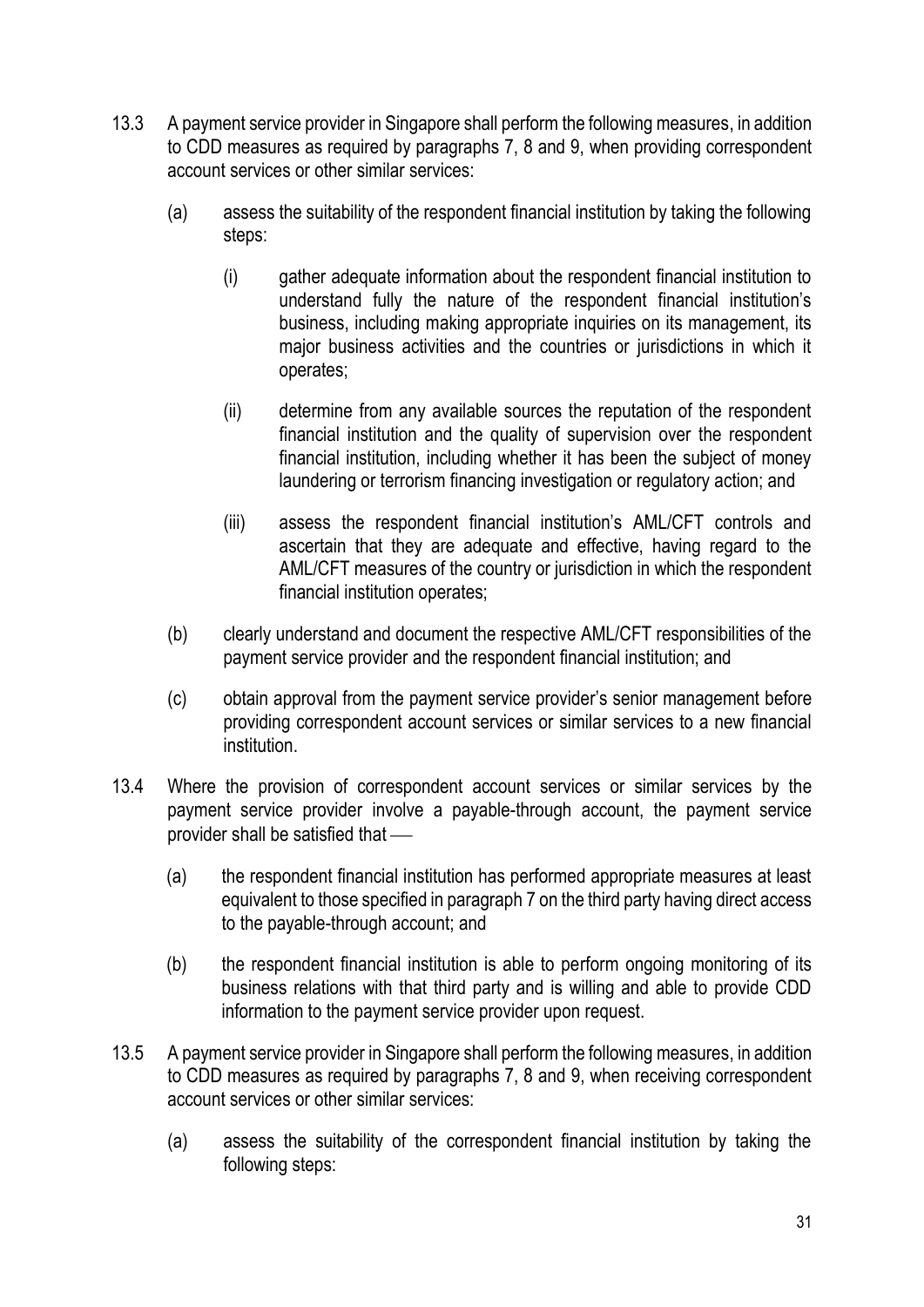- 13.3 A payment service provider in Singapore shall perform the following measures, in addition to CDD measures as required by paragraphs 7, 8 and 9, when providing correspondent account services or other similar services:
	- (a) assess the suitability of the respondent financial institution by taking the following steps:
		- (i) gather adequate information about the respondent financial institution to understand fully the nature of the respondent financial institution's business, including making appropriate inquiries on its management, its major business activities and the countries or jurisdictions in which it operates;
		- (ii) determine from any available sources the reputation of the respondent financial institution and the quality of supervision over the respondent financial institution, including whether it has been the subject of money laundering or terrorism financing investigation or regulatory action; and
		- (iii) assess the respondent financial institution's AML/CFT controls and ascertain that they are adequate and effective, having regard to the AML/CFT measures of the country or jurisdiction in which the respondent financial institution operates;
	- (b) clearly understand and document the respective AML/CFT responsibilities of the payment service provider and the respondent financial institution; and
	- (c) obtain approval from the payment service provider's senior management before providing correspondent account services or similar services to a new financial institution.
- 13.4 Where the provision of correspondent account services or similar services by the payment service provider involve a payable-through account, the payment service provider shall be satisfied that  $-$ 
	- (a) the respondent financial institution has performed appropriate measures at least equivalent to those specified in paragraph 7 on the third party having direct access to the payable-through account; and
	- (b) the respondent financial institution is able to perform ongoing monitoring of its business relations with that third party and is willing and able to provide CDD information to the payment service provider upon request.
- 13.5 A payment service provider in Singapore shall perform the following measures, in addition to CDD measures as required by paragraphs 7, 8 and 9, when receiving correspondent account services or other similar services:
	- (a) assess the suitability of the correspondent financial institution by taking the following steps: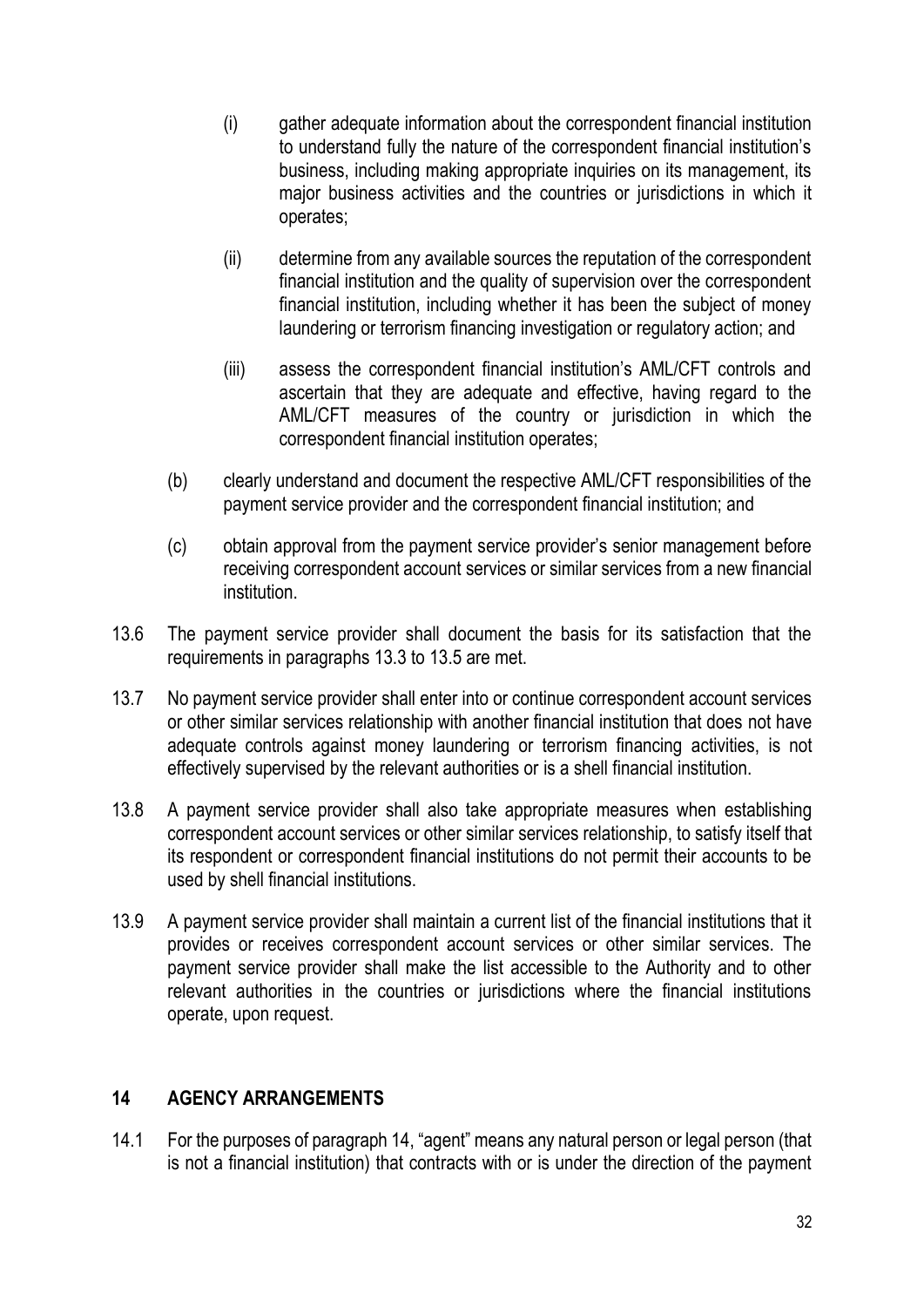- (i) gather adequate information about the correspondent financial institution to understand fully the nature of the correspondent financial institution's business, including making appropriate inquiries on its management, its major business activities and the countries or jurisdictions in which it operates;
- (ii) determine from any available sources the reputation of the correspondent financial institution and the quality of supervision over the correspondent financial institution, including whether it has been the subject of money laundering or terrorism financing investigation or regulatory action; and
- (iii) assess the correspondent financial institution's AML/CFT controls and ascertain that they are adequate and effective, having regard to the AML/CFT measures of the country or jurisdiction in which the correspondent financial institution operates;
- (b) clearly understand and document the respective AML/CFT responsibilities of the payment service provider and the correspondent financial institution; and
- (c) obtain approval from the payment service provider's senior management before receiving correspondent account services or similar services from a new financial institution.
- 13.6 The payment service provider shall document the basis for its satisfaction that the requirements in paragraphs 13.3 to 13.5 are met.
- 13.7 No payment service provider shall enter into or continue correspondent account services or other similar services relationship with another financial institution that does not have adequate controls against money laundering or terrorism financing activities, is not effectively supervised by the relevant authorities or is a shell financial institution.
- 13.8 A payment service provider shall also take appropriate measures when establishing correspondent account services or other similar services relationship, to satisfy itself that its respondent or correspondent financial institutions do not permit their accounts to be used by shell financial institutions.
- 13.9 A payment service provider shall maintain a current list of the financial institutions that it provides or receives correspondent account services or other similar services. The payment service provider shall make the list accessible to the Authority and to other relevant authorities in the countries or jurisdictions where the financial institutions operate, upon request.

#### **14 AGENCY ARRANGEMENTS**

14.1 For the purposes of paragraph 14, "agent" means any natural person or legal person (that is not a financial institution) that contracts with or is under the direction of the payment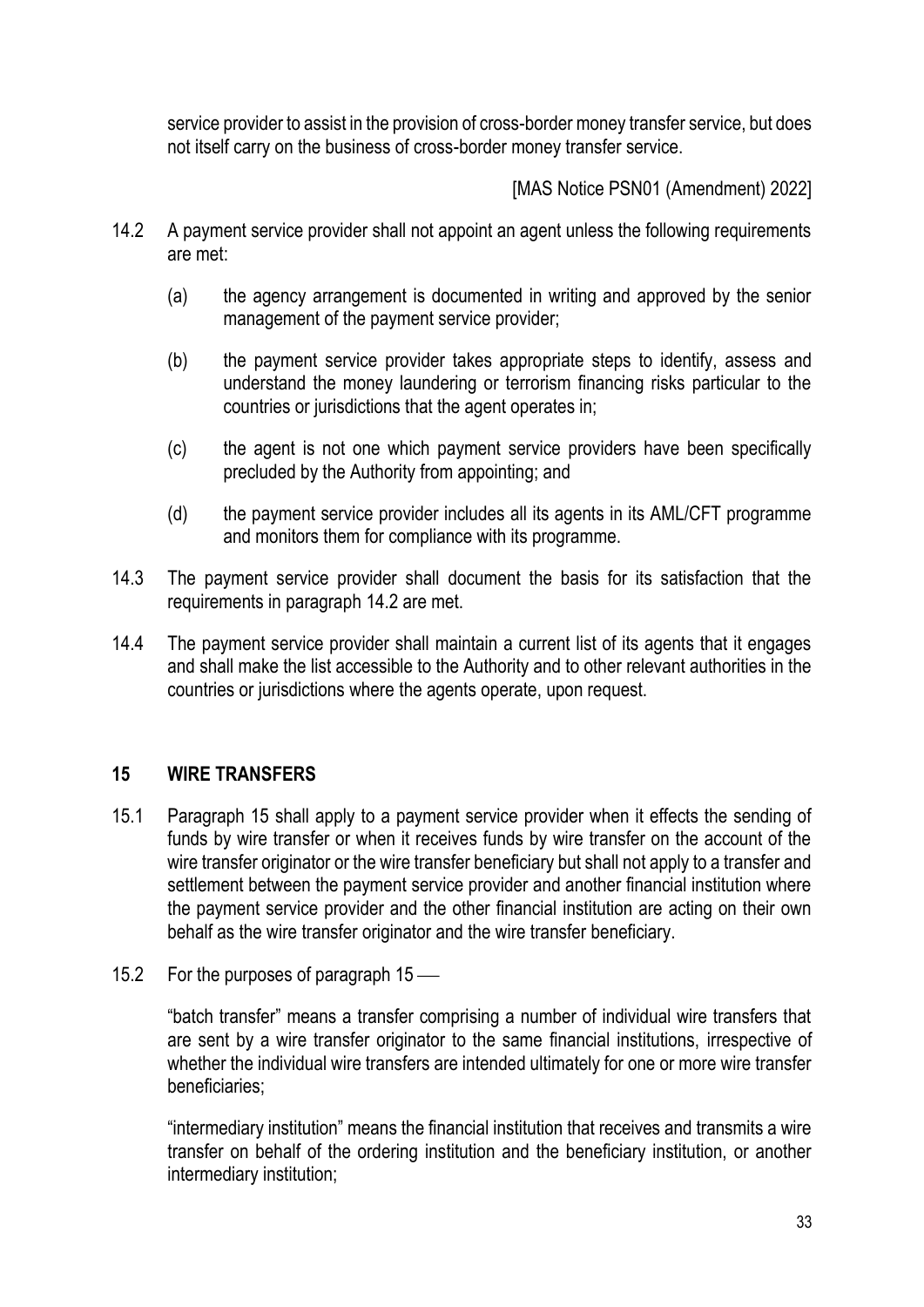service provider to assist in the provision of cross-border money transfer service, but does not itself carry on the business of cross-border money transfer service.

[MAS Notice PSN01 (Amendment) 2022]

- 14.2 A payment service provider shall not appoint an agent unless the following requirements are met:
	- (a) the agency arrangement is documented in writing and approved by the senior management of the payment service provider;
	- (b) the payment service provider takes appropriate steps to identify, assess and understand the money laundering or terrorism financing risks particular to the countries or jurisdictions that the agent operates in;
	- (c) the agent is not one which payment service providers have been specifically precluded by the Authority from appointing; and
	- (d) the payment service provider includes all its agents in its AML/CFT programme and monitors them for compliance with its programme.
- 14.3 The payment service provider shall document the basis for its satisfaction that the requirements in paragraph 14.2 are met.
- 14.4 The payment service provider shall maintain a current list of its agents that it engages and shall make the list accessible to the Authority and to other relevant authorities in the countries or jurisdictions where the agents operate, upon request.

# **15 WIRE TRANSFERS**

- 15.1 Paragraph 15 shall apply to a payment service provider when it effects the sending of funds by wire transfer or when it receives funds by wire transfer on the account of the wire transfer originator or the wire transfer beneficiary but shall not apply to a transfer and settlement between the payment service provider and another financial institution where the payment service provider and the other financial institution are acting on their own behalf as the wire transfer originator and the wire transfer beneficiary.
- 15.2 For the purposes of paragraph  $15$  —

"batch transfer" means a transfer comprising a number of individual wire transfers that are sent by a wire transfer originator to the same financial institutions, irrespective of whether the individual wire transfers are intended ultimately for one or more wire transfer beneficiaries;

"intermediary institution" means the financial institution that receives and transmits a wire transfer on behalf of the ordering institution and the beneficiary institution, or another intermediary institution;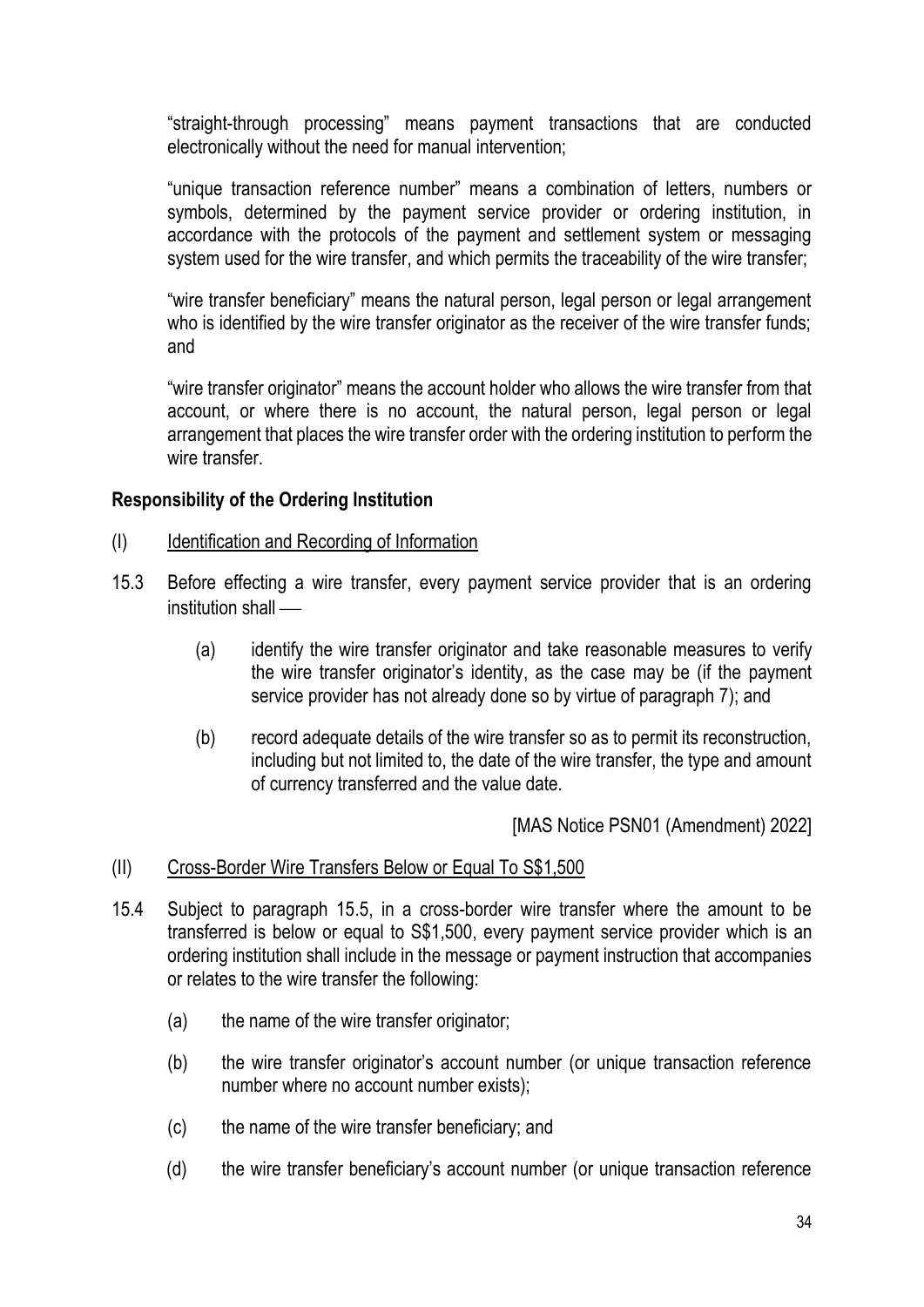"straight-through processing" means payment transactions that are conducted electronically without the need for manual intervention;

"unique transaction reference number" means a combination of letters, numbers or symbols, determined by the payment service provider or ordering institution, in accordance with the protocols of the payment and settlement system or messaging system used for the wire transfer, and which permits the traceability of the wire transfer;

"wire transfer beneficiary" means the natural person, legal person or legal arrangement who is identified by the wire transfer originator as the receiver of the wire transfer funds; and

"wire transfer originator" means the account holder who allows the wire transfer from that account, or where there is no account, the natural person, legal person or legal arrangement that places the wire transfer order with the ordering institution to perform the wire transfer

### **Responsibility of the Ordering Institution**

- (I) Identification and Recording of Information
- 15.3 Before effecting a wire transfer, every payment service provider that is an ordering institution shall —
	- (a) identify the wire transfer originator and take reasonable measures to verify the wire transfer originator's identity, as the case may be (if the payment service provider has not already done so by virtue of paragraph 7); and
	- (b) record adequate details of the wire transfer so as to permit its reconstruction, including but not limited to, the date of the wire transfer, the type and amount of currency transferred and the value date.

[MAS Notice PSN01 (Amendment) 2022]

#### (II) Cross-Border Wire Transfers Below or Equal To S\$1,500

- 15.4 Subject to paragraph 15.5, in a cross-border wire transfer where the amount to be transferred is below or equal to S\$1,500, every payment service provider which is an ordering institution shall include in the message or payment instruction that accompanies or relates to the wire transfer the following:
	- (a) the name of the wire transfer originator;
	- (b) the wire transfer originator's account number (or unique transaction reference number where no account number exists);
	- (c) the name of the wire transfer beneficiary; and
	- (d) the wire transfer beneficiary's account number (or unique transaction reference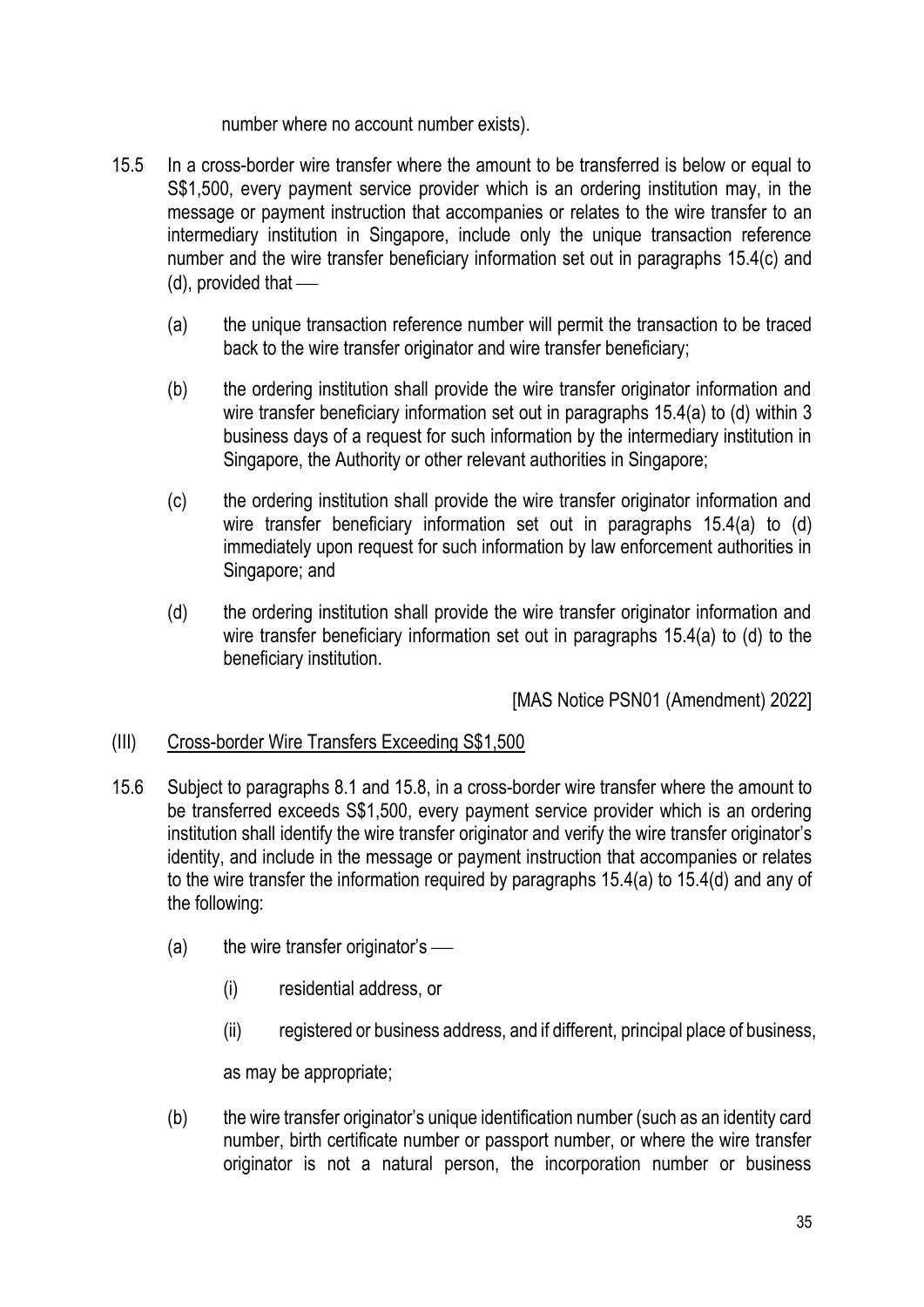number where no account number exists).

- 15.5 In a cross-border wire transfer where the amount to be transferred is below or equal to S\$1,500, every payment service provider which is an ordering institution may, in the message or payment instruction that accompanies or relates to the wire transfer to an intermediary institution in Singapore, include only the unique transaction reference number and the wire transfer beneficiary information set out in paragraphs 15.4(c) and  $(d)$ , provided that  $-$ 
	- (a) the unique transaction reference number will permit the transaction to be traced back to the wire transfer originator and wire transfer beneficiary;
	- (b) the ordering institution shall provide the wire transfer originator information and wire transfer beneficiary information set out in paragraphs 15.4(a) to (d) within 3 business days of a request for such information by the intermediary institution in Singapore, the Authority or other relevant authorities in Singapore;
	- (c) the ordering institution shall provide the wire transfer originator information and wire transfer beneficiary information set out in paragraphs 15.4(a) to (d) immediately upon request for such information by law enforcement authorities in Singapore; and
	- (d) the ordering institution shall provide the wire transfer originator information and wire transfer beneficiary information set out in paragraphs 15.4(a) to (d) to the beneficiary institution.

[MAS Notice PSN01 (Amendment) 2022]

# (III) Cross-border Wire Transfers Exceeding S\$1,500

- 15.6 Subject to paragraphs 8.1 and 15.8, in a cross-border wire transfer where the amount to be transferred exceeds S\$1,500, every payment service provider which is an ordering institution shall identify the wire transfer originator and verify the wire transfer originator's identity, and include in the message or payment instruction that accompanies or relates to the wire transfer the information required by paragraphs 15.4(a) to 15.4(d) and any of the following:
	- (a) the wire transfer originator's  $\frac{1}{\sqrt{2\pi}}$ 
		- (i) residential address, or
		- (ii) registered or business address, and if different, principal place of business,

as may be appropriate;

(b) the wire transfer originator's unique identification number (such as an identity card number, birth certificate number or passport number, or where the wire transfer originator is not a natural person, the incorporation number or business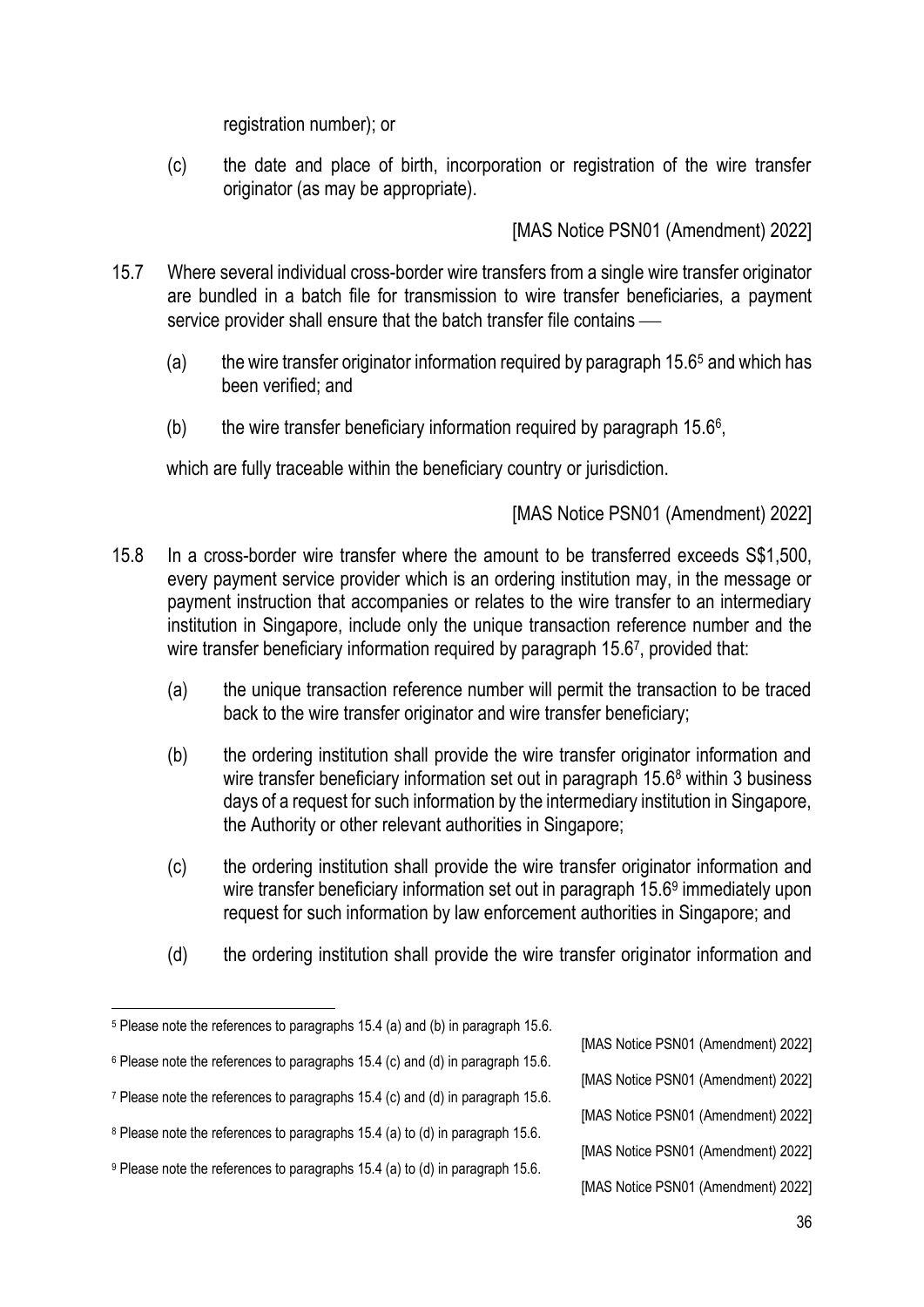registration number); or

(c) the date and place of birth, incorporation or registration of the wire transfer originator (as may be appropriate).

[MAS Notice PSN01 (Amendment) 2022]

- 15.7 Where several individual cross-border wire transfers from a single wire transfer originator are bundled in a batch file for transmission to wire transfer beneficiaries, a payment service provider shall ensure that the batch transfer file contains —
	- (a) the wire transfer originator information required by paragraph  $15.6<sup>5</sup>$  and which has been verified; and
	- (b) the wire transfer beneficiary information required by paragraph  $15.6^{\circ}$ ,

which are fully traceable within the beneficiary country or jurisdiction.

- 15.8 In a cross-border wire transfer where the amount to be transferred exceeds S\$1,500, every payment service provider which is an ordering institution may, in the message or payment instruction that accompanies or relates to the wire transfer to an intermediary institution in Singapore, include only the unique transaction reference number and the wire transfer beneficiary information required by paragraph 15.67, provided that:
	- (a) the unique transaction reference number will permit the transaction to be traced back to the wire transfer originator and wire transfer beneficiary;
	- (b) the ordering institution shall provide the wire transfer originator information and wire transfer beneficiary information set out in paragraph 15.6<sup>8</sup> within 3 business days of a request for such information by the intermediary institution in Singapore, the Authority or other relevant authorities in Singapore;
	- (c) the ordering institution shall provide the wire transfer originator information and wire transfer beneficiary information set out in paragraph 15.6<sup>9</sup> immediately upon request for such information by law enforcement authorities in Singapore; and
	- (d) the ordering institution shall provide the wire transfer originator information and

- [MAS Notice PSN01 (Amendment) 2022]
- [MAS Notice PSN01 (Amendment) 2022]
- [MAS Notice PSN01 (Amendment) 2022]
- [MAS Notice PSN01 (Amendment) 2022]
- [MAS Notice PSN01 (Amendment) 2022]

<sup>5</sup> Please note the references to paragraphs 15.4 (a) and (b) in paragraph 15.6. <sup>6</sup> Please note the references to paragraphs 15.4 (c) and (d) in paragraph 15.6. <sup>7</sup> Please note the references to paragraphs 15.4 (c) and (d) in paragraph 15.6. <sup>8</sup> Please note the references to paragraphs 15.4 (a) to (d) in paragraph 15.6.

<sup>9</sup> Please note the references to paragraphs 15.4 (a) to (d) in paragraph 15.6.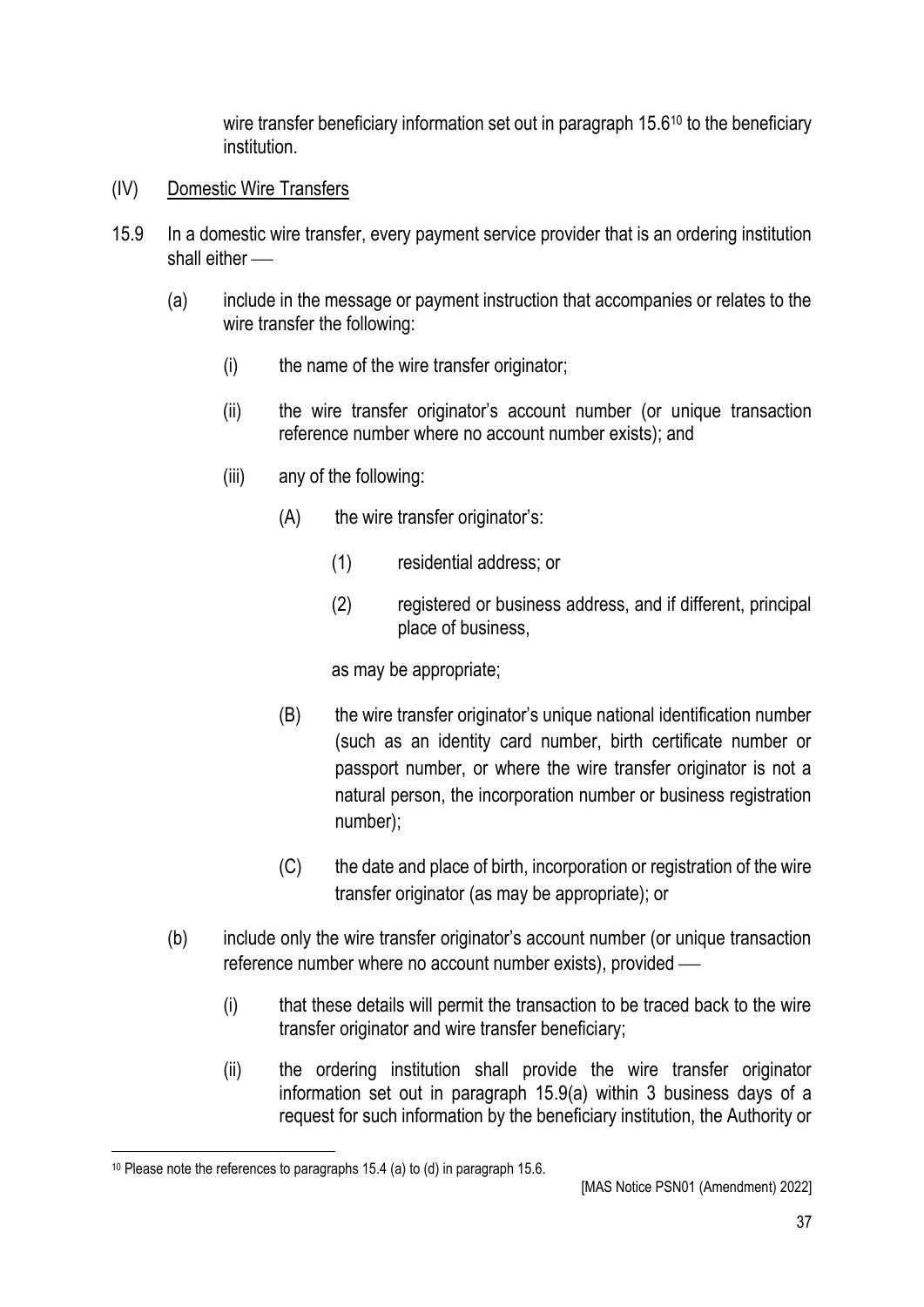wire transfer beneficiary information set out in paragraph 15.6<sup>10</sup> to the beneficiary institution.

- (IV) Domestic Wire Transfers
- 15.9 In a domestic wire transfer, every payment service provider that is an ordering institution shall either  $\equiv$ 
	- (a) include in the message or payment instruction that accompanies or relates to the wire transfer the following:
		- (i) the name of the wire transfer originator;
		- (ii) the wire transfer originator's account number (or unique transaction reference number where no account number exists); and
		- (iii) any of the following:
			- (A) the wire transfer originator's:
				- (1) residential address; or
				- (2) registered or business address, and if different, principal place of business,

as may be appropriate;

- (B) the wire transfer originator's unique national identification number (such as an identity card number, birth certificate number or passport number, or where the wire transfer originator is not a natural person, the incorporation number or business registration number);
- (C) the date and place of birth, incorporation or registration of the wire transfer originator (as may be appropriate); or
- (b) include only the wire transfer originator's account number (or unique transaction reference number where no account number exists), provided  $-$ 
	- (i) that these details will permit the transaction to be traced back to the wire transfer originator and wire transfer beneficiary;
	- (ii) the ordering institution shall provide the wire transfer originator information set out in paragraph 15.9(a) within 3 business days of a request for such information by the beneficiary institution, the Authority or

<sup>10</sup> Please note the references to paragraphs 15.4 (a) to (d) in paragraph 15.6.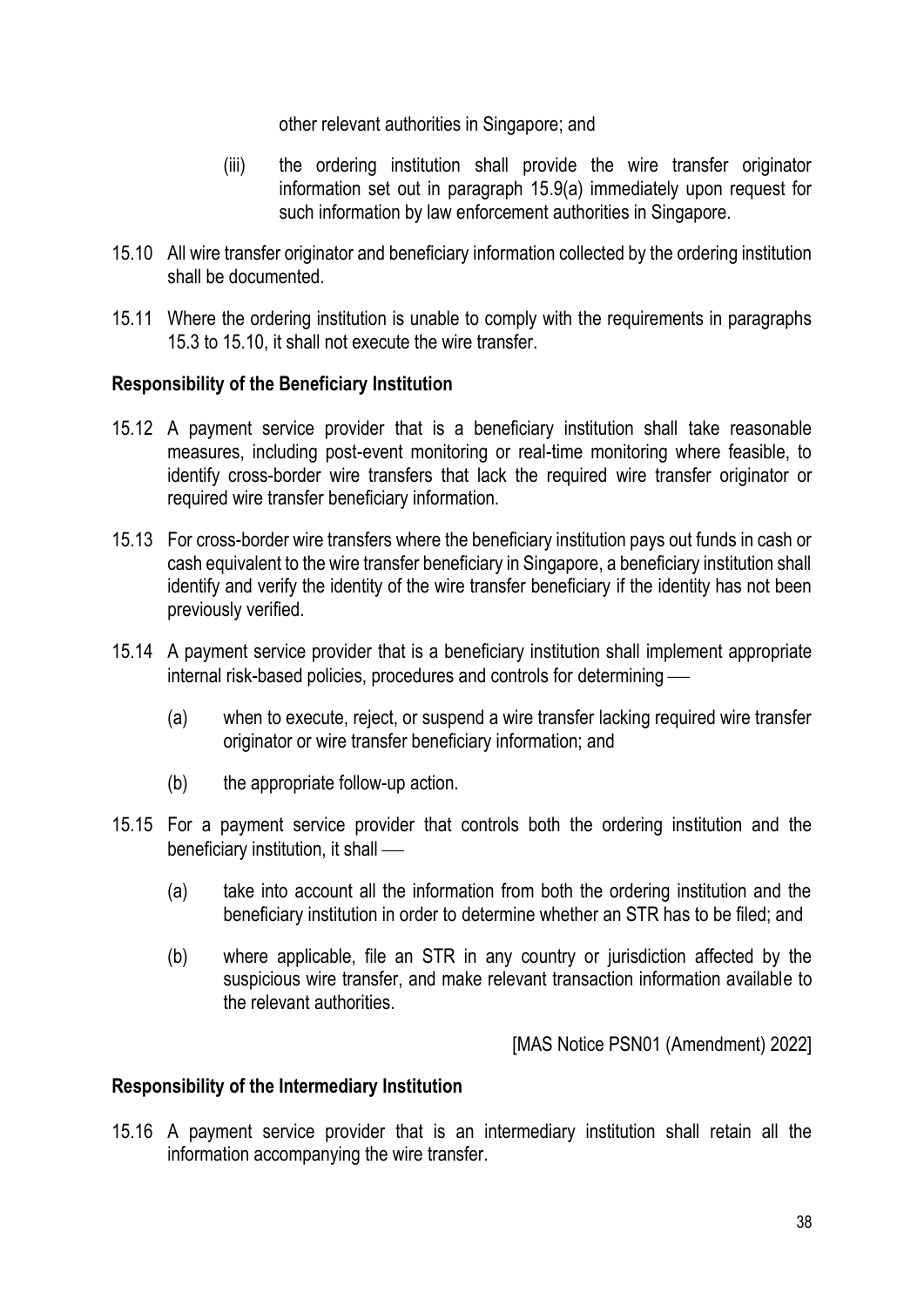other relevant authorities in Singapore; and

- (iii) the ordering institution shall provide the wire transfer originator information set out in paragraph 15.9(a) immediately upon request for such information by law enforcement authorities in Singapore.
- 15.10 All wire transfer originator and beneficiary information collected by the ordering institution shall be documented.
- 15.11 Where the ordering institution is unable to comply with the requirements in paragraphs 15.3 to 15.10, it shall not execute the wire transfer.

#### **Responsibility of the Beneficiary Institution**

- 15.12 A payment service provider that is a beneficiary institution shall take reasonable measures, including post-event monitoring or real-time monitoring where feasible, to identify cross-border wire transfers that lack the required wire transfer originator or required wire transfer beneficiary information.
- 15.13 For cross-border wire transfers where the beneficiary institution pays out funds in cash or cash equivalent to the wire transfer beneficiary in Singapore, a beneficiary institution shall identify and verify the identity of the wire transfer beneficiary if the identity has not been previously verified.
- 15.14 A payment service provider that is a beneficiary institution shall implement appropriate internal risk-based policies, procedures and controls for determining –
	- (a) when to execute, reject, or suspend a wire transfer lacking required wire transfer originator or wire transfer beneficiary information; and
	- (b) the appropriate follow-up action.
- 15.15 For a payment service provider that controls both the ordering institution and the beneficiary institution, it shall —
	- (a) take into account all the information from both the ordering institution and the beneficiary institution in order to determine whether an STR has to be filed; and
	- (b) where applicable, file an STR in any country or jurisdiction affected by the suspicious wire transfer, and make relevant transaction information available to the relevant authorities.

[MAS Notice PSN01 (Amendment) 2022]

#### **Responsibility of the Intermediary Institution**

15.16 A payment service provider that is an intermediary institution shall retain all the information accompanying the wire transfer.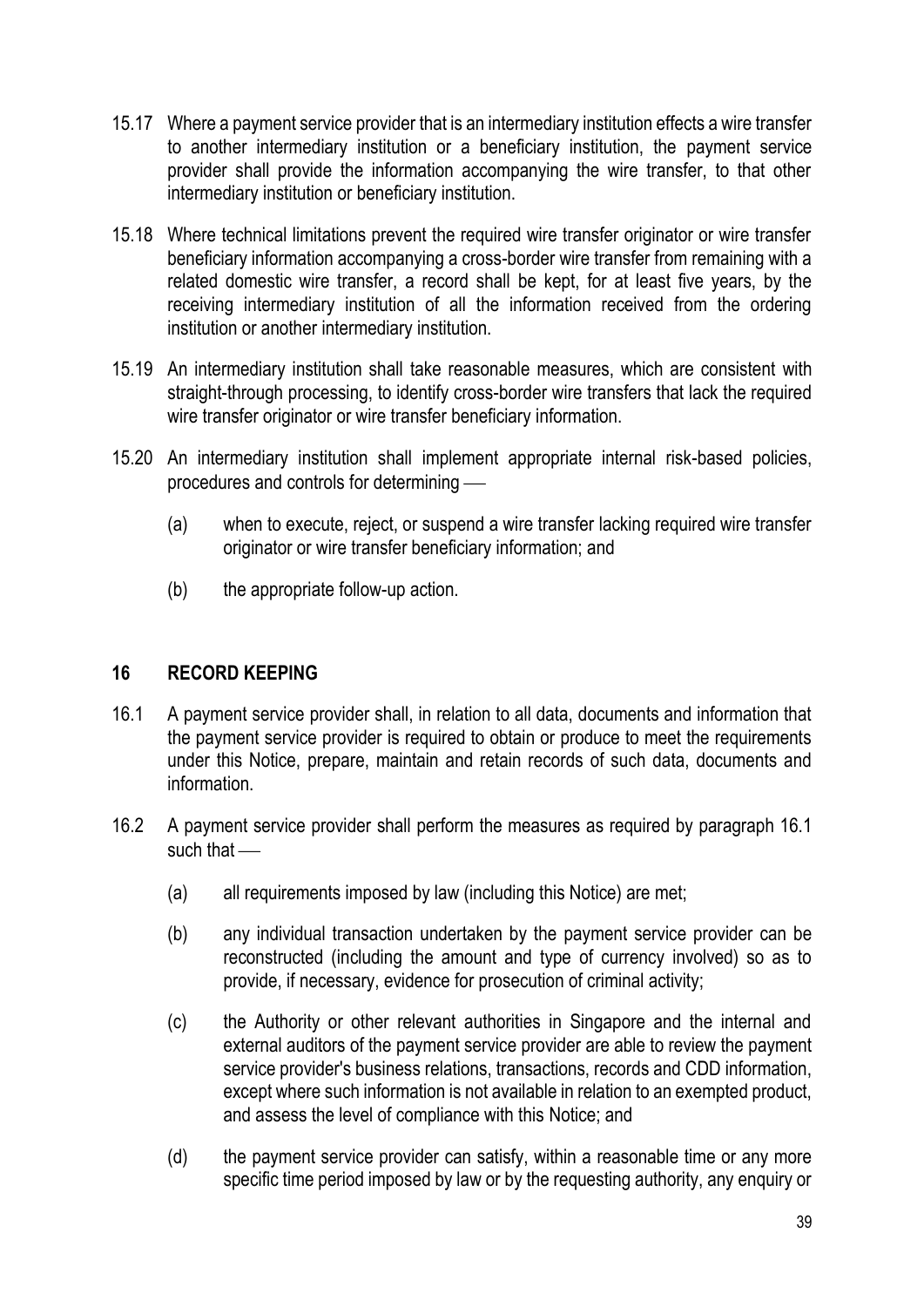- 15.17 Where a payment service provider that is an intermediary institution effects a wire transfer to another intermediary institution or a beneficiary institution, the payment service provider shall provide the information accompanying the wire transfer, to that other intermediary institution or beneficiary institution.
- 15.18 Where technical limitations prevent the required wire transfer originator or wire transfer beneficiary information accompanying a cross-border wire transfer from remaining with a related domestic wire transfer, a record shall be kept, for at least five years, by the receiving intermediary institution of all the information received from the ordering institution or another intermediary institution.
- 15.19 An intermediary institution shall take reasonable measures, which are consistent with straight-through processing, to identify cross-border wire transfers that lack the required wire transfer originator or wire transfer beneficiary information.
- 15.20 An intermediary institution shall implement appropriate internal risk-based policies, procedures and controls for determining —
	- (a) when to execute, reject, or suspend a wire transfer lacking required wire transfer originator or wire transfer beneficiary information; and
	- (b) the appropriate follow-up action.

#### **16 RECORD KEEPING**

- 16.1 A payment service provider shall, in relation to all data, documents and information that the payment service provider is required to obtain or produce to meet the requirements under this Notice, prepare, maintain and retain records of such data, documents and information.
- 16.2 A payment service provider shall perform the measures as required by paragraph 16.1 such that  $-$ 
	- (a) all requirements imposed by law (including this Notice) are met;
	- (b) any individual transaction undertaken by the payment service provider can be reconstructed (including the amount and type of currency involved) so as to provide, if necessary, evidence for prosecution of criminal activity;
	- (c) the Authority or other relevant authorities in Singapore and the internal and external auditors of the payment service provider are able to review the payment service provider's business relations, transactions, records and CDD information, except where such information is not available in relation to an exempted product, and assess the level of compliance with this Notice; and
	- (d) the payment service provider can satisfy, within a reasonable time or any more specific time period imposed by law or by the requesting authority, any enquiry or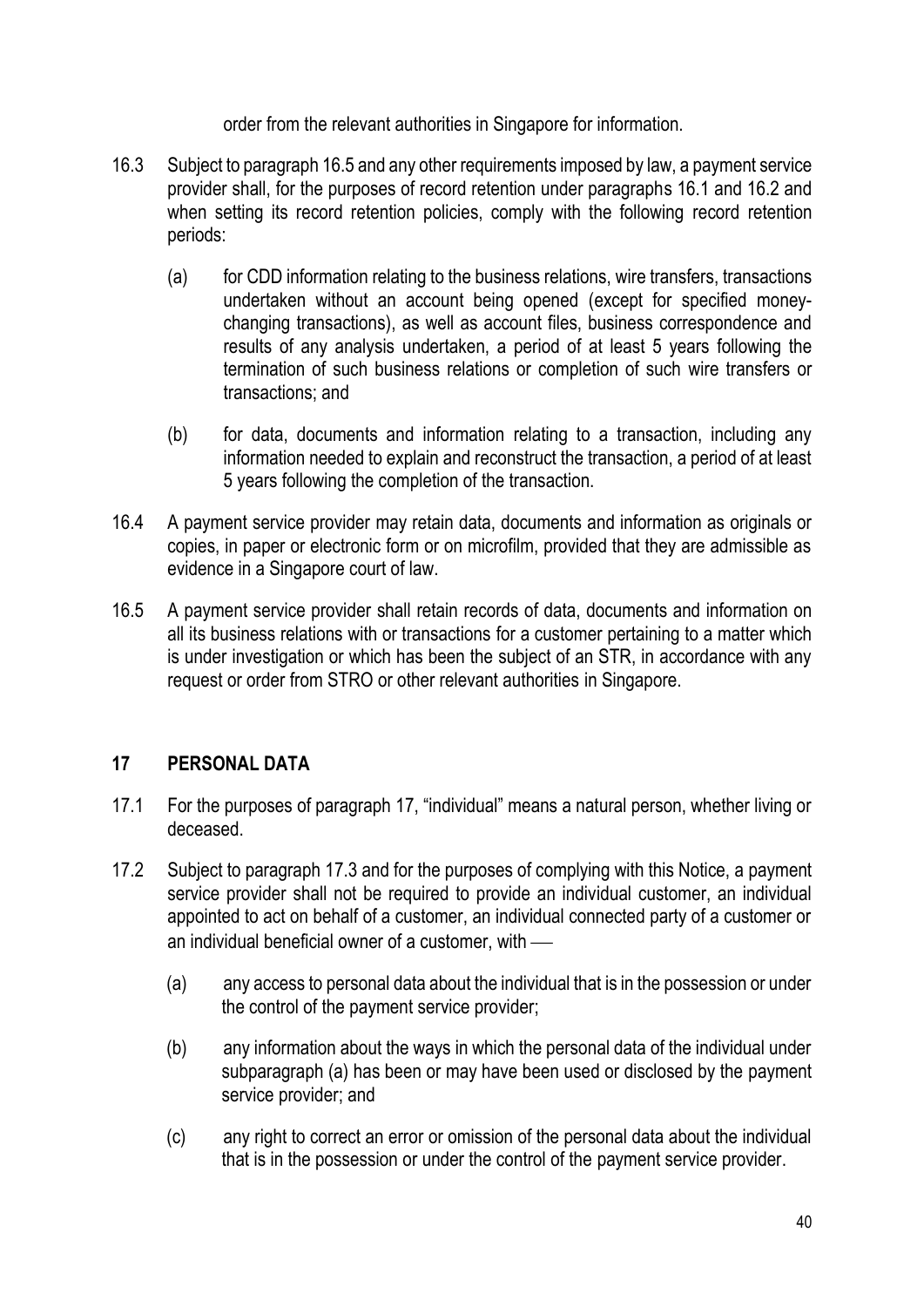order from the relevant authorities in Singapore for information.

- 16.3 Subject to paragraph 16.5 and any other requirements imposed by law, a payment service provider shall, for the purposes of record retention under paragraphs 16.1 and 16.2 and when setting its record retention policies, comply with the following record retention periods:
	- (a) for CDD information relating to the business relations, wire transfers, transactions undertaken without an account being opened (except for specified moneychanging transactions), as well as account files, business correspondence and results of any analysis undertaken, a period of at least 5 years following the termination of such business relations or completion of such wire transfers or transactions; and
	- (b) for data, documents and information relating to a transaction, including any information needed to explain and reconstruct the transaction, a period of at least 5 years following the completion of the transaction.
- 16.4 A payment service provider may retain data, documents and information as originals or copies, in paper or electronic form or on microfilm, provided that they are admissible as evidence in a Singapore court of law.
- 16.5 A payment service provider shall retain records of data, documents and information on all its business relations with or transactions for a customer pertaining to a matter which is under investigation or which has been the subject of an STR, in accordance with any request or order from STRO or other relevant authorities in Singapore.

# **17 PERSONAL DATA**

- 17.1 For the purposes of paragraph 17, "individual" means a natural person, whether living or deceased.
- 17.2 Subject to paragraph 17.3 and for the purposes of complying with this Notice, a payment service provider shall not be required to provide an individual customer, an individual appointed to act on behalf of a customer, an individual connected party of a customer or an individual beneficial owner of a customer, with  $-$ 
	- (a) any access to personal data about the individual that is in the possession or under the control of the payment service provider;
	- (b) any information about the ways in which the personal data of the individual under subparagraph (a) has been or may have been used or disclosed by the payment service provider; and
	- (c) any right to correct an error or omission of the personal data about the individual that is in the possession or under the control of the payment service provider.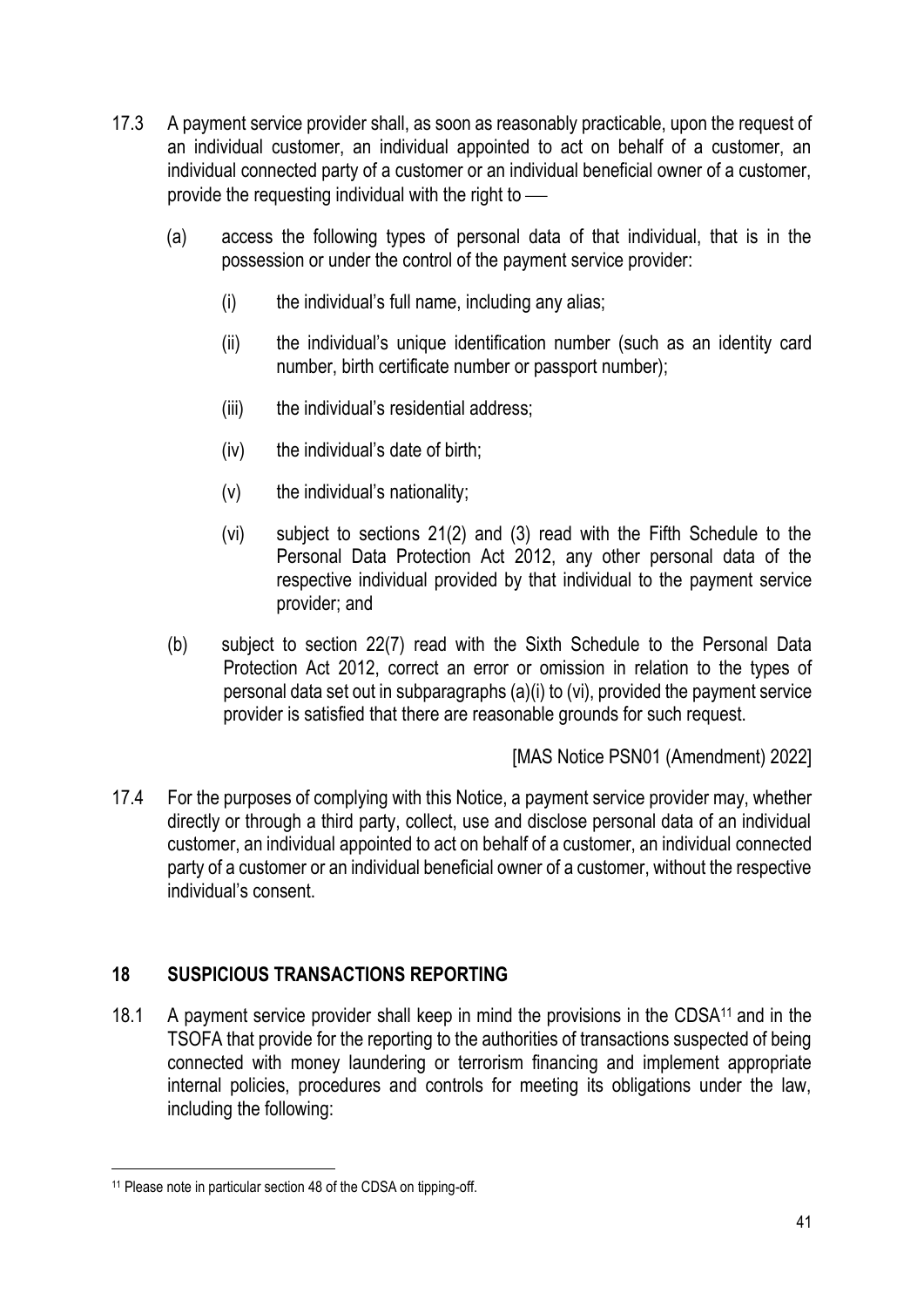- 17.3 A payment service provider shall, as soon as reasonably practicable, upon the request of an individual customer, an individual appointed to act on behalf of a customer, an individual connected party of a customer or an individual beneficial owner of a customer, provide the requesting individual with the right to  $\equiv$ 
	- (a) access the following types of personal data of that individual, that is in the possession or under the control of the payment service provider:
		- (i) the individual's full name, including any alias;
		- (ii) the individual's unique identification number (such as an identity card number, birth certificate number or passport number);
		- (iii) the individual's residential address;
		- (iv) the individual's date of birth;
		- (v) the individual's nationality;
		- (vi) subject to sections 21(2) and (3) read with the Fifth Schedule to the Personal Data Protection Act 2012, any other personal data of the respective individual provided by that individual to the payment service provider; and
	- (b) subject to section 22(7) read with the Sixth Schedule to the Personal Data Protection Act 2012, correct an error or omission in relation to the types of personal data set out in subparagraphs (a)(i) to (vi), provided the payment service provider is satisfied that there are reasonable grounds for such request.

[MAS Notice PSN01 (Amendment) 2022]

17.4 For the purposes of complying with this Notice, a payment service provider may, whether directly or through a third party, collect, use and disclose personal data of an individual customer, an individual appointed to act on behalf of a customer, an individual connected party of a customer or an individual beneficial owner of a customer, without the respective individual's consent.

# **18 SUSPICIOUS TRANSACTIONS REPORTING**

18.1 A payment service provider shall keep in mind the provisions in the CDSA<sup>11</sup> and in the TSOFA that provide for the reporting to the authorities of transactions suspected of being connected with money laundering or terrorism financing and implement appropriate internal policies, procedures and controls for meeting its obligations under the law, including the following:

<sup>11</sup> Please note in particular section 48 of the CDSA on tipping-off.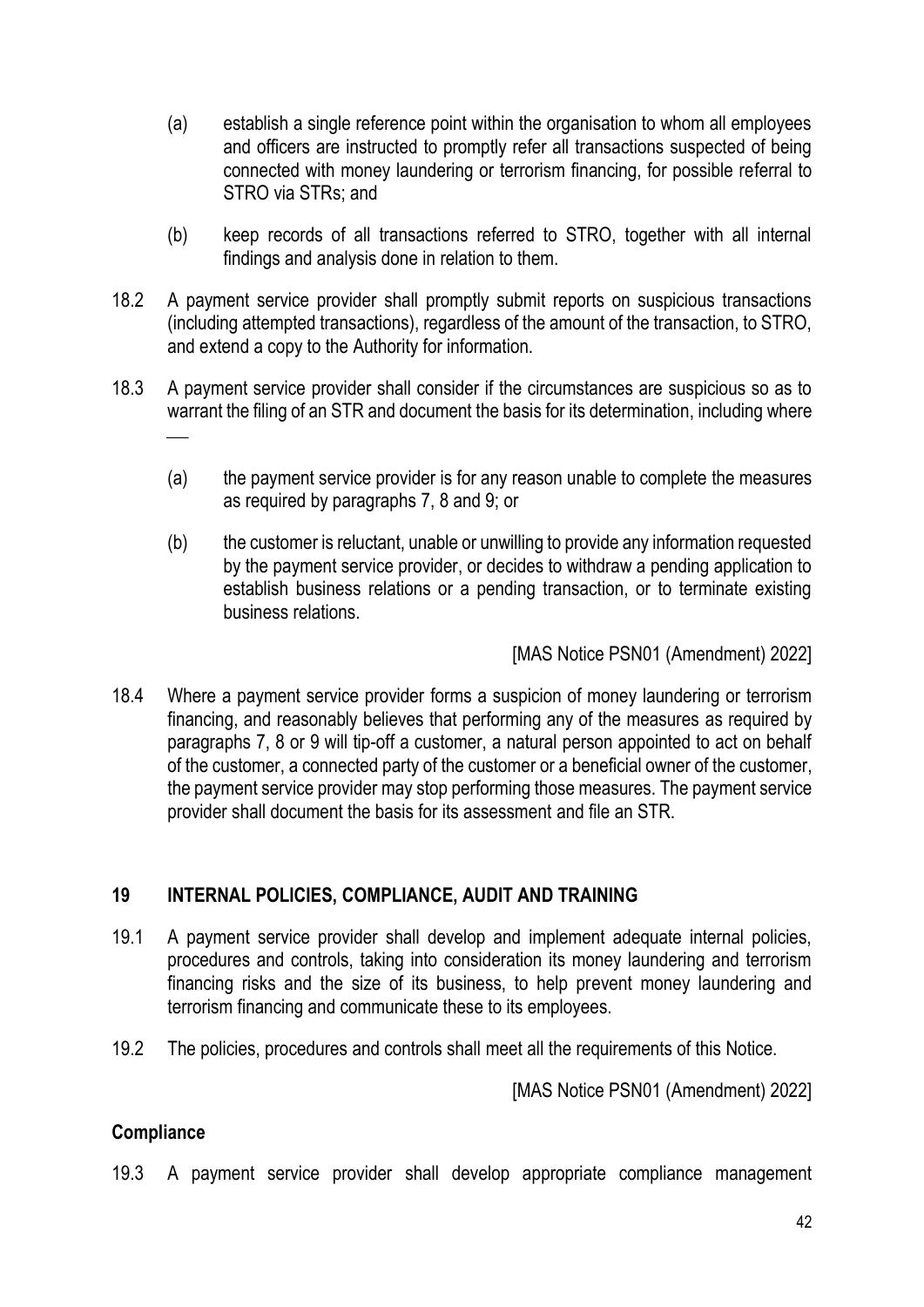- (a) establish a single reference point within the organisation to whom all employees and officers are instructed to promptly refer all transactions suspected of being connected with money laundering or terrorism financing, for possible referral to STRO via STRs; and
- (b) keep records of all transactions referred to STRO, together with all internal findings and analysis done in relation to them.
- 18.2 A payment service provider shall promptly submit reports on suspicious transactions (including attempted transactions), regardless of the amount of the transaction, to STRO, and extend a copy to the Authority for information.
- 18.3 A payment service provider shall consider if the circumstances are suspicious so as to warrant the filing of an STR and document the basis for its determination, including where  $\overline{\phantom{a}}$ 
	- (a) the payment service provider is for any reason unable to complete the measures as required by paragraphs 7, 8 and 9; or
	- (b) the customer is reluctant, unable or unwilling to provide any information requested by the payment service provider, or decides to withdraw a pending application to establish business relations or a pending transaction, or to terminate existing business relations.

[MAS Notice PSN01 (Amendment) 2022]

18.4 Where a payment service provider forms a suspicion of money laundering or terrorism financing, and reasonably believes that performing any of the measures as required by paragraphs 7, 8 or 9 will tip-off a customer, a natural person appointed to act on behalf of the customer, a connected party of the customer or a beneficial owner of the customer, the payment service provider may stop performing those measures. The payment service provider shall document the basis for its assessment and file an STR.

# **19 INTERNAL POLICIES, COMPLIANCE, AUDIT AND TRAINING**

- 19.1 A payment service provider shall develop and implement adequate internal policies, procedures and controls, taking into consideration its money laundering and terrorism financing risks and the size of its business, to help prevent money laundering and terrorism financing and communicate these to its employees.
- 19.2 The policies, procedures and controls shall meet all the requirements of this Notice.

[MAS Notice PSN01 (Amendment) 2022]

# **Compliance**

19.3 A payment service provider shall develop appropriate compliance management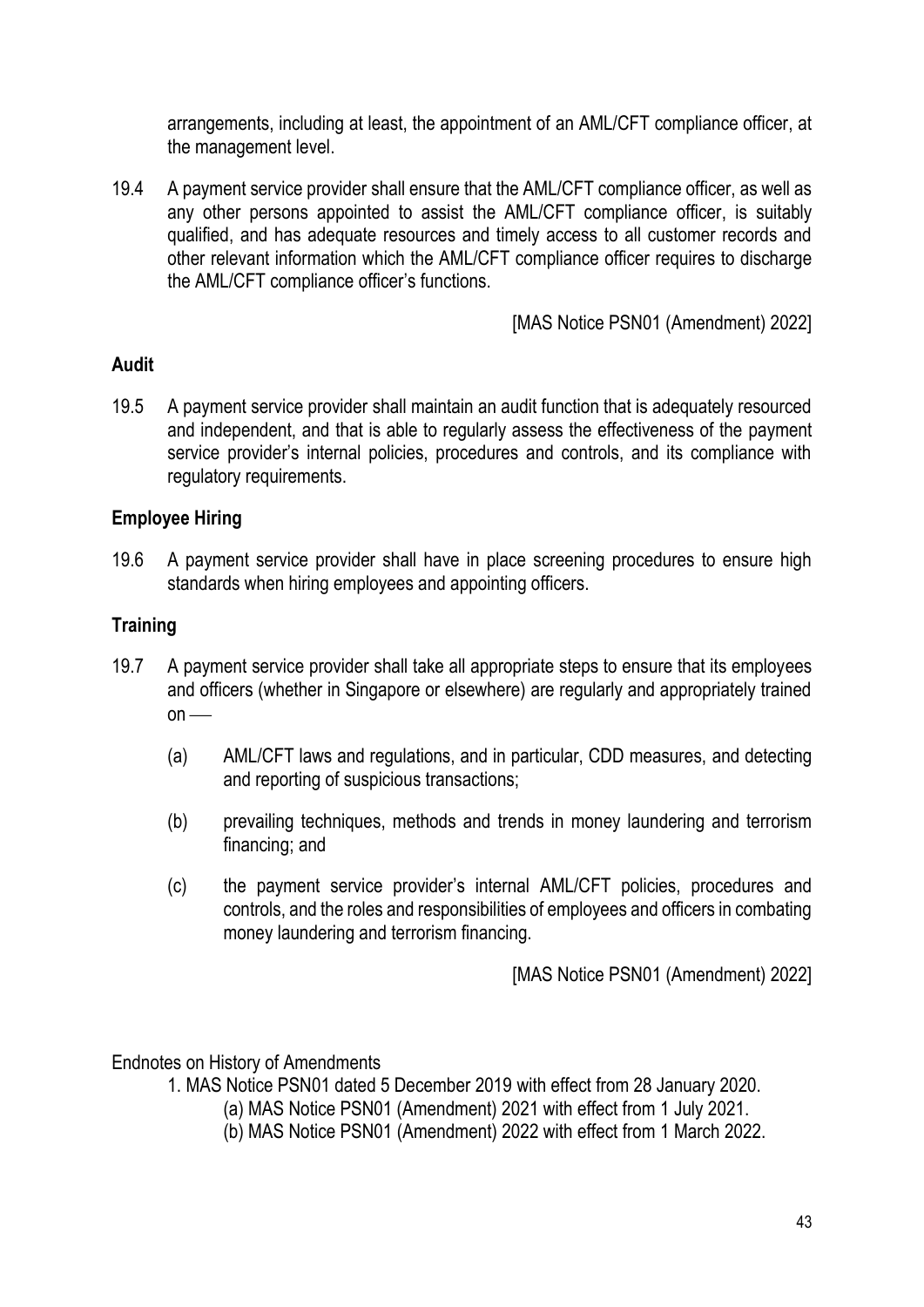arrangements, including at least, the appointment of an AML/CFT compliance officer, at the management level.

19.4 A payment service provider shall ensure that the AML/CFT compliance officer, as well as any other persons appointed to assist the AML/CFT compliance officer, is suitably qualified, and has adequate resources and timely access to all customer records and other relevant information which the AML/CFT compliance officer requires to discharge the AML/CFT compliance officer's functions.

[MAS Notice PSN01 (Amendment) 2022]

# **Audit**

19.5 A payment service provider shall maintain an audit function that is adequately resourced and independent, and that is able to regularly assess the effectiveness of the payment service provider's internal policies, procedures and controls, and its compliance with regulatory requirements.

### **Employee Hiring**

19.6 A payment service provider shall have in place screening procedures to ensure high standards when hiring employees and appointing officers.

### **Training**

- 19.7 A payment service provider shall take all appropriate steps to ensure that its employees and officers (whether in Singapore or elsewhere) are regularly and appropriately trained  $on$  —
	- (a) AML/CFT laws and regulations, and in particular, CDD measures, and detecting and reporting of suspicious transactions;
	- (b) prevailing techniques, methods and trends in money laundering and terrorism financing; and
	- (c) the payment service provider's internal AML/CFT policies, procedures and controls, and the roles and responsibilities of employees and officers in combating money laundering and terrorism financing.

[MAS Notice PSN01 (Amendment) 2022]

Endnotes on History of Amendments

1. MAS Notice PSN01 dated 5 December 2019 with effect from 28 January 2020.

(a) MAS Notice PSN01 (Amendment) 2021 with effect from 1 July 2021.

(b) MAS Notice PSN01 (Amendment) 2022 with effect from 1 March 2022.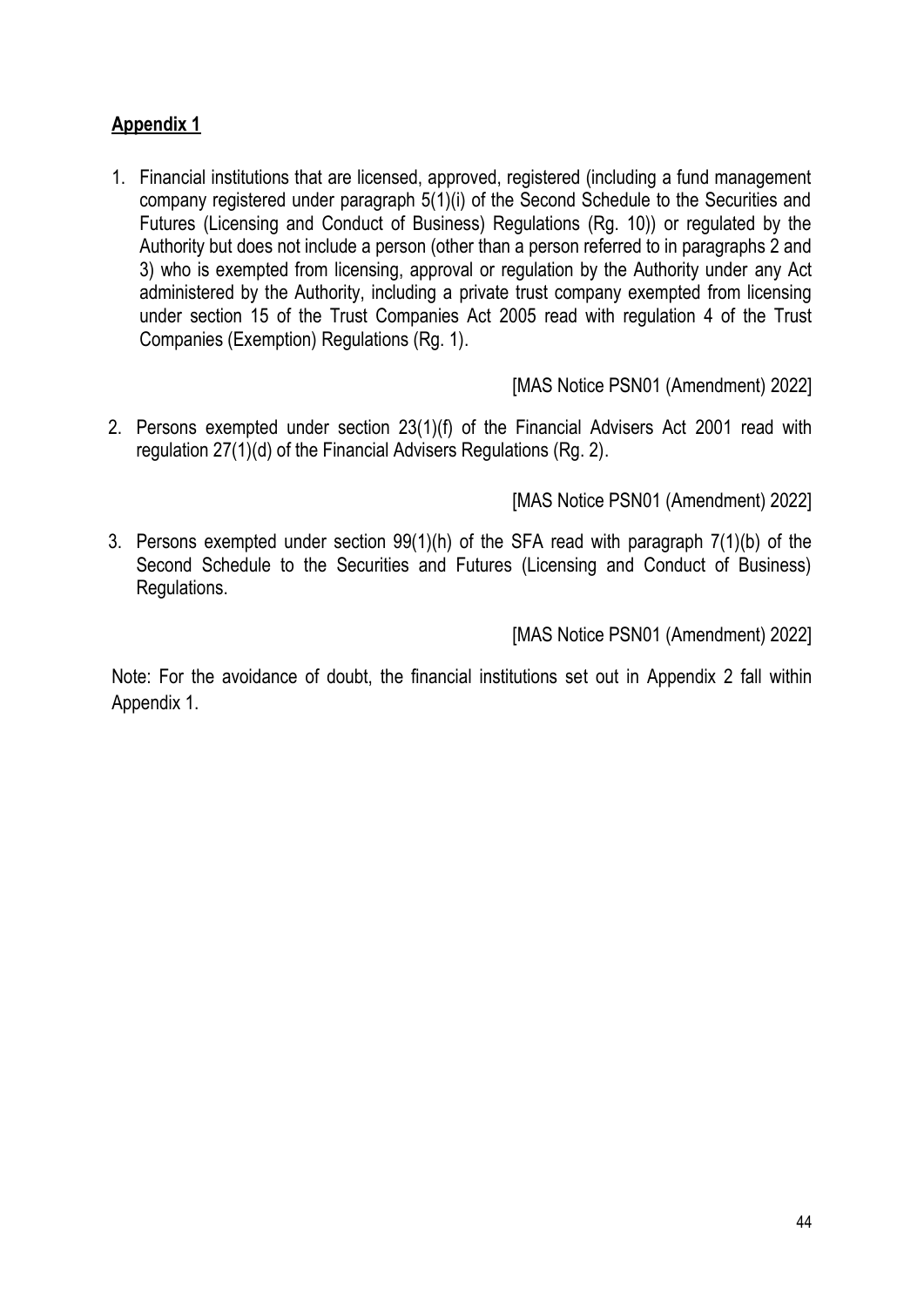# **Appendix 1**

1. Financial institutions that are licensed, approved, registered (including a fund management company registered under paragraph 5(1)(i) of the Second Schedule to the Securities and Futures (Licensing and Conduct of Business) Regulations (Rg. 10)) or regulated by the Authority but does not include a person (other than a person referred to in paragraphs 2 and 3) who is exempted from licensing, approval or regulation by the Authority under any Act administered by the Authority, including a private trust company exempted from licensing under section 15 of the Trust Companies Act 2005 read with regulation 4 of the Trust Companies (Exemption) Regulations (Rg. 1).

[MAS Notice PSN01 (Amendment) 2022]

2. Persons exempted under section 23(1)(f) of the Financial Advisers Act 2001 read with regulation 27(1)(d) of the Financial Advisers Regulations (Rg. 2).

[MAS Notice PSN01 (Amendment) 2022]

3. Persons exempted under section 99(1)(h) of the SFA read with paragraph 7(1)(b) of the Second Schedule to the Securities and Futures (Licensing and Conduct of Business) Regulations.

[MAS Notice PSN01 (Amendment) 2022]

Note: For the avoidance of doubt, the financial institutions set out in Appendix 2 fall within Appendix 1.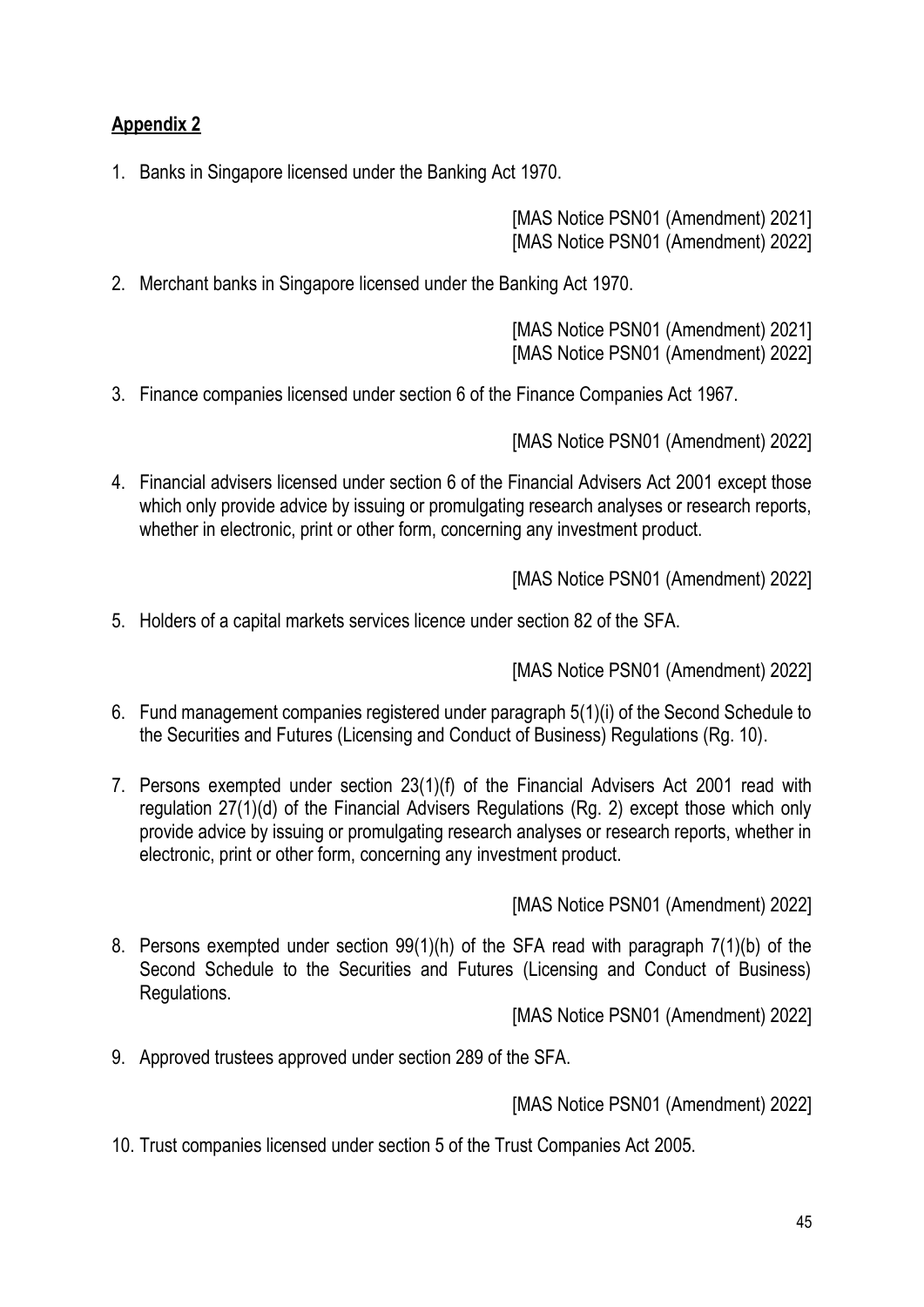# **Appendix 2**

1. Banks in Singapore licensed under the Banking Act 1970.

[MAS Notice PSN01 (Amendment) 2021] [MAS Notice PSN01 (Amendment) 2022]

2. Merchant banks in Singapore licensed under the Banking Act 1970.

[MAS Notice PSN01 (Amendment) 2021] [MAS Notice PSN01 (Amendment) 2022]

3. Finance companies licensed under section 6 of the Finance Companies Act 1967.

[MAS Notice PSN01 (Amendment) 2022]

4. Financial advisers licensed under section 6 of the Financial Advisers Act 2001 except those which only provide advice by issuing or promulgating research analyses or research reports, whether in electronic, print or other form, concerning any investment product.

[MAS Notice PSN01 (Amendment) 2022]

5. Holders of a capital markets services licence under section 82 of the SFA.

[MAS Notice PSN01 (Amendment) 2022]

- 6. Fund management companies registered under paragraph 5(1)(i) of the Second Schedule to the Securities and Futures (Licensing and Conduct of Business) Regulations (Rg. 10).
- 7. Persons exempted under section 23(1)(f) of the Financial Advisers Act 2001 read with regulation 27(1)(d) of the Financial Advisers Regulations (Rg. 2) except those which only provide advice by issuing or promulgating research analyses or research reports, whether in electronic, print or other form, concerning any investment product.

[MAS Notice PSN01 (Amendment) 2022]

8. Persons exempted under section 99(1)(h) of the SFA read with paragraph 7(1)(b) of the Second Schedule to the Securities and Futures (Licensing and Conduct of Business) Regulations.

[MAS Notice PSN01 (Amendment) 2022]

9. Approved trustees approved under section 289 of the SFA.

[MAS Notice PSN01 (Amendment) 2022]

10. Trust companies licensed under section 5 of the Trust Companies Act 2005.